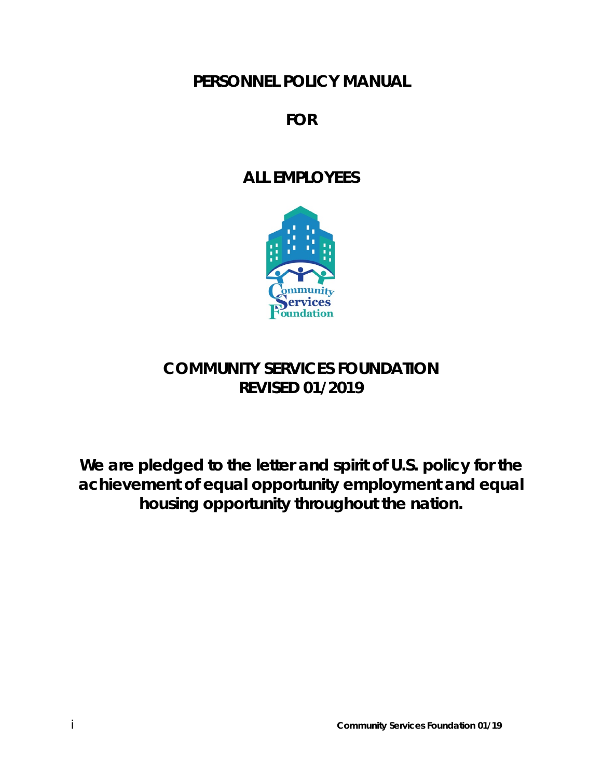**PERSONNEL POLICY MANUAL**

**FOR**

# **ALL EMPLOYEES**



# **COMMUNITY SERVICES FOUNDATION REVISED 01/2019**

**We are pledged to the letter and spirit of U.S. policy for the achievement of equal opportunity employment and equal housing opportunity throughout the nation.**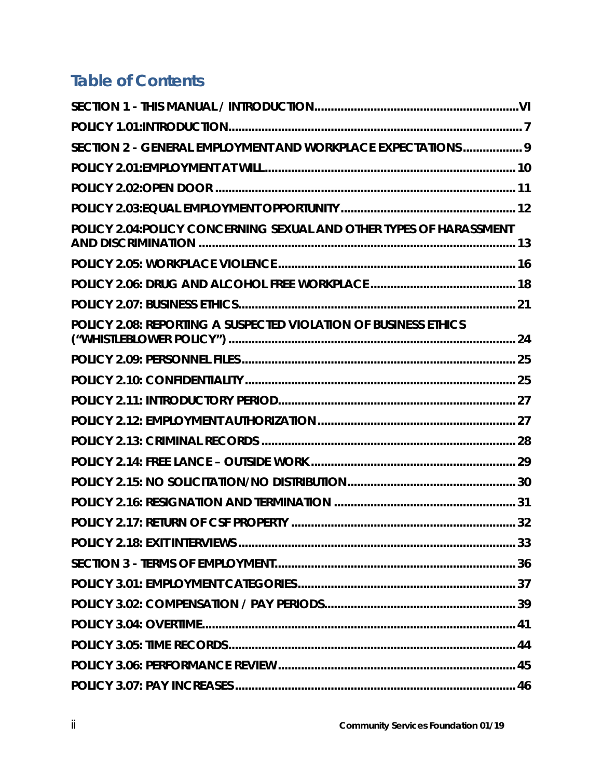# **Table of Contents**

| SECTION 2 - GENERAL EMPLOYMENT AND WORKPLACE EXPECTATIONS 9        |  |
|--------------------------------------------------------------------|--|
|                                                                    |  |
|                                                                    |  |
|                                                                    |  |
| POLICY 2.04:POLICY CONCERNING SEXUAL AND OTHER TYPES OF HARASSMENT |  |
|                                                                    |  |
|                                                                    |  |
|                                                                    |  |
| POLICY 2.08: REPORTING A SUSPECTED VIOLATION OF BUSINESS ETHICS    |  |
|                                                                    |  |
|                                                                    |  |
|                                                                    |  |
|                                                                    |  |
|                                                                    |  |
|                                                                    |  |
|                                                                    |  |
|                                                                    |  |
|                                                                    |  |
|                                                                    |  |
|                                                                    |  |
|                                                                    |  |
|                                                                    |  |
|                                                                    |  |
|                                                                    |  |
|                                                                    |  |
|                                                                    |  |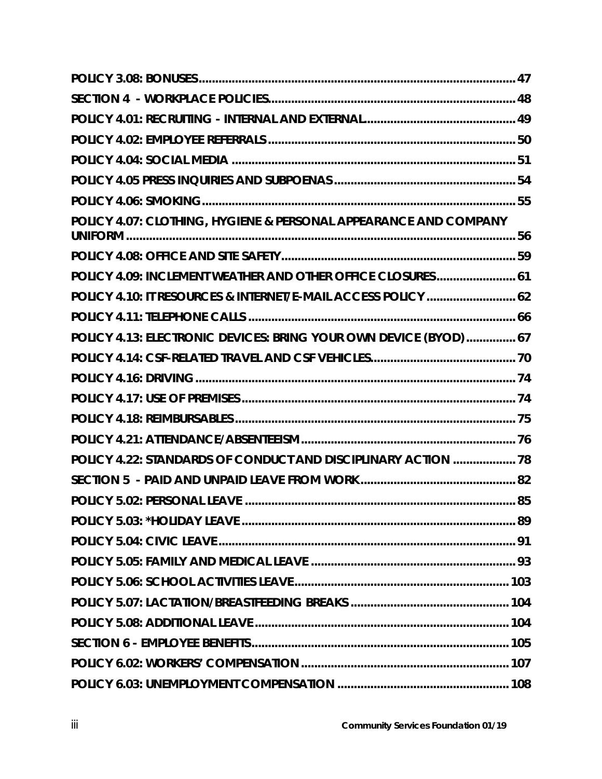| POLICY 4.07: CLOTHING, HYGIENE & PERSONAL APPEARANCE AND COMPANY  |  |
|-------------------------------------------------------------------|--|
|                                                                   |  |
| POLICY 4.09: INCLEMENT WEATHER AND OTHER OFFICE CLOSURES 61       |  |
| POLICY 4.10: IT RESOURCES & INTERNET/E-MAIL ACCESS POLICY  62     |  |
|                                                                   |  |
| POLICY 4.13: ELECTRONIC DEVICES: BRING YOUR OWN DEVICE (BYOD)  67 |  |
|                                                                   |  |
|                                                                   |  |
|                                                                   |  |
|                                                                   |  |
|                                                                   |  |
| POLICY 4.22: STANDARDS OF CONDUCT AND DISCIPLINARY ACTION  78     |  |
|                                                                   |  |
|                                                                   |  |
|                                                                   |  |
|                                                                   |  |
|                                                                   |  |
|                                                                   |  |
|                                                                   |  |
|                                                                   |  |
|                                                                   |  |
|                                                                   |  |
|                                                                   |  |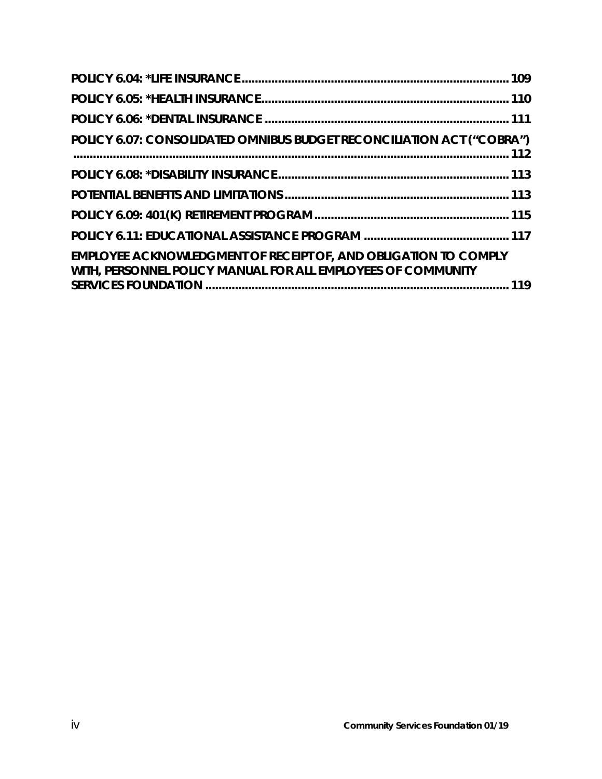| POLICY 6.07: CONSOLIDATED OMNIBUS BUDGET RECONCILIATION ACT ("COBRA")                                                                  |  |
|----------------------------------------------------------------------------------------------------------------------------------------|--|
|                                                                                                                                        |  |
|                                                                                                                                        |  |
|                                                                                                                                        |  |
|                                                                                                                                        |  |
| <b>EMPLOYEE ACKNOWLEDGMENT OF RECEIPT OF, AND OBLIGATION TO COMPLY</b><br>WITH, PERSONNEL POLICY MANUAL FOR ALL EMPLOYEES OF COMMUNITY |  |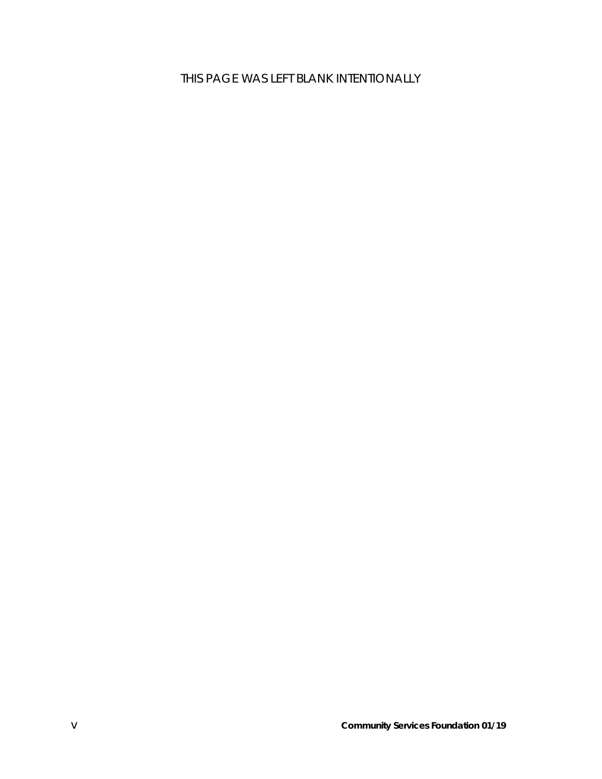# THIS PAGE WAS LEFT BLANK INTENTIONALLY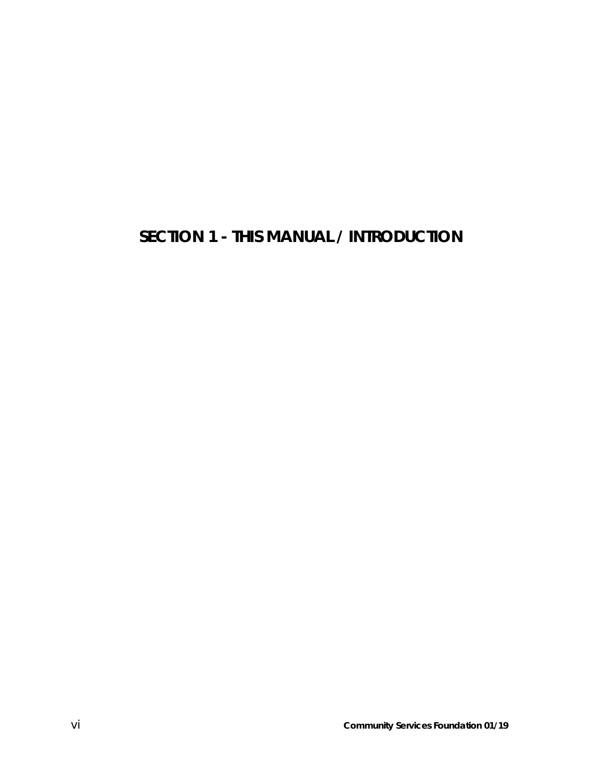# <span id="page-5-0"></span>**SECTION 1 - THIS MANUAL / INTRODUCTION**

vi **Community Services Foundation 01/19**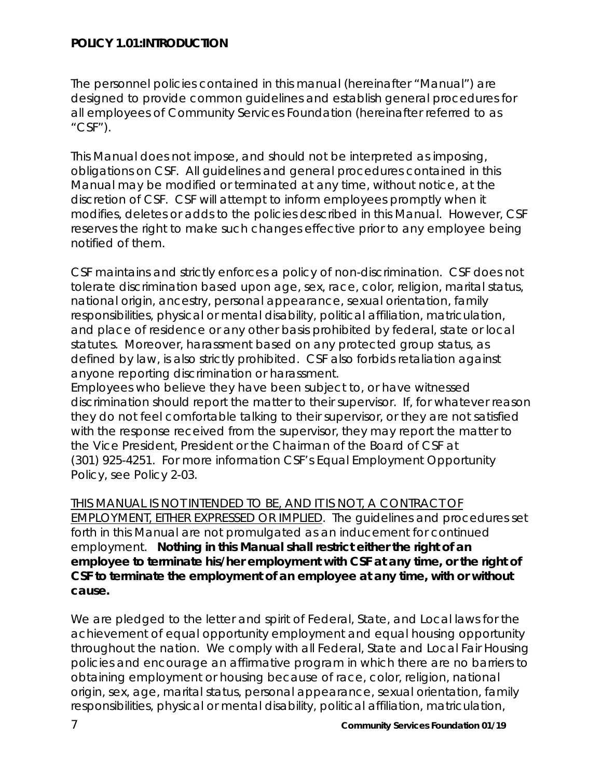#### <span id="page-6-0"></span>**POLICY 1.01:INTRODUCTION**

The personnel policies contained in this manual (hereinafter "Manual") are designed to provide common guidelines and establish general procedures for all employees of Community Services Foundation (hereinafter referred to as " $CSF$ ").

This Manual does not impose, and should not be interpreted as imposing, obligations on CSF. All guidelines and general procedures contained in this Manual may be modified or terminated at any time, without notice, at the discretion of CSF. CSF will attempt to inform employees promptly when it modifies, deletes or adds to the policies described in this Manual. However, CSF reserves the right to make such changes effective prior to any employee being notified of them.

CSF maintains and strictly enforces a policy of non-discrimination. CSF does not tolerate discrimination based upon age, sex, race, color, religion, marital status, national origin, ancestry, personal appearance, sexual orientation, family responsibilities, physical or mental disability, political affiliation, matriculation, and place of residence or any other basis prohibited by federal, state or local statutes. Moreover, harassment based on any protected group status, as defined by law, is also strictly prohibited. CSF also forbids retaliation against anyone reporting discrimination or harassment.

Employees who believe they have been subject to, or have witnessed discrimination should report the matter to their supervisor. If, for whatever reason they do not feel comfortable talking to their supervisor, or they are not satisfied with the response received from the supervisor, they may report the matter to the Vice President, President or the Chairman of the Board of CSF at (301) 925-4251. For more information CSF's Equal Employment Opportunity Policy, see Policy 2-03.

THIS MANUAL IS NOT INTENDED TO BE, AND IT IS NOT, A CONTRACT OF

EMPLOYMENT, EITHER EXPRESSED OR IMPLIED. The guidelines and procedures set forth in this Manual are not promulgated as an inducement for continued employment. **Nothing in this Manual shall restrict either the right of an employee to terminate his/her employment with CSF at any time, or the right of CSF to terminate the employment of an employee at any time, with or without cause.**

We are pledged to the letter and spirit of Federal, State, and Local laws for the achievement of equal opportunity employment and equal housing opportunity throughout the nation. We comply with all Federal, State and Local Fair Housing policies and encourage an affirmative program in which there are no barriers to obtaining employment or housing because of race, color, religion, national origin, sex, age, marital status, personal appearance, sexual orientation, family responsibilities, physical or mental disability, political affiliation, matriculation,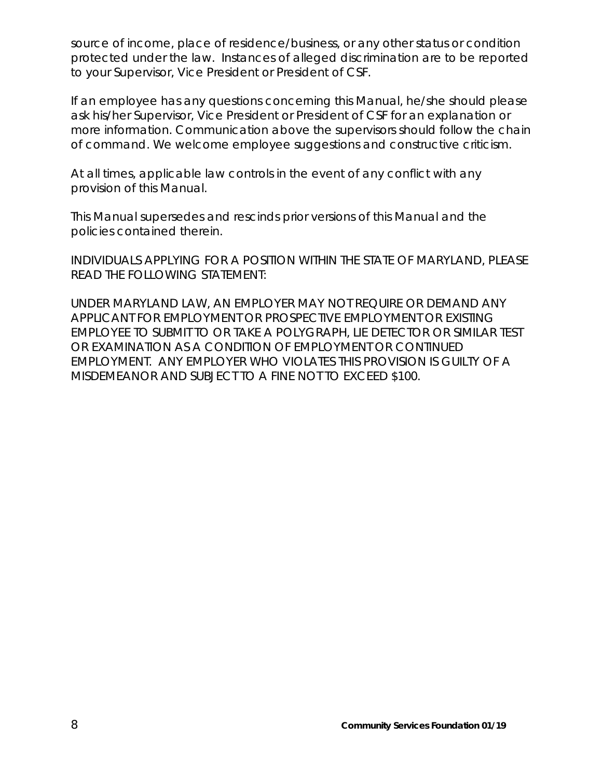source of income, place of residence/business, or any other status or condition protected under the law. Instances of alleged discrimination are to be reported to your Supervisor, Vice President or President of CSF.

If an employee has any questions concerning this Manual, he/she should please ask his/her Supervisor, Vice President or President of CSF for an explanation or more information. Communication above the supervisors should follow the chain of command. We welcome employee suggestions and constructive criticism.

At all times, applicable law controls in the event of any conflict with any provision of this Manual.

This Manual supersedes and rescinds prior versions of this Manual and the policies contained therein.

INDIVIDUALS APPLYING FOR A POSITION WITHIN THE STATE OF MARYLAND, PLEASE READ THE FOLLOWING STATEMENT:

UNDER MARYLAND LAW, AN EMPLOYER MAY NOT REQUIRE OR DEMAND ANY APPLICANT FOR EMPLOYMENT OR PROSPECTIVE EMPLOYMENT OR EXISTING EMPLOYEE TO SUBMIT TO OR TAKE A POLYGRAPH, LIE DETECTOR OR SIMILAR TEST OR EXAMINATION AS A CONDITION OF EMPLOYMENT OR CONTINUED EMPLOYMENT. ANY EMPLOYER WHO VIOLATES THIS PROVISION IS GUILTY OF A MISDEMEANOR AND SUBJECT TO A FINE NOT TO EXCEED \$100.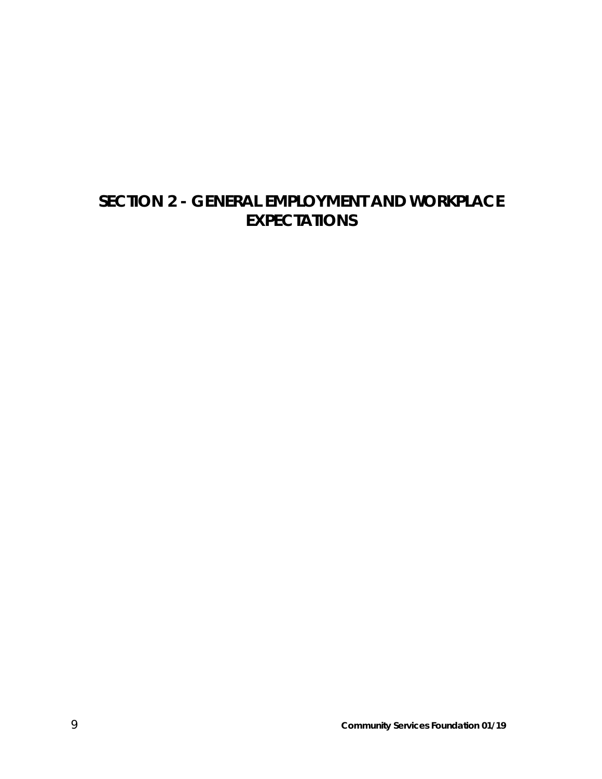# <span id="page-8-0"></span>**SECTION 2 - GENERAL EMPLOYMENT AND WORKPLACE EXPECTATIONS**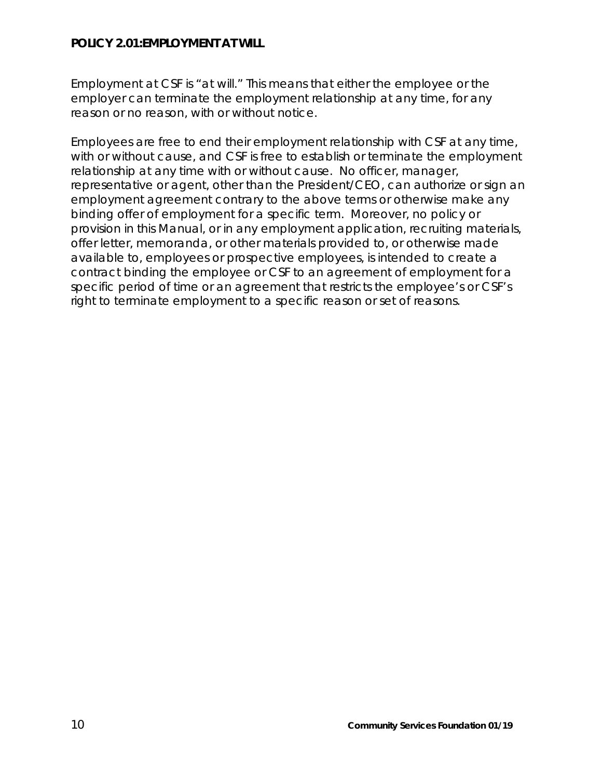#### <span id="page-9-0"></span>**POLICY 2.01:EMPLOYMENT AT WILL**

Employment at CSF is "at will." This means that either the employee or the employer can terminate the employment relationship at any time, for any reason or no reason, with or without notice.

Employees are free to end their employment relationship with CSF at any time, with or without cause, and CSF is free to establish or terminate the employment relationship at any time with or without cause. No officer, manager, representative or agent, other than the President/CEO, can authorize or sign an employment agreement contrary to the above terms or otherwise make any binding offer of employment for a specific term. Moreover, no policy or provision in this Manual, or in any employment application, recruiting materials, offer letter, memoranda, or other materials provided to, or otherwise made available to, employees or prospective employees, is intended to create a contract binding the employee or CSF to an agreement of employment for a specific period of time or an agreement that restricts the employee's or CSF's right to terminate employment to a specific reason or set of reasons.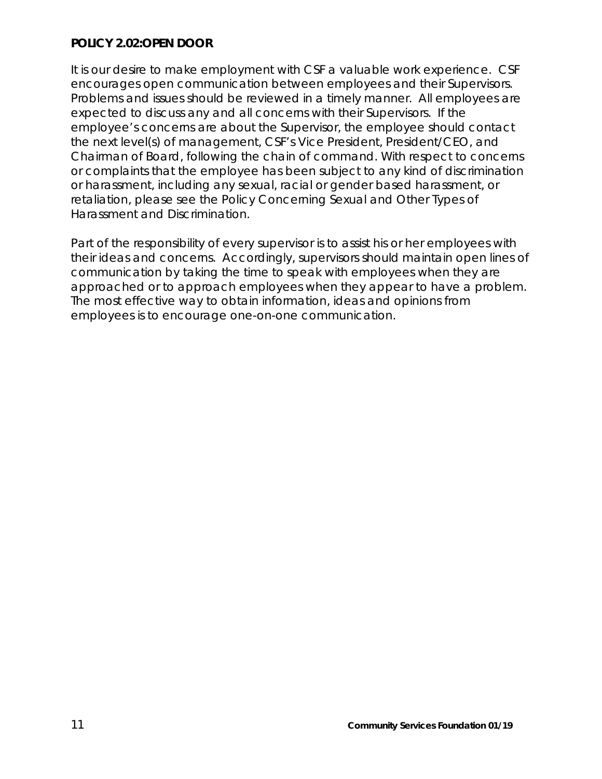#### <span id="page-10-0"></span>**POLICY 2.02:OPEN DOOR**

It is our desire to make employment with CSF a valuable work experience. CSF encourages open communication between employees and their Supervisors. Problems and issues should be reviewed in a timely manner. All employees are expected to discuss any and all concerns with their Supervisors. If the employee's concerns are about the Supervisor, the employee should contact the next level(s) of management, CSF's Vice President, President/CEO, and Chairman of Board, following the chain of command. With respect to concerns or complaints that the employee has been subject to any kind of discrimination or harassment, including any sexual, racial or gender based harassment, or retaliation, please see the Policy Concerning Sexual and Other Types of Harassment and Discrimination.

Part of the responsibility of every supervisor is to assist his or her employees with their ideas and concerns. Accordingly, supervisors should maintain open lines of communication by taking the time to speak with employees when they are approached or to approach employees when they appear to have a problem. The most effective way to obtain information, ideas and opinions from employees is to encourage one-on-one communication.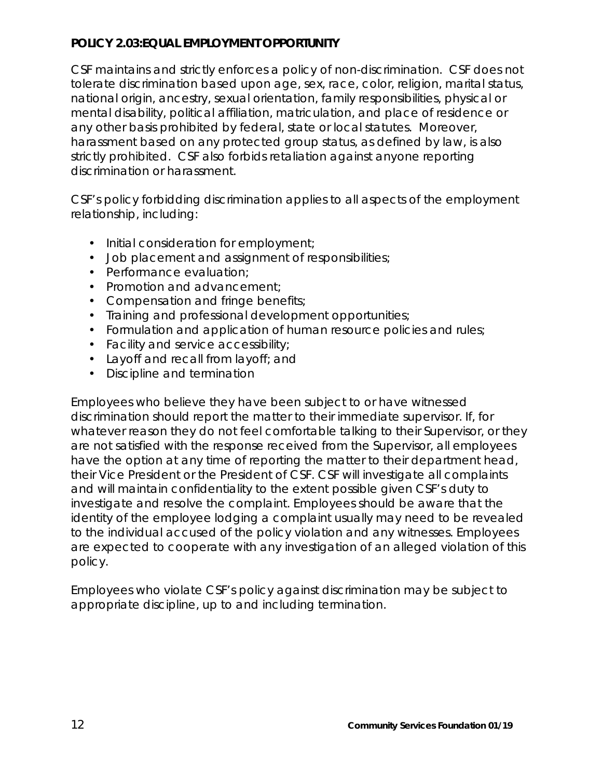# <span id="page-11-0"></span>**POLICY 2.03:EQUAL EMPLOYMENT OPPORTUNITY**

CSF maintains and strictly enforces a policy of non-discrimination. CSF does not tolerate discrimination based upon age, sex, race, color, religion, marital status, national origin, ancestry, sexual orientation, family responsibilities, physical or mental disability, political affiliation, matriculation, and place of residence or any other basis prohibited by federal, state or local statutes. Moreover, harassment based on any protected group status, as defined by law, is also strictly prohibited. CSF also forbids retaliation against anyone reporting discrimination or harassment.

CSF's policy forbidding discrimination applies to all aspects of the employment relationship, including:

- Initial consideration for employment;
- Job placement and assignment of responsibilities;
- Performance evaluation:
- Promotion and advancement;
- Compensation and fringe benefits;
- Training and professional development opportunities;
- Formulation and application of human resource policies and rules;
- Facility and service accessibility;
- Layoff and recall from layoff; and
- Discipline and termination

Employees who believe they have been subject to or have witnessed discrimination should report the matter to their immediate supervisor. If, for whatever reason they do not feel comfortable talking to their Supervisor, or they are not satisfied with the response received from the Supervisor, all employees have the option at any time of reporting the matter to their department head, their Vice President or the President of CSF. CSF will investigate all complaints and will maintain confidentiality to the extent possible given CSF's duty to investigate and resolve the complaint. Employees should be aware that the identity of the employee lodging a complaint usually may need to be revealed to the individual accused of the policy violation and any witnesses. Employees are expected to cooperate with any investigation of an alleged violation of this policy.

Employees who violate CSF's policy against discrimination may be subject to appropriate discipline, up to and including termination.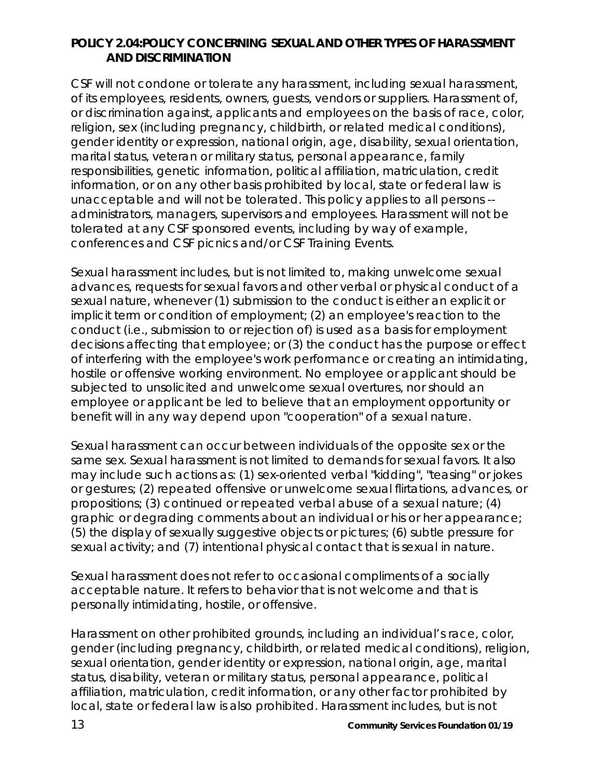#### <span id="page-12-0"></span>**POLICY 2.04:POLICY CONCERNING SEXUAL AND OTHER TYPES OF HARASSMENT AND DISCRIMINATION**

CSF will not condone or tolerate any harassment, including sexual harassment, of its employees, residents, owners, guests, vendors or suppliers. Harassment of, or discrimination against, applicants and employees on the basis of race, color, religion, sex (including pregnancy, childbirth, or related medical conditions), gender identity or expression, national origin, age, disability, sexual orientation, marital status, veteran or military status, personal appearance, family responsibilities, genetic information, political affiliation, matriculation, credit information, or on any other basis prohibited by local, state or federal law is unacceptable and will not be tolerated. This policy applies to all persons - administrators, managers, supervisors and employees. Harassment will not be tolerated at any CSF sponsored events, including by way of example, conferences and CSF picnics and/or CSF Training Events.

Sexual harassment includes, but is not limited to, making unwelcome sexual advances, requests for sexual favors and other verbal or physical conduct of a sexual nature, whenever (1) submission to the conduct is either an explicit or implicit term or condition of employment; (2) an employee's reaction to the conduct (i.e., submission to or rejection of) is used as a basis for employment decisions affecting that employee; or (3) the conduct has the purpose or effect of interfering with the employee's work performance or creating an intimidating, hostile or offensive working environment. No employee or applicant should be subjected to unsolicited and unwelcome sexual overtures, nor should an employee or applicant be led to believe that an employment opportunity or benefit will in any way depend upon "cooperation" of a sexual nature.

Sexual harassment can occur between individuals of the opposite sex or the same sex. Sexual harassment is not limited to demands for sexual favors. It also may include such actions as: (1) sex-oriented verbal "kidding", "teasing" or jokes or gestures; (2) repeated offensive or unwelcome sexual flirtations, advances, or propositions; (3) continued or repeated verbal abuse of a sexual nature; (4) graphic or degrading comments about an individual or his or her appearance; (5) the display of sexually suggestive objects or pictures; (6) subtle pressure for sexual activity; and (7) intentional physical contact that is sexual in nature.

Sexual harassment does not refer to occasional compliments of a socially acceptable nature. It refers to behavior that is not welcome and that is personally intimidating, hostile, or offensive.

Harassment on other prohibited grounds, including an individual's race, color, gender (including pregnancy, childbirth, or related medical conditions), religion, sexual orientation, gender identity or expression, national origin, age, marital status, disability, veteran or military status, personal appearance, political affiliation, matriculation, credit information, or any other factor prohibited by local, state or federal law is also prohibited. Harassment includes, but is not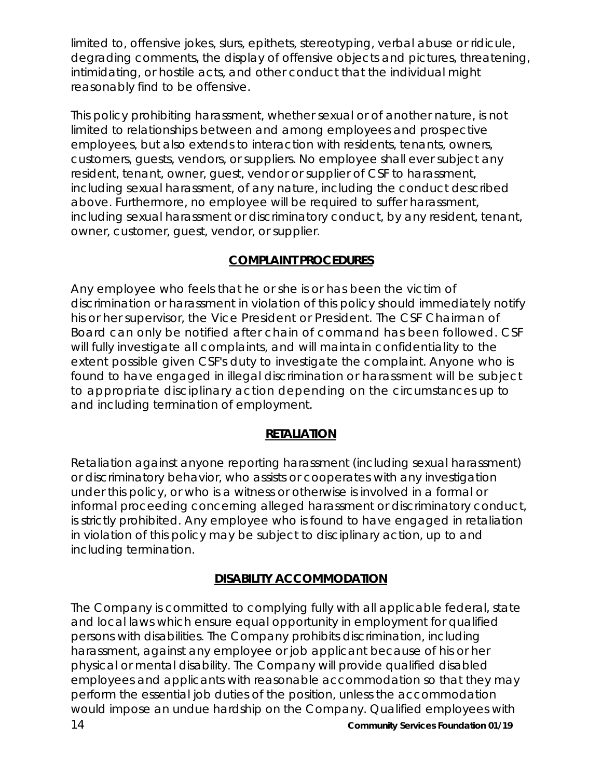limited to, offensive jokes, slurs, epithets, stereotyping, verbal abuse or ridicule, degrading comments, the display of offensive objects and pictures, threatening, intimidating, or hostile acts, and other conduct that the individual might reasonably find to be offensive.

This policy prohibiting harassment, whether sexual or of another nature, is not limited to relationships between and among employees and prospective employees, but also extends to interaction with residents, tenants, owners, customers, guests, vendors, or suppliers. No employee shall ever subject any resident, tenant, owner, guest, vendor or supplier of CSF to harassment, including sexual harassment, of any nature, including the conduct described above. Furthermore, no employee will be required to suffer harassment, including sexual harassment or discriminatory conduct, by any resident, tenant, owner, customer, guest, vendor, or supplier.

#### **COMPLAINT PROCEDURES**

Any employee who feels that he or she is or has been the victim of discrimination or harassment in violation of this policy should immediately notify his or her supervisor, the Vice President or President. The CSF Chairman of Board can only be notified after chain of command has been followed. CSF will fully investigate all complaints, and will maintain confidentiality to the extent possible given CSF's duty to investigate the complaint. Anyone who is found to have engaged in illegal discrimination or harassment will be subject to appropriate disciplinary action depending on the circumstances up to and including termination of employment.

# **RETALIATION**

Retaliation against anyone reporting harassment (including sexual harassment) or discriminatory behavior, who assists or cooperates with any investigation under this policy, or who is a witness or otherwise is involved in a formal or informal proceeding concerning alleged harassment or discriminatory conduct, is strictly prohibited. Any employee who is found to have engaged in retaliation in violation of this policy may be subject to disciplinary action, up to and including termination.

# **DISABILITY ACCOMMODATION**

14 **Community Services Foundation 01/19** The Company is committed to complying fully with all applicable federal, state and local laws which ensure equal opportunity in employment for qualified persons with disabilities. The Company prohibits discrimination, including harassment, against any employee or job applicant because of his or her physical or mental disability. The Company will provide qualified disabled employees and applicants with reasonable accommodation so that they may perform the essential job duties of the position, unless the accommodation would impose an undue hardship on the Company. Qualified employees with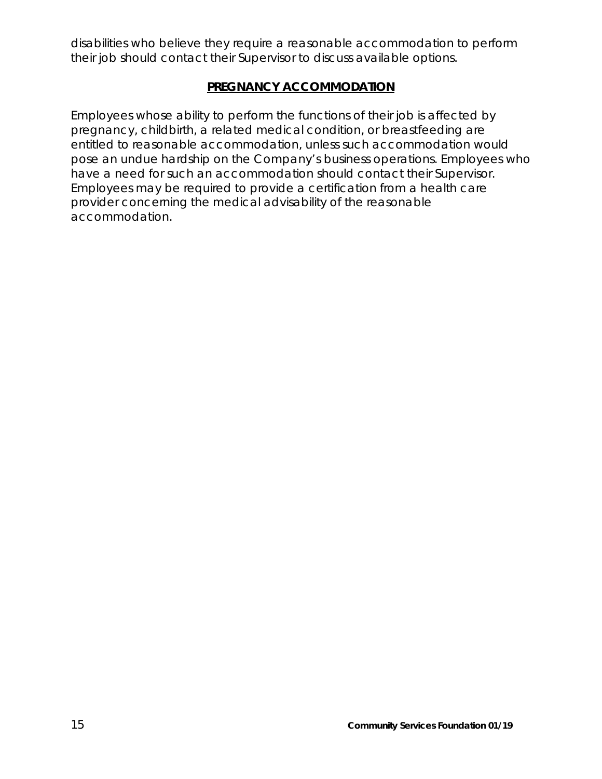disabilities who believe they require a reasonable accommodation to perform their job should contact their Supervisor to discuss available options.

#### **PREGNANCY ACCOMMODATION**

Employees whose ability to perform the functions of their job is affected by pregnancy, childbirth, a related medical condition, or breastfeeding are entitled to reasonable accommodation, unless such accommodation would pose an undue hardship on the Company's business operations. Employees who have a need for such an accommodation should contact their Supervisor. Employees may be required to provide a certification from a health care provider concerning the medical advisability of the reasonable accommodation.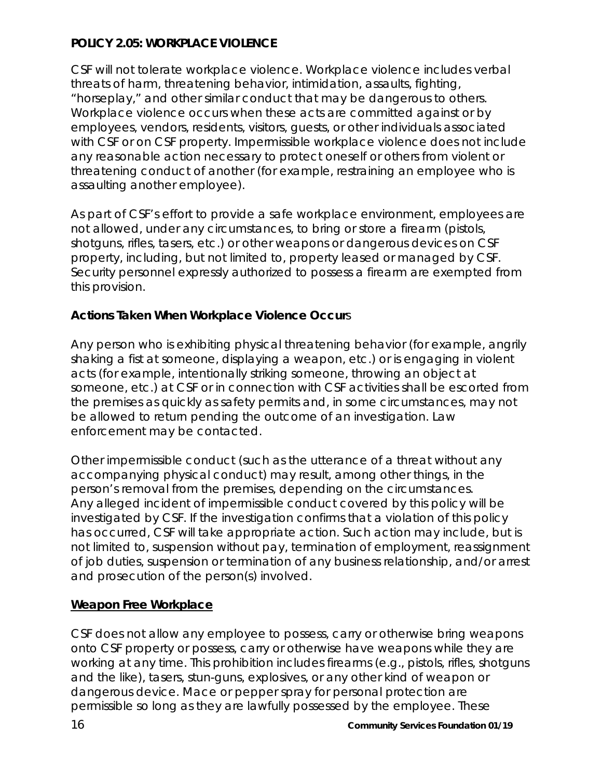# <span id="page-15-0"></span>**POLICY 2.05: WORKPLACE VIOLENCE**

CSF will not tolerate workplace violence. Workplace violence includes verbal threats of harm, threatening behavior, intimidation, assaults, fighting, "horseplay," and other similar conduct that may be dangerous to others. Workplace violence occurs when these acts are committed against or by employees, vendors, residents, visitors, guests, or other individuals associated with CSF or on CSF property. Impermissible workplace violence does not include any reasonable action necessary to protect oneself or others from violent or threatening conduct of another (for example, restraining an employee who is assaulting another employee).

As part of CSF's effort to provide a safe workplace environment, employees are not allowed, under any circumstances, to bring or store a firearm (pistols, shotguns, rifles, tasers, etc.) or other weapons or dangerous devices on CSF property, including, but not limited to, property leased or managed by CSF. Security personnel expressly authorized to possess a firearm are exempted from this provision.

# **Actions Taken When Workplace Violence Occur**s

Any person who is exhibiting physical threatening behavior (for example, angrily shaking a fist at someone, displaying a weapon, etc.) or is engaging in violent acts (for example, intentionally striking someone, throwing an object at someone, etc.) at CSF or in connection with CSF activities shall be escorted from the premises as quickly as safety permits and, in some circumstances, may not be allowed to return pending the outcome of an investigation. Law enforcement may be contacted.

Other impermissible conduct (such as the utterance of a threat without any accompanying physical conduct) may result, among other things, in the person's removal from the premises, depending on the circumstances. Any alleged incident of impermissible conduct covered by this policy will be investigated by CSF. If the investigation confirms that a violation of this policy has occurred, CSF will take appropriate action. Such action may include, but is not limited to, suspension without pay, termination of employment, reassignment of job duties, suspension or termination of any business relationship, and/or arrest and prosecution of the person(s) involved.

# **Weapon Free Workplace**

CSF does not allow any employee to possess, carry or otherwise bring weapons onto CSF property or possess, carry or otherwise have weapons while they are working at any time. This prohibition includes firearms (e.g., pistols, rifles, shotguns and the like), tasers, stun-guns, explosives, or any other kind of weapon or dangerous device. Mace or pepper spray for personal protection are permissible so long as they are lawfully possessed by the employee. These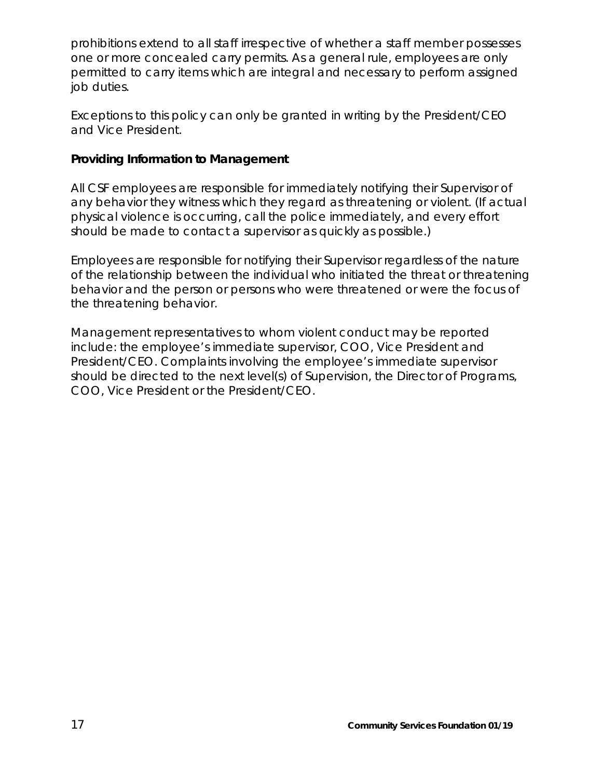prohibitions extend to all staff irrespective of whether a staff member possesses one or more concealed carry permits. As a general rule, employees are only permitted to carry items which are integral and necessary to perform assigned job duties.

Exceptions to this policy can only be granted in writing by the President/CEO and Vice President.

#### **Providing Information to Management**

All CSF employees are responsible for immediately notifying their Supervisor of any behavior they witness which they regard as threatening or violent. (If actual physical violence is occurring, call the police immediately, and every effort should be made to contact a supervisor as quickly as possible.)

Employees are responsible for notifying their Supervisor regardless of the nature of the relationship between the individual who initiated the threat or threatening behavior and the person or persons who were threatened or were the focus of the threatening behavior.

Management representatives to whom violent conduct may be reported include: the employee's immediate supervisor, COO, Vice President and President/CEO. Complaints involving the employee's immediate supervisor should be directed to the next level(s) of Supervision, the Director of Programs, COO, Vice President or the President/CEO.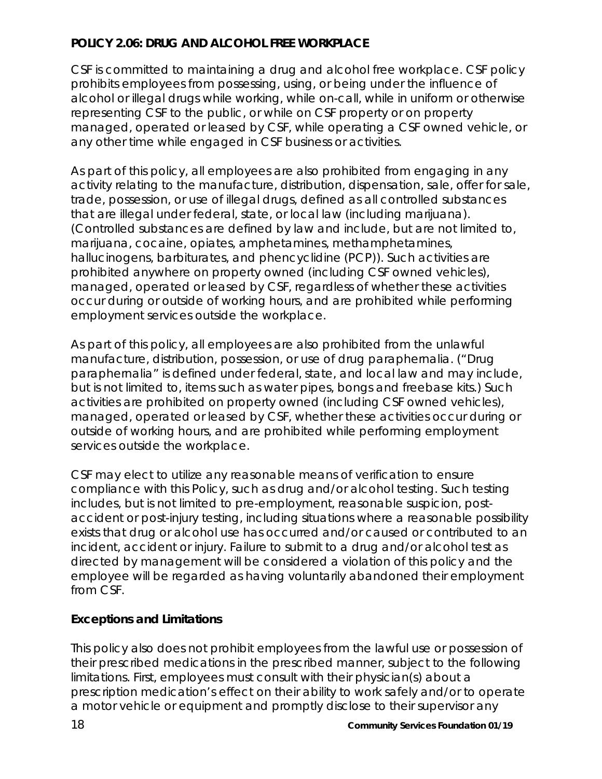# <span id="page-17-0"></span>**POLICY 2.06: DRUG AND ALCOHOL FREE WORKPLACE**

CSF is committed to maintaining a drug and alcohol free workplace. CSF policy prohibits employees from possessing, using, or being under the influence of alcohol or illegal drugs while working, while on-call, while in uniform or otherwise representing CSF to the public, or while on CSF property or on property managed, operated or leased by CSF, while operating a CSF owned vehicle, or any other time while engaged in CSF business or activities.

As part of this policy, all employees are also prohibited from engaging in any activity relating to the manufacture, distribution, dispensation, sale, offer for sale, trade, possession, or use of illegal drugs, defined as all controlled substances that are illegal under federal, state, or local law (including marijuana). (Controlled substances are defined by law and include, but are not limited to, marijuana, cocaine, opiates, amphetamines, methamphetamines, hallucinogens, barbiturates, and phencyclidine (PCP)). Such activities are prohibited anywhere on property owned (including CSF owned vehicles), managed, operated or leased by CSF, regardless of whether these activities occur during or outside of working hours, and are prohibited while performing employment services outside the workplace.

As part of this policy, all employees are also prohibited from the unlawful manufacture, distribution, possession, or use of drug paraphernalia. ("Drug paraphernalia" is defined under federal, state, and local law and may include, but is not limited to, items such as water pipes, bongs and freebase kits.) Such activities are prohibited on property owned (including CSF owned vehicles), managed, operated or leased by CSF, whether these activities occur during or outside of working hours, and are prohibited while performing employment services outside the workplace.

CSF may elect to utilize any reasonable means of verification to ensure compliance with this Policy, such as drug and/or alcohol testing. Such testing includes, but is not limited to pre-employment, reasonable suspicion, postaccident or post-injury testing, including situations where a reasonable possibility exists that drug or alcohol use has occurred and/or caused or contributed to an incident, accident or injury. Failure to submit to a drug and/or alcohol test as directed by management will be considered a violation of this policy and the employee will be regarded as having voluntarily abandoned their employment from CSF.

# **Exceptions and Limitations**

This policy also does not prohibit employees from the lawful use or possession of their prescribed medications in the prescribed manner, subject to the following limitations. First, employees must consult with their physician(s) about a prescription medication's effect on their ability to work safely and/or to operate a motor vehicle or equipment and promptly disclose to their supervisor any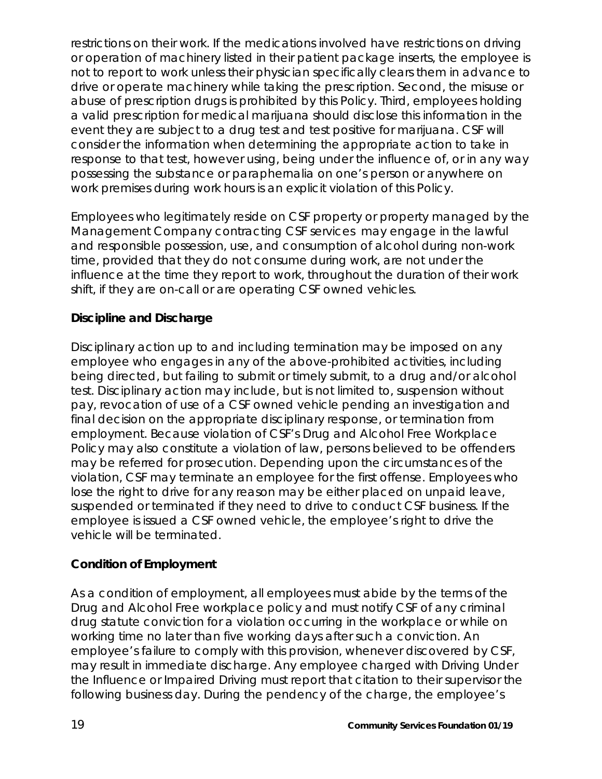restrictions on their work. If the medications involved have restrictions on driving or operation of machinery listed in their patient package inserts, the employee is not to report to work unless their physician specifically clears them in advance to drive or operate machinery while taking the prescription. Second, the misuse or abuse of prescription drugs is prohibited by this Policy. Third, employees holding a valid prescription for medical marijuana should disclose this information in the event they are subject to a drug test and test positive for marijuana. CSF will consider the information when determining the appropriate action to take in response to that test, however using, being under the influence of, or in any way possessing the substance or paraphernalia on one's person or anywhere on work premises during work hours is an explicit violation of this Policy.

Employees who legitimately reside on CSF property or property managed by the Management Company contracting CSF services may engage in the lawful and responsible possession, use, and consumption of alcohol during non-work time, provided that they do not consume during work, are not under the influence at the time they report to work, throughout the duration of their work shift, if they are on-call or are operating CSF owned vehicles.

# **Discipline and Discharge**

Disciplinary action up to and including termination may be imposed on any employee who engages in any of the above-prohibited activities, including being directed, but failing to submit or timely submit, to a drug and/or alcohol test. Disciplinary action may include, but is not limited to, suspension without pay, revocation of use of a CSF owned vehicle pending an investigation and final decision on the appropriate disciplinary response, or termination from employment. Because violation of CSF's Drug and Alcohol Free Workplace Policy may also constitute a violation of law, persons believed to be offenders may be referred for prosecution. Depending upon the circumstances of the violation, CSF may terminate an employee for the first offense. Employees who lose the right to drive for any reason may be either placed on unpaid leave, suspended or terminated if they need to drive to conduct CSF business. If the employee is issued a CSF owned vehicle, the employee's right to drive the vehicle will be terminated.

#### **Condition of Employment**

As a condition of employment, all employees must abide by the terms of the Drug and Alcohol Free workplace policy and must notify CSF of any criminal drug statute conviction for a violation occurring in the workplace or while on working time no later than five working days after such a conviction. An employee's failure to comply with this provision, whenever discovered by CSF, may result in immediate discharge. Any employee charged with Driving Under the Influence or Impaired Driving must report that citation to their supervisor the following business day. During the pendency of the charge, the employee's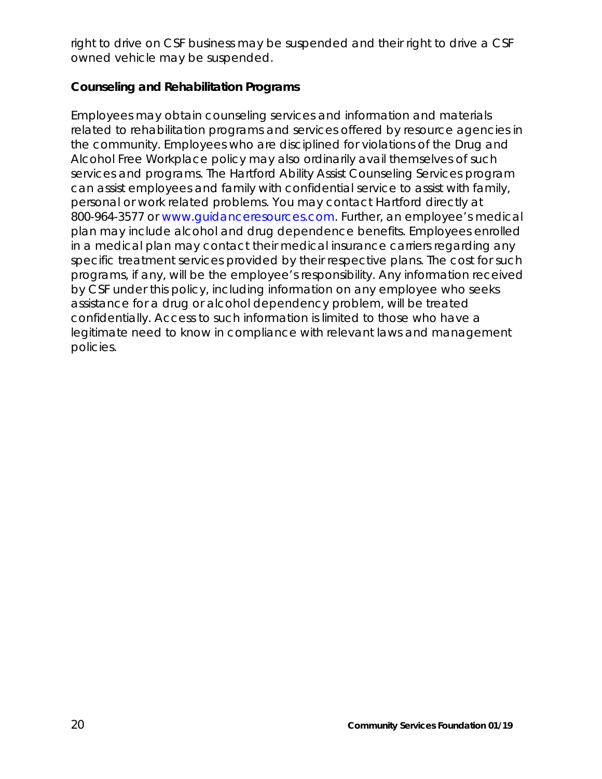right to drive on CSF business may be suspended and their right to drive a CSF owned vehicle may be suspended.

# **Counseling and Rehabilitation Programs**

Employees may obtain counseling services and information and materials related to rehabilitation programs and services offered by resource agencies in the community. Employees who are disciplined for violations of the Drug and Alcohol Free Workplace policy may also ordinarily avail themselves of such services and programs. The Hartford Ability Assist Counseling Services program can assist employees and family with confidential service to assist with family, personal or work related problems. You may contact Hartford directly at 800-964-3577 or www.guidanceresources.com*.* Further, an employee's medical plan may include alcohol and drug dependence benefits. Employees enrolled in a medical plan may contact their medical insurance carriers regarding any specific treatment services provided by their respective plans. The cost for such programs, if any, will be the employee's responsibility. Any information received by CSF under this policy, including information on any employee who seeks assistance for a drug or alcohol dependency problem, will be treated confidentially. Access to such information is limited to those who have a legitimate need to know in compliance with relevant laws and management policies.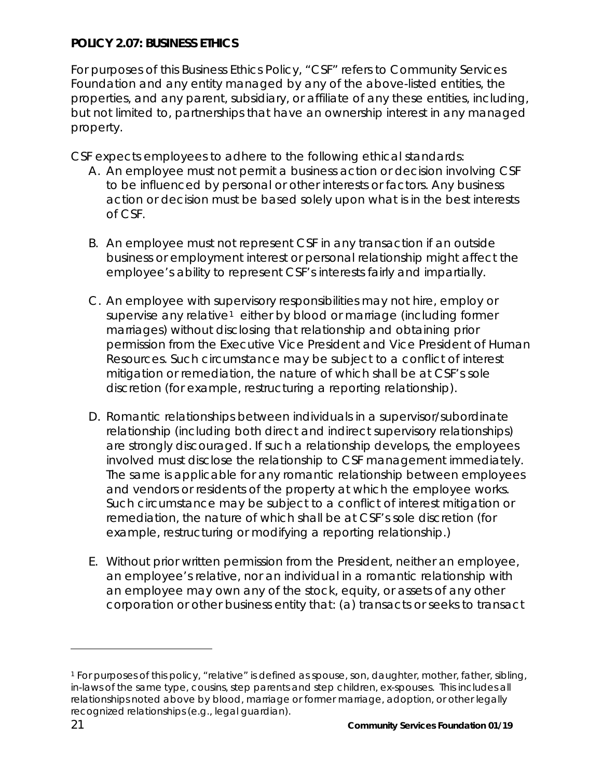#### <span id="page-20-0"></span>**POLICY 2.07: BUSINESS ETHICS**

For purposes of this Business Ethics Policy, "CSF" refers to Community Services Foundation and any entity managed by any of the above-listed entities, the properties, and any parent, subsidiary, or affiliate of any these entities, including, but not limited to, partnerships that have an ownership interest in any managed property.

CSF expects employees to adhere to the following ethical standards:

- A. An employee must not permit a business action or decision involving CSF to be influenced by personal or other interests or factors. Any business action or decision must be based solely upon what is in the best interests of CSF.
- B. An employee must not represent CSF in any transaction if an outside business or employment interest or personal relationship might affect the employee's ability to represent CSF's interests fairly and impartially.
- C. An employee with supervisory responsibilities may not hire, employ or supervise any relative<sup>[1](#page-20-1)</sup> either by blood or marriage (including former marriages) without disclosing that relationship and obtaining prior permission from the Executive Vice President and Vice President of Human Resources. Such circumstance may be subject to a conflict of interest mitigation or remediation, the nature of which shall be at CSF's sole discretion (for example, restructuring a reporting relationship).
- D. Romantic relationships between individuals in a supervisor/subordinate relationship (including both direct and indirect supervisory relationships) are strongly discouraged. If such a relationship develops, the employees involved must disclose the relationship to CSF management immediately. The same is applicable for any romantic relationship between employees and vendors or residents of the property at which the employee works. Such circumstance may be subject to a conflict of interest mitigation or remediation, the nature of which shall be at CSF's sole discretion (for example, restructuring or modifying a reporting relationship.)
- E. Without prior written permission from the President, neither an employee, an employee's relative, nor an individual in a romantic relationship with an employee may own any of the stock, equity, or assets of any other corporation or other business entity that: (a) transacts or seeks to transact

 $\overline{a}$ 

<span id="page-20-1"></span><sup>1</sup> For purposes of this policy, "relative" is defined as spouse, son, daughter, mother, father, sibling, in-laws of the same type, cousins, step parents and step children, ex-spouses. This includes all relationships noted above by blood, marriage or former marriage, adoption, or other legally recognized relationships (e.g., legal guardian).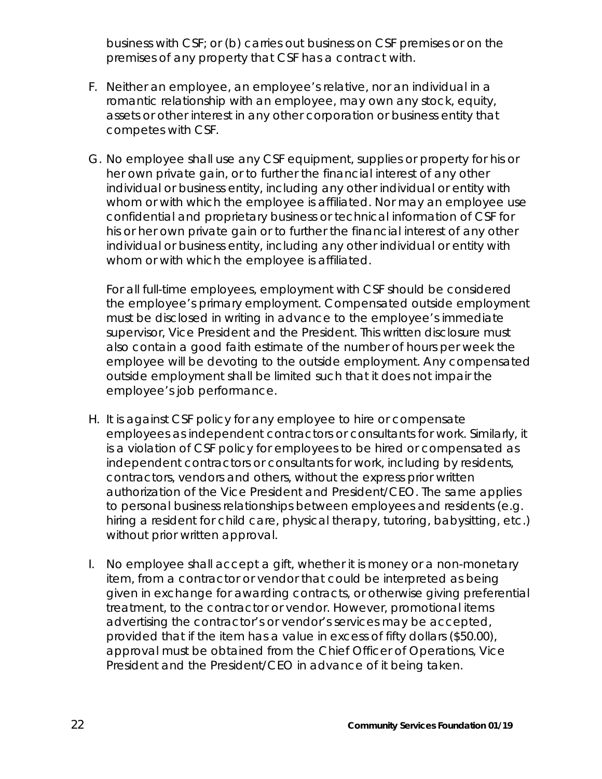business with CSF; or (b) carries out business on CSF premises or on the premises of any property that CSF has a contract with.

- F. Neither an employee, an employee's relative, nor an individual in a romantic relationship with an employee, may own any stock, equity, assets or other interest in any other corporation or business entity that competes with CSF.
- G. No employee shall use any CSF equipment, supplies or property for his or her own private gain, or to further the financial interest of any other individual or business entity, including any other individual or entity with whom or with which the employee is affiliated. Nor may an employee use confidential and proprietary business or technical information of CSF for his or her own private gain or to further the financial interest of any other individual or business entity, including any other individual or entity with whom or with which the employee is affiliated.

For all full-time employees, employment with CSF should be considered the employee's primary employment. Compensated outside employment must be disclosed in writing in advance to the employee's immediate supervisor, Vice President and the President. This written disclosure must also contain a good faith estimate of the number of hours per week the employee will be devoting to the outside employment. Any compensated outside employment shall be limited such that it does not impair the employee's job performance.

- H. It is against CSF policy for any employee to hire or compensate employees as independent contractors or consultants for work. Similarly, it is a violation of CSF policy for employees to be hired or compensated as independent contractors or consultants for work, including by residents, contractors, vendors and others, without the express prior written authorization of the Vice President and President/CEO. The same applies to personal business relationships between employees and residents (e.g. hiring a resident for child care, physical therapy, tutoring, babysitting, etc.) without prior written approval.
- I. No employee shall accept a gift, whether it is money or a non-monetary item, from a contractor or vendor that could be interpreted as being given in exchange for awarding contracts, or otherwise giving preferential treatment, to the contractor or vendor. However, promotional items advertising the contractor's or vendor's services may be accepted, provided that if the item has a value in excess of fifty dollars (\$50.00), approval must be obtained from the Chief Officer of Operations, Vice President and the President/CEO in advance of it being taken.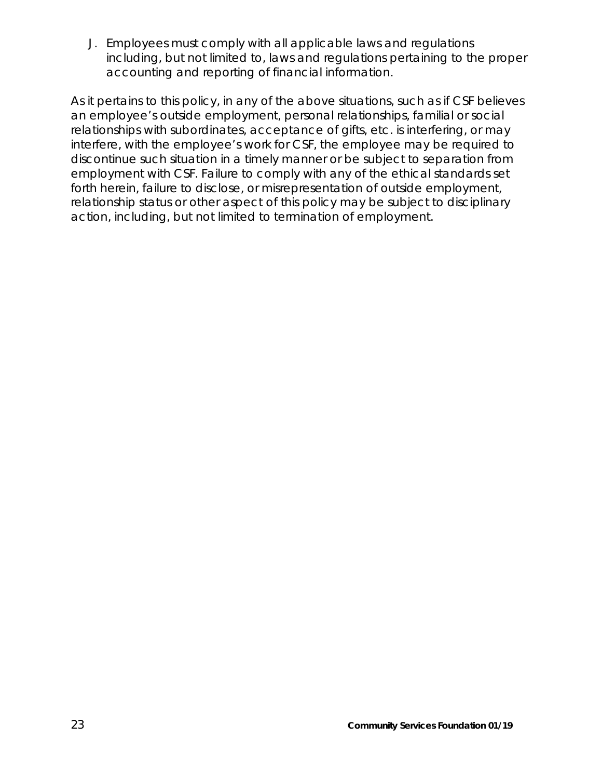J. Employees must comply with all applicable laws and regulations including, but not limited to, laws and regulations pertaining to the proper accounting and reporting of financial information.

As it pertains to this policy, in any of the above situations, such as if CSF believes an employee's outside employment, personal relationships, familial or social relationships with subordinates, acceptance of gifts, etc. is interfering, or may interfere, with the employee's work for CSF, the employee may be required to discontinue such situation in a timely manner or be subject to separation from employment with CSF. Failure to comply with any of the ethical standards set forth herein, failure to disclose, or misrepresentation of outside employment, relationship status or other aspect of this policy may be subject to disciplinary action, including, but not limited to termination of employment.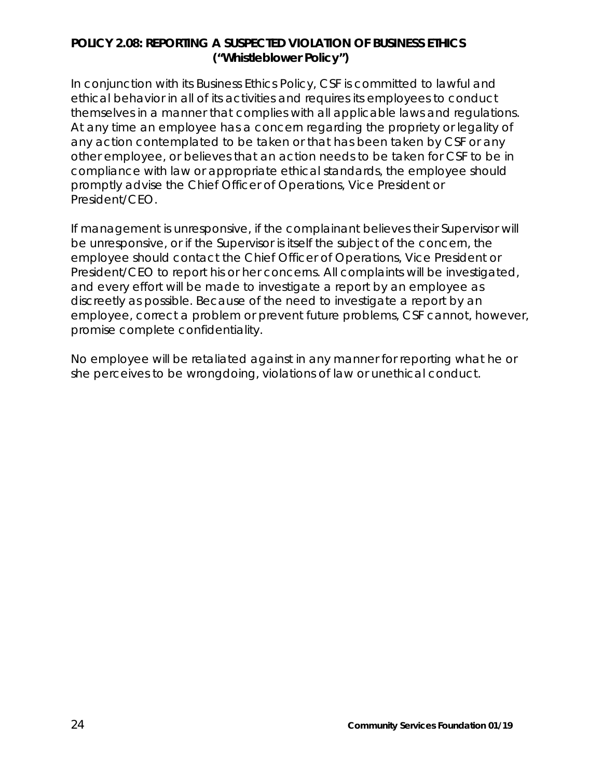#### <span id="page-23-0"></span>**POLICY 2.08: REPORTING A SUSPECTED VIOLATION OF BUSINESS ETHICS ("Whistleblower Policy")**

In conjunction with its Business Ethics Policy, CSF is committed to lawful and ethical behavior in all of its activities and requires its employees to conduct themselves in a manner that complies with all applicable laws and regulations. At any time an employee has a concern regarding the propriety or legality of any action contemplated to be taken or that has been taken by CSF or any other employee, or believes that an action needs to be taken for CSF to be in compliance with law or appropriate ethical standards, the employee should promptly advise the Chief Officer of Operations, Vice President or President/CEO.

If management is unresponsive, if the complainant believes their Supervisor will be unresponsive, or if the Supervisor is itself the subject of the concern, the employee should contact the Chief Officer of Operations, Vice President or President/CEO to report his or her concerns. All complaints will be investigated, and every effort will be made to investigate a report by an employee as discreetly as possible. Because of the need to investigate a report by an employee, correct a problem or prevent future problems, CSF cannot, however, promise complete confidentiality.

No employee will be retaliated against in any manner for reporting what he or she perceives to be wrongdoing, violations of law or unethical conduct.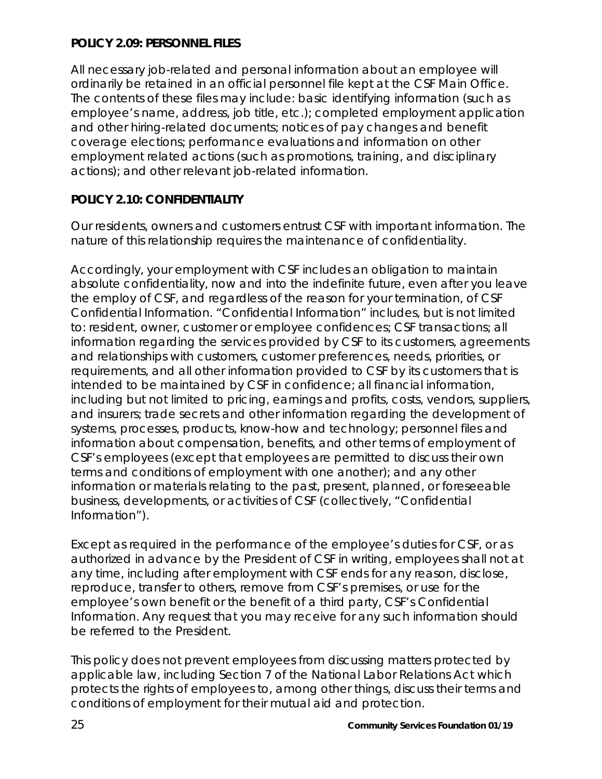# <span id="page-24-0"></span>**POLICY 2.09: PERSONNEL FILES**

All necessary job-related and personal information about an employee will ordinarily be retained in an official personnel file kept at the CSF Main Office. The contents of these files may include: basic identifying information (such as employee's name, address, job title, etc.); completed employment application and other hiring-related documents; notices of pay changes and benefit coverage elections; performance evaluations and information on other employment related actions (such as promotions, training, and disciplinary actions); and other relevant job-related information.

#### <span id="page-24-1"></span>**POLICY 2.10: CONFIDENTIALITY**

Our residents, owners and customers entrust CSF with important information. The nature of this relationship requires the maintenance of confidentiality.

Accordingly, your employment with CSF includes an obligation to maintain absolute confidentiality, now and into the indefinite future, even after you leave the employ of CSF, and regardless of the reason for your termination, of CSF Confidential Information. "Confidential Information" includes, but is not limited to: resident, owner, customer or employee confidences; CSF transactions; all information regarding the services provided by CSF to its customers, agreements and relationships with customers, customer preferences, needs, priorities, or requirements, and all other information provided to CSF by its customers that is intended to be maintained by CSF in confidence; all financial information, including but not limited to pricing, earnings and profits, costs, vendors, suppliers, and insurers; trade secrets and other information regarding the development of systems, processes, products, know-how and technology; personnel files and information about compensation, benefits, and other terms of employment of CSF's employees (except that employees are permitted to discuss their own terms and conditions of employment with one another); and any other information or materials relating to the past, present, planned, or foreseeable business, developments, or activities of CSF (collectively, "Confidential Information").

Except as required in the performance of the employee's duties for CSF, or as authorized in advance by the President of CSF in writing, employees shall not at any time, including after employment with CSF ends for any reason, disclose, reproduce, transfer to others, remove from CSF's premises, or use for the employee's own benefit or the benefit of a third party, CSF's Confidential Information. Any request that you may receive for any such information should be referred to the President.

This policy does not prevent employees from discussing matters protected by applicable law, including Section 7 of the National Labor Relations Act which protects the rights of employees to, among other things, discuss their terms and conditions of employment for their mutual aid and protection.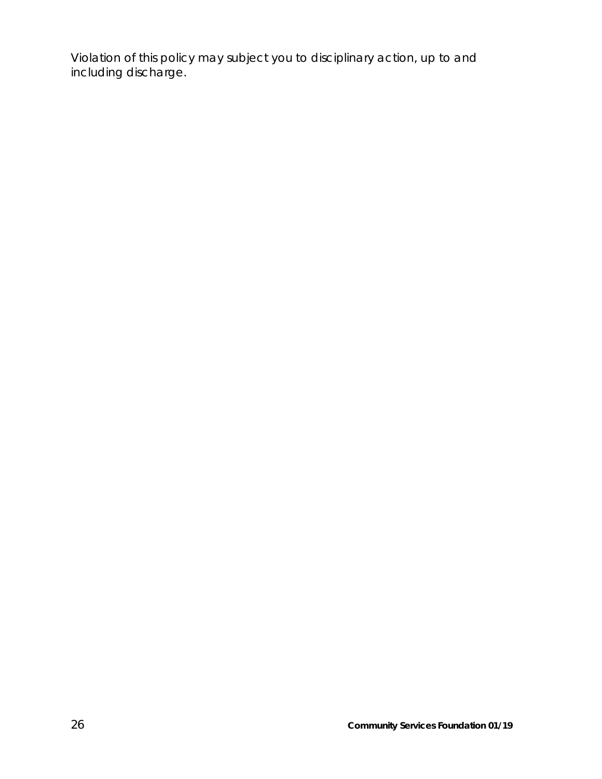Violation of this policy may subject you to disciplinary action, up to and including discharge.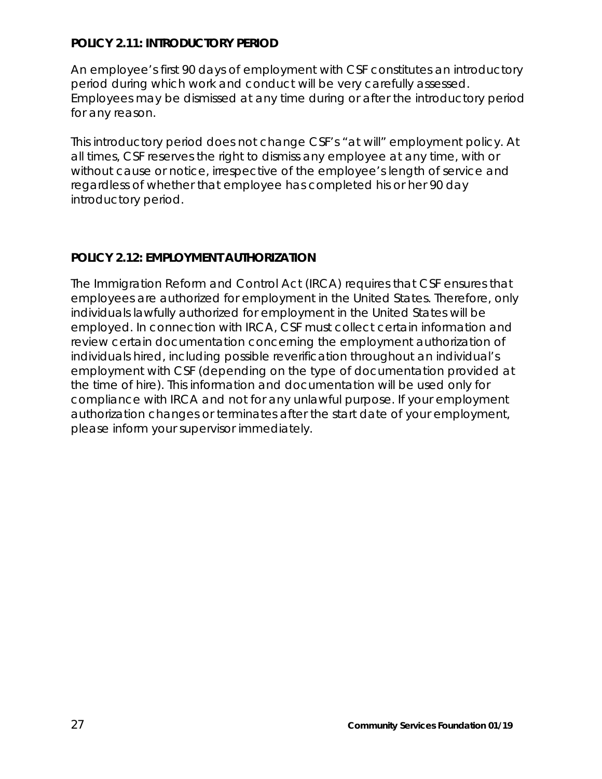# <span id="page-26-0"></span>**POLICY 2.11: INTRODUCTORY PERIOD**

An employee's first 90 days of employment with CSF constitutes an introductory period during which work and conduct will be very carefully assessed. Employees may be dismissed at any time during or after the introductory period for any reason.

This introductory period does not change CSF's "at will" employment policy. At all times, CSF reserves the right to dismiss any employee at any time, with or without cause or notice, irrespective of the employee's length of service and regardless of whether that employee has completed his or her 90 day introductory period.

#### <span id="page-26-1"></span>**POLICY 2.12: EMPLOYMENT AUTHORIZATION**

The Immigration Reform and Control Act (IRCA) requires that CSF ensures that employees are authorized for employment in the United States. Therefore, only individuals lawfully authorized for employment in the United States will be employed. In connection with IRCA, CSF must collect certain information and review certain documentation concerning the employment authorization of individuals hired, including possible reverification throughout an individual's employment with CSF (depending on the type of documentation provided at the time of hire). This information and documentation will be used only for compliance with IRCA and not for any unlawful purpose. If your employment authorization changes or terminates after the start date of your employment, please inform your supervisor immediately.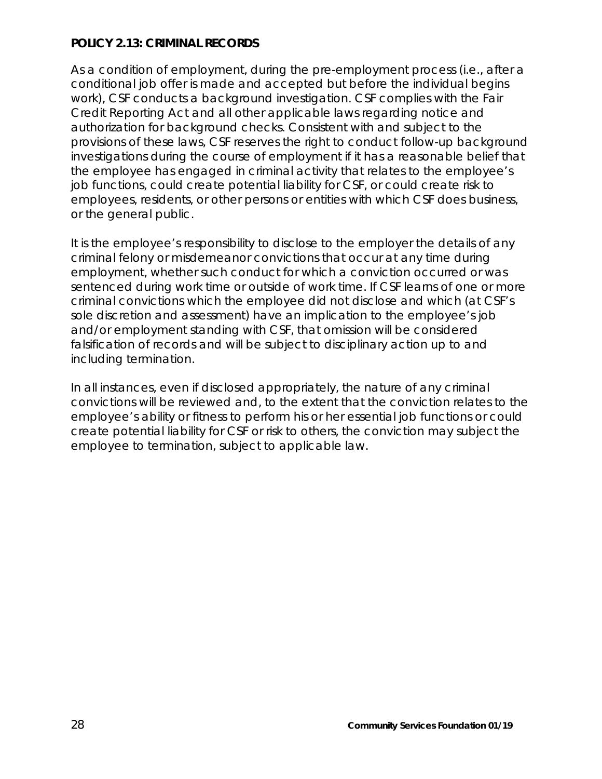#### <span id="page-27-0"></span>**POLICY 2.13: CRIMINAL RECORDS**

As a condition of employment, during the pre-employment process (i.e., after a conditional job offer is made and accepted but before the individual begins work), CSF conducts a background investigation. CSF complies with the Fair Credit Reporting Act and all other applicable laws regarding notice and authorization for background checks. Consistent with and subject to the provisions of these laws, CSF reserves the right to conduct follow-up background investigations during the course of employment if it has a reasonable belief that the employee has engaged in criminal activity that relates to the employee's job functions, could create potential liability for CSF, or could create risk to employees, residents, or other persons or entities with which CSF does business, or the general public.

It is the employee's responsibility to disclose to the employer the details of any criminal felony or misdemeanor convictions that occur at any time during employment, whether such conduct for which a conviction occurred or was sentenced during work time or outside of work time. If CSF learns of one or more criminal convictions which the employee did not disclose and which (at CSF's sole discretion and assessment) have an implication to the employee's job and/or employment standing with CSF, that omission will be considered falsification of records and will be subject to disciplinary action up to and including termination.

In all instances, even if disclosed appropriately, the nature of any criminal convictions will be reviewed and, to the extent that the conviction relates to the employee's ability or fitness to perform his or her essential job functions or could create potential liability for CSF or risk to others, the conviction may subject the employee to termination, subject to applicable law.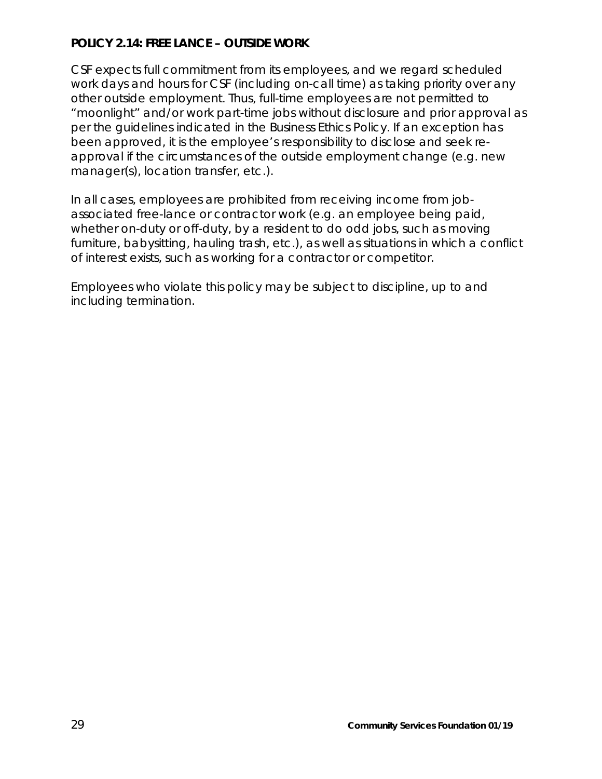# <span id="page-28-0"></span>**POLICY 2.14: FREE LANCE – OUTSIDE WORK**

CSF expects full commitment from its employees, and we regard scheduled work days and hours for CSF (including on-call time) as taking priority over any other outside employment. Thus, full-time employees are not permitted to "moonlight" and/or work part-time jobs without disclosure and prior approval as per the guidelines indicated in the Business Ethics Policy. If an exception has been approved, it is the employee's responsibility to disclose and seek reapproval if the circumstances of the outside employment change (e.g. new manager(s), location transfer, etc.).

In all cases, employees are prohibited from receiving income from jobassociated free-lance or contractor work (e.g. an employee being paid, whether on-duty or off-duty, by a resident to do odd jobs, such as moving furniture, babysitting, hauling trash, etc.), as well as situations in which a conflict of interest exists, such as working for a contractor or competitor.

Employees who violate this policy may be subject to discipline, up to and including termination.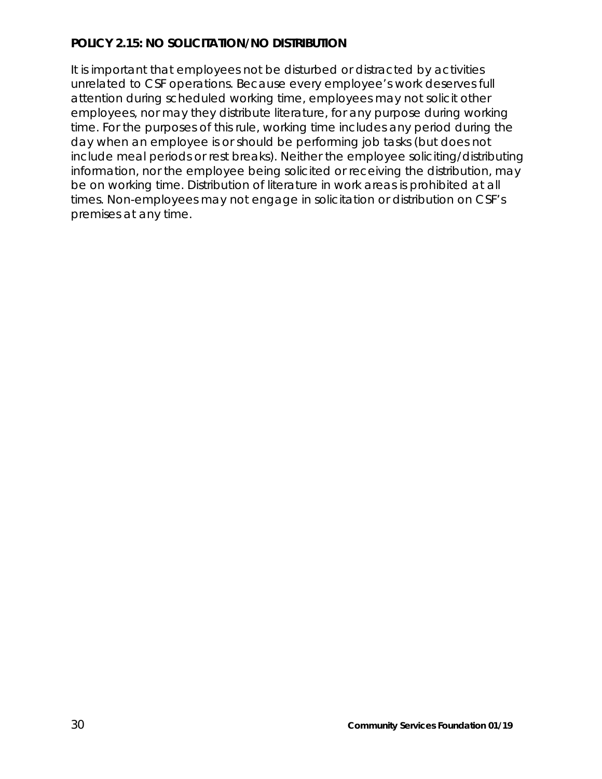# <span id="page-29-0"></span>**POLICY 2.15: NO SOLICITATION/NO DISTRIBUTION**

It is important that employees not be disturbed or distracted by activities unrelated to CSF operations. Because every employee's work deserves full attention during scheduled working time, employees may not solicit other employees, nor may they distribute literature, for any purpose during working time. For the purposes of this rule, working time includes any period during the day when an employee is or should be performing job tasks (but does not include meal periods or rest breaks). Neither the employee soliciting/distributing information, nor the employee being solicited or receiving the distribution, may be on working time. Distribution of literature in work areas is prohibited at all times. Non-employees may not engage in solicitation or distribution on CSF's premises at any time.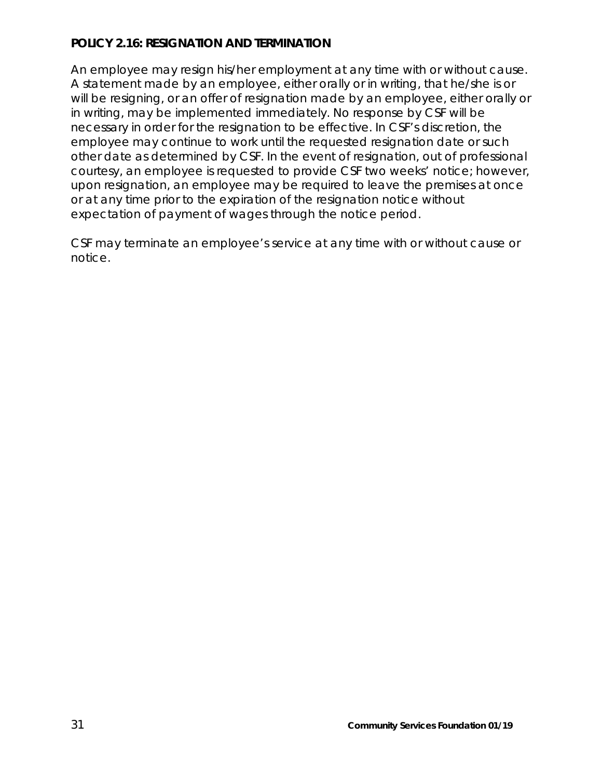# <span id="page-30-0"></span>**POLICY 2.16: RESIGNATION AND TERMINATION**

An employee may resign his/her employment at any time with or without cause. A statement made by an employee, either orally or in writing, that he/she is or will be resigning, or an offer of resignation made by an employee, either orally or in writing, may be implemented immediately. No response by CSF will be necessary in order for the resignation to be effective. In CSF's discretion, the employee may continue to work until the requested resignation date or such other date as determined by CSF. In the event of resignation, out of professional courtesy, an employee is requested to provide CSF two weeks' notice; however, upon resignation, an employee may be required to leave the premises at once or at any time prior to the expiration of the resignation notice without expectation of payment of wages through the notice period.

CSF may terminate an employee's service at any time with or without cause or notice.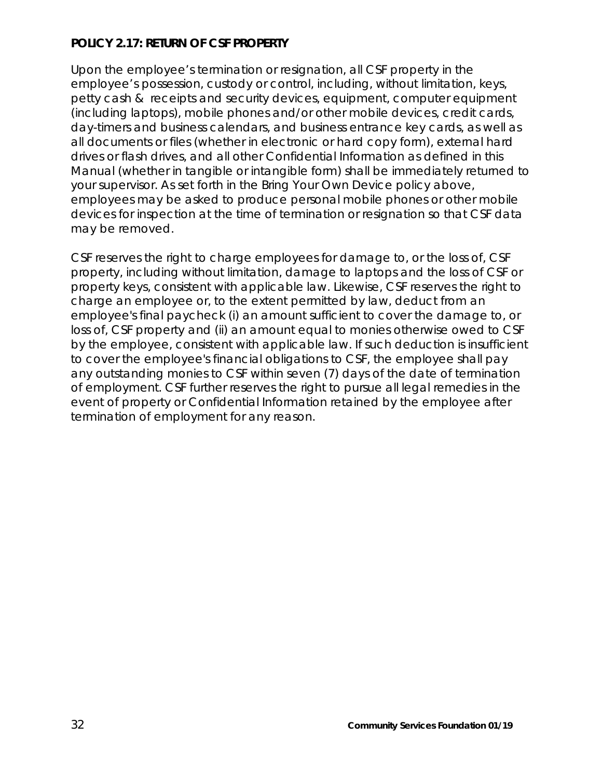# <span id="page-31-0"></span>**POLICY 2.17: RETURN OF CSF PROPERTY**

Upon the employee's termination or resignation, all CSF property in the employee's possession, custody or control, including, without limitation, keys, petty cash & receipts and security devices, equipment, computer equipment (including laptops), mobile phones and/or other mobile devices, credit cards, day-timers and business calendars, and business entrance key cards, as well as all documents or files (whether in electronic or hard copy form), external hard drives or flash drives, and all other Confidential Information as defined in this Manual (whether in tangible or intangible form) shall be immediately returned to your supervisor. As set forth in the Bring Your Own Device policy above, employees may be asked to produce personal mobile phones or other mobile devices for inspection at the time of termination or resignation so that CSF data may be removed.

CSF reserves the right to charge employees for damage to, or the loss of, CSF property, including without limitation, damage to laptops and the loss of CSF or property keys, consistent with applicable law. Likewise, CSF reserves the right to charge an employee or, to the extent permitted by law, deduct from an employee's final paycheck (i) an amount sufficient to cover the damage to, or loss of, CSF property and (ii) an amount equal to monies otherwise owed to CSF by the employee, consistent with applicable law. If such deduction is insufficient to cover the employee's financial obligations to CSF, the employee shall pay any outstanding monies to CSF within seven (7) days of the date of termination of employment. CSF further reserves the right to pursue all legal remedies in the event of property or Confidential Information retained by the employee after termination of employment for any reason.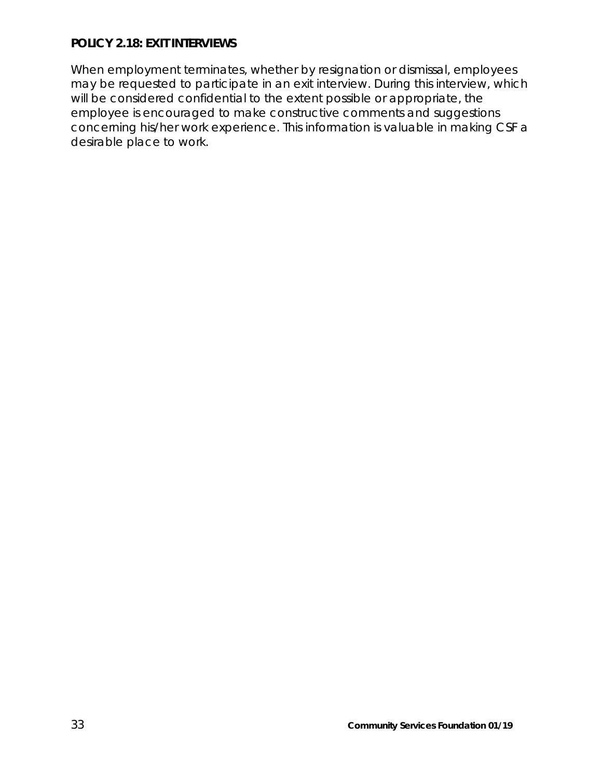#### <span id="page-32-0"></span>**POLICY 2.18: EXIT INTERVIEWS**

When employment terminates, whether by resignation or dismissal, employees may be requested to participate in an exit interview. During this interview, which will be considered confidential to the extent possible or appropriate, the employee is encouraged to make constructive comments and suggestions concerning his/her work experience. This information is valuable in making CSF a desirable place to work.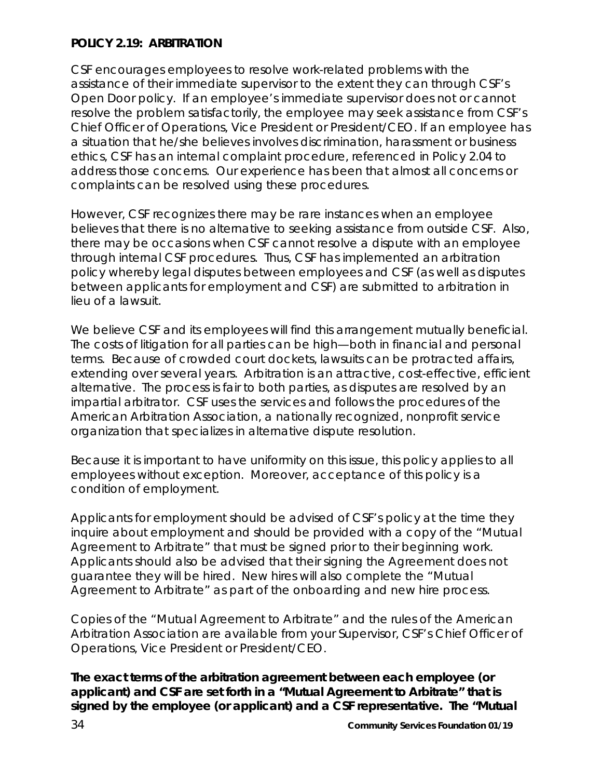#### **POLICY 2.19: ARBITRATION**

CSF encourages employees to resolve work-related problems with the assistance of their immediate supervisor to the extent they can through CSF's Open Door policy. If an employee's immediate supervisor does not or cannot resolve the problem satisfactorily, the employee may seek assistance from CSF's Chief Officer of Operations, Vice President or President/CEO. If an employee has a situation that he/she believes involves discrimination, harassment or business ethics, CSF has an internal complaint procedure, referenced in Policy 2.04 to address those concerns. Our experience has been that almost all concerns or complaints can be resolved using these procedures.

However, CSF recognizes there may be rare instances when an employee believes that there is no alternative to seeking assistance from outside CSF. Also, there may be occasions when CSF cannot resolve a dispute with an employee through internal CSF procedures. Thus, CSF has implemented an arbitration policy whereby legal disputes between employees and CSF (as well as disputes between applicants for employment and CSF) are submitted to arbitration in lieu of a lawsuit.

We believe CSF and its employees will find this arrangement mutually beneficial. The costs of litigation for all parties can be high—both in financial and personal terms. Because of crowded court dockets, lawsuits can be protracted affairs, extending over several years. Arbitration is an attractive, cost-effective, efficient alternative. The process is fair to both parties, as disputes are resolved by an impartial arbitrator. CSF uses the services and follows the procedures of the American Arbitration Association, a nationally recognized, nonprofit service organization that specializes in alternative dispute resolution.

Because it is important to have uniformity on this issue, this policy applies to all employees without exception. Moreover, acceptance of this policy is a condition of employment.

Applicants for employment should be advised of CSF's policy at the time they inquire about employment and should be provided with a copy of the "Mutual Agreement to Arbitrate" that must be signed prior to their beginning work. Applicants should also be advised that their signing the Agreement does not guarantee they will be hired. New hires will also complete the "Mutual Agreement to Arbitrate" as part of the onboarding and new hire process.

Copies of the "Mutual Agreement to Arbitrate" and the rules of the American Arbitration Association are available from your Supervisor, CSF's Chief Officer of Operations, Vice President or President/CEO.

**The exact terms of the arbitration agreement between each employee (or applicant) and CSF are set forth in a "Mutual Agreement to Arbitrate" that is signed by the employee (or applicant) and a CSF representative. The "Mutual**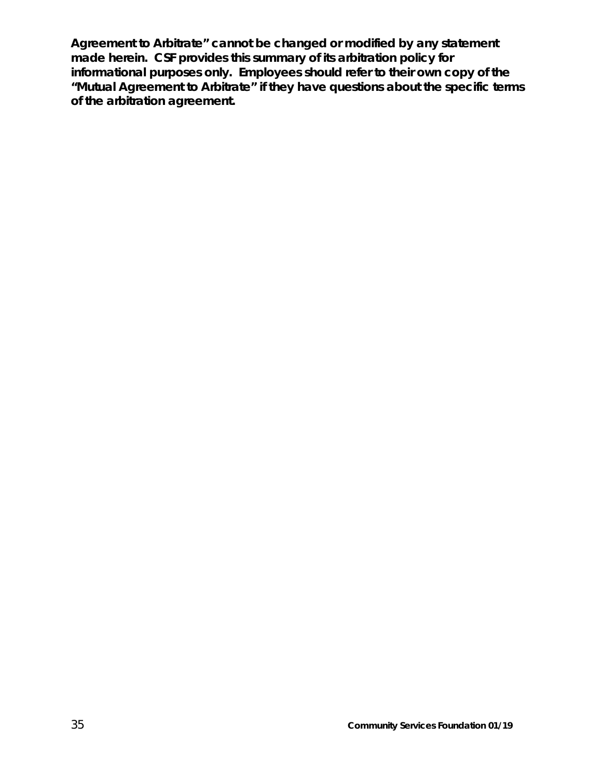**Agreement to Arbitrate" cannot be changed or modified by any statement made herein. CSF provides this summary of its arbitration policy for informational purposes only. Employees should refer to their own copy of the "Mutual Agreement to Arbitrate" if they have questions about the specific terms of the arbitration agreement.**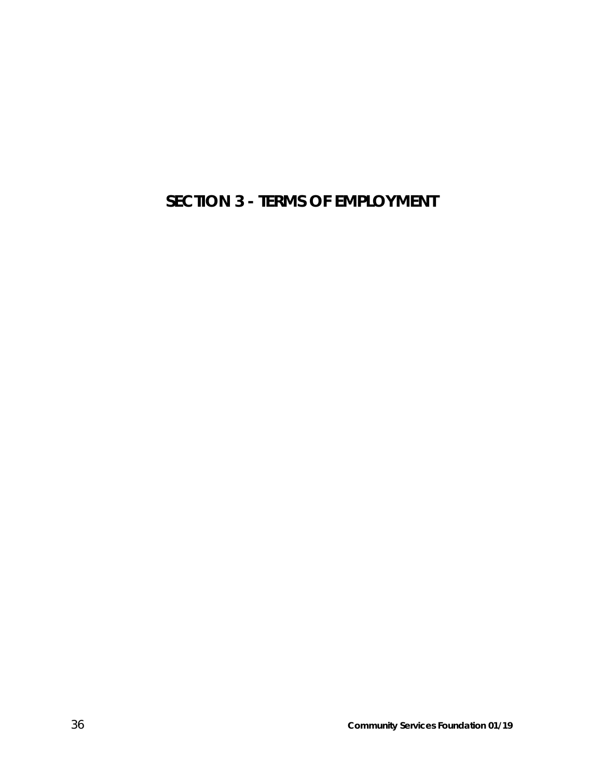<span id="page-35-0"></span>**SECTION 3 - TERMS OF EMPLOYMENT**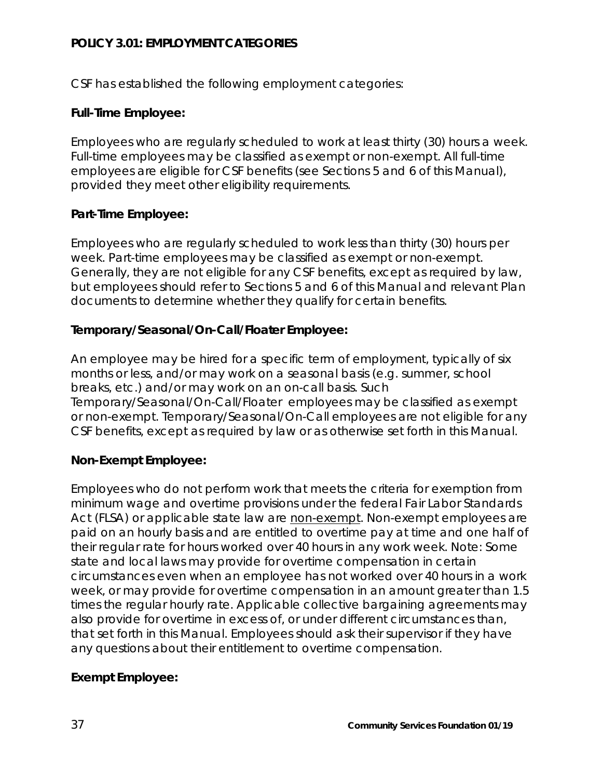### **POLICY 3.01: EMPLOYMENT CATEGORIES**

CSF has established the following employment categories:

### **Full-Time Employee:**

Employees who are regularly scheduled to work at least thirty (30) hours a week. Full-time employees may be classified as exempt or non-exempt. All full-time employees are eligible for CSF benefits (see Sections 5 and 6 of this Manual), provided they meet other eligibility requirements.

#### **Part-Time Employee:**

Employees who are regularly scheduled to work less than thirty (30) hours per week. Part-time employees may be classified as exempt or non-exempt. Generally, they are not eligible for any CSF benefits, except as required by law, but employees should refer to Sections 5 and 6 of this Manual and relevant Plan documents to determine whether they qualify for certain benefits.

#### **Temporary/Seasonal/On-Call/Floater Employee:**

An employee may be hired for a specific term of employment, typically of six months or less, and/or may work on a seasonal basis (e.g. summer, school breaks, etc.) and/or may work on an on-call basis. Such Temporary/Seasonal/On-Call/Floater employees may be classified as exempt or non-exempt. Temporary/Seasonal/On-Call employees are not eligible for any CSF benefits, except as required by law or as otherwise set forth in this Manual.

#### **Non-Exempt Employee:**

Employees who do not perform work that meets the criteria for exemption from minimum wage and overtime provisions under the federal Fair Labor Standards Act (FLSA) or applicable state law are non-exempt. Non-exempt employees are paid on an hourly basis and are entitled to overtime pay at time and one half of their regular rate for hours worked over 40 hours in any work week. Note: Some state and local laws may provide for overtime compensation in certain circumstances even when an employee has not worked over 40 hours in a work week, or may provide for overtime compensation in an amount greater than 1.5 times the regular hourly rate. Applicable collective bargaining agreements may also provide for overtime in excess of, or under different circumstances than, that set forth in this Manual. Employees should ask their supervisor if they have any questions about their entitlement to overtime compensation.

## **Exempt Employee:**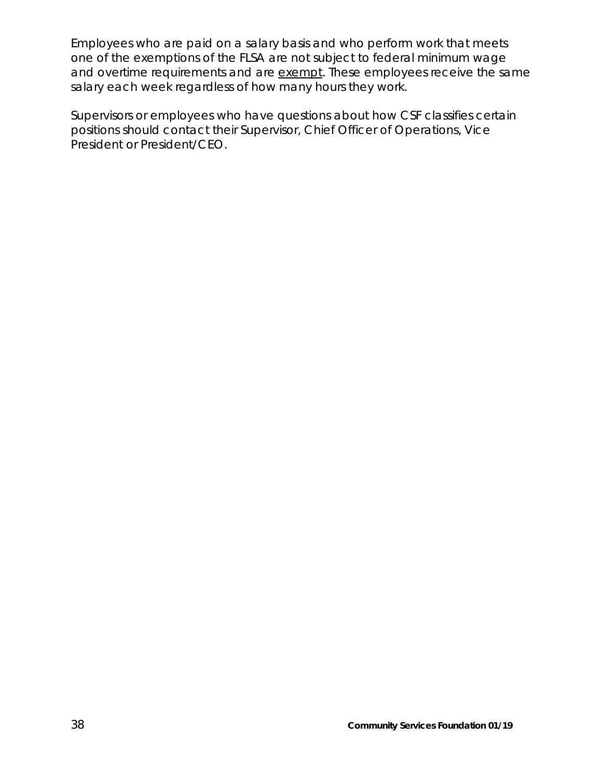Employees who are paid on a salary basis and who perform work that meets one of the exemptions of the FLSA are not subject to federal minimum wage and overtime requirements and are exempt. These employees receive the same salary each week regardless of how many hours they work.

Supervisors or employees who have questions about how CSF classifies certain positions should contact their Supervisor, Chief Officer of Operations, Vice President or President/CEO.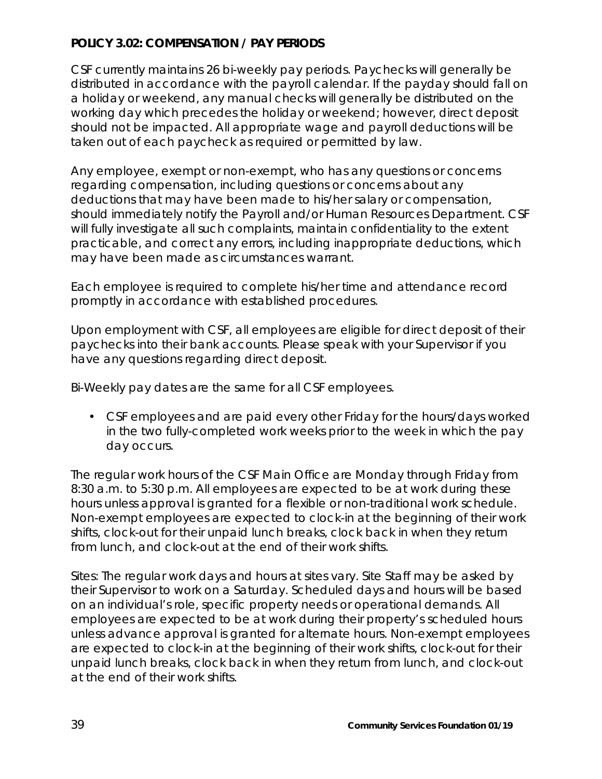## **POLICY 3.02: COMPENSATION / PAY PERIODS**

CSF currently maintains 26 bi-weekly pay periods. Paychecks will generally be distributed in accordance with the payroll calendar. If the payday should fall on a holiday or weekend, any manual checks will generally be distributed on the working day which precedes the holiday or weekend; however, direct deposit should not be impacted. All appropriate wage and payroll deductions will be taken out of each paycheck as required or permitted by law.

Any employee, exempt or non-exempt, who has any questions or concerns regarding compensation, including questions or concerns about any deductions that may have been made to his/her salary or compensation, should immediately notify the Payroll and/or Human Resources Department. CSF will fully investigate all such complaints, maintain confidentiality to the extent practicable, and correct any errors, including inappropriate deductions, which may have been made as circumstances warrant.

Each employee is required to complete his/her time and attendance record promptly in accordance with established procedures.

Upon employment with CSF, all employees are eligible for direct deposit of their paychecks into their bank accounts. Please speak with your Supervisor if you have any questions regarding direct deposit.

Bi-Weekly pay dates are the same for all CSF employees.

• CSF employees and are paid every other Friday for the hours/days worked in the two fully-completed work weeks prior to the week in which the pay day occurs.

The regular work hours of the CSF Main Office are Monday through Friday from 8:30 a.m. to 5:30 p.m. All employees are expected to be at work during these hours unless approval is granted for a flexible or non-traditional work schedule. Non-exempt employees are expected to clock-in at the beginning of their work shifts, clock-out for their unpaid lunch breaks, clock back in when they return from lunch, and clock-out at the end of their work shifts.

Sites: The regular work days and hours at sites vary. Site Staff may be asked by their Supervisor to work on a Saturday. Scheduled days and hours will be based on an individual's role, specific property needs or operational demands. All employees are expected to be at work during their property's scheduled hours unless advance approval is granted for alternate hours. Non-exempt employees are expected to clock-in at the beginning of their work shifts, clock-out for their unpaid lunch breaks, clock back in when they return from lunch, and clock-out at the end of their work shifts.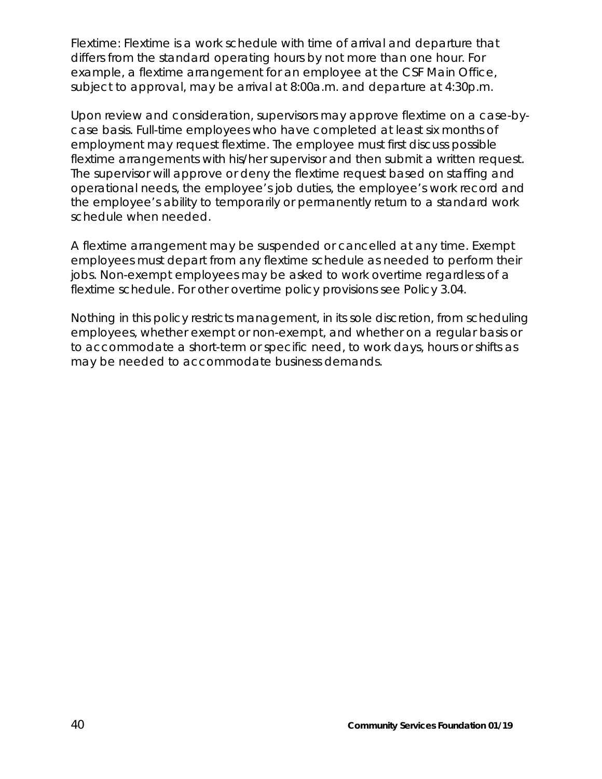Flextime: Flextime is a work schedule with time of arrival and departure that differs from the standard operating hours by not more than one hour. For example, a flextime arrangement for an employee at the CSF Main Office, subject to approval, may be arrival at 8:00a.m. and departure at 4:30p.m.

Upon review and consideration, supervisors may approve flextime on a case-bycase basis. Full-time employees who have completed at least six months of employment may request flextime. The employee must first discuss possible flextime arrangements with his/her supervisor and then submit a written request. The supervisor will approve or deny the flextime request based on staffing and operational needs, the employee's job duties, the employee's work record and the employee's ability to temporarily or permanently return to a standard work schedule when needed.

A flextime arrangement may be suspended or cancelled at any time. Exempt employees must depart from any flextime schedule as needed to perform their jobs. Non-exempt employees may be asked to work overtime regardless of a flextime schedule. For other overtime policy provisions see Policy 3.04.

Nothing in this policy restricts management, in its sole discretion, from scheduling employees, whether exempt or non-exempt, and whether on a regular basis or to accommodate a short-term or specific need, to work days, hours or shifts as may be needed to accommodate business demands.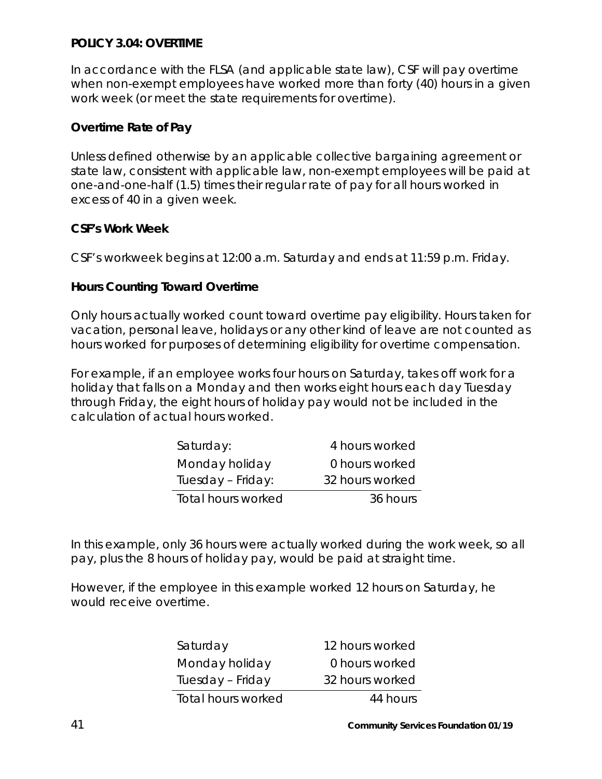### **POLICY 3.04: OVERTIME**

In accordance with the FLSA (and applicable state law), CSF will pay overtime when non-exempt employees have worked more than forty (40) hours in a given work week (or meet the state requirements for overtime).

### **Overtime Rate of Pay**

Unless defined otherwise by an applicable collective bargaining agreement or state law, consistent with applicable law, non-exempt employees will be paid at one-and-one-half (1.5) times their regular rate of pay for all hours worked in excess of 40 in a given week.

#### **CSF's Work Week**

CSF's workweek begins at 12:00 a.m. Saturday and ends at 11:59 p.m. Friday.

#### **Hours Counting Toward Overtime**

Only hours actually worked count toward overtime pay eligibility. Hours taken for vacation, personal leave, holidays or any other kind of leave are not counted as hours worked for purposes of determining eligibility for overtime compensation.

For example, if an employee works four hours on Saturday, takes off work for a holiday that falls on a Monday and then works eight hours each day Tuesday through Friday, the eight hours of holiday pay would not be included in the calculation of actual hours worked.

| Saturday:          | 4 hours worked  |
|--------------------|-----------------|
| Monday holiday     | 0 hours worked  |
| Tuesday – Friday:  | 32 hours worked |
| Total hours worked | 36 hours        |

In this example, only 36 hours were actually worked during the work week, so all pay, plus the 8 hours of holiday pay, would be paid at straight time.

However, if the employee in this example worked 12 hours on Saturday, he would receive overtime.

| Saturday           | 12 hours worked |
|--------------------|-----------------|
| Monday holiday     | 0 hours worked  |
| Tuesday – Friday   | 32 hours worked |
| Total hours worked | 44 hours        |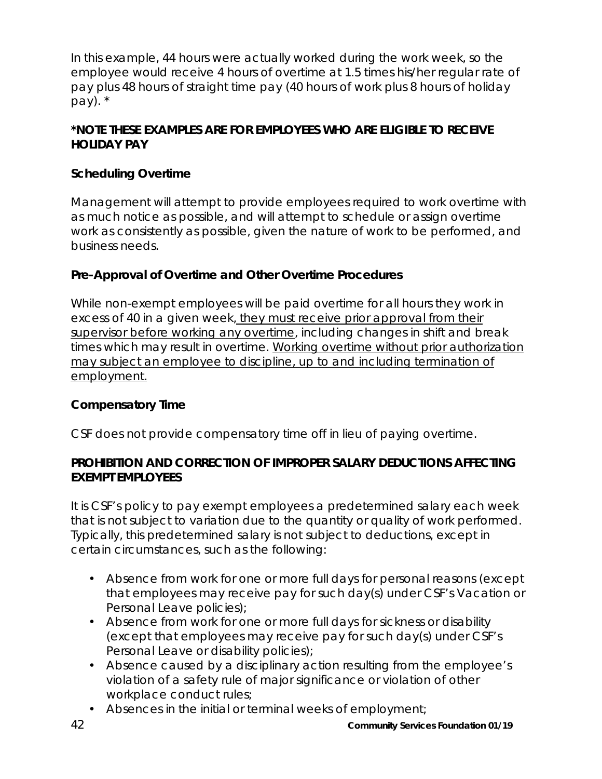In this example, 44 hours were actually worked during the work week, so the employee would receive 4 hours of overtime at 1.5 times his/her regular rate of pay plus 48 hours of straight time pay (40 hours of work plus 8 hours of holiday pay). \*

## **\*NOTE THESE EXAMPLES ARE FOR EMPLOYEES WHO ARE ELIGIBLE TO RECEIVE HOLIDAY PAY**

# **Scheduling Overtime**

Management will attempt to provide employees required to work overtime with as much notice as possible, and will attempt to schedule or assign overtime work as consistently as possible, given the nature of work to be performed, and business needs.

# **Pre-Approval of Overtime and Other Overtime Procedures**

While non-exempt employees will be paid overtime for all hours they work in excess of 40 in a given week, they must receive prior approval from their supervisor before working any overtime, including changes in shift and break times which may result in overtime. Working overtime without prior authorization may subject an employee to discipline, up to and including termination of employment.

## **Compensatory Time**

CSF does not provide compensatory time off in lieu of paying overtime.

## **PROHIBITION AND CORRECTION OF IMPROPER SALARY DEDUCTIONS AFFECTING EXEMPT EMPLOYEES**

It is CSF's policy to pay exempt employees a predetermined salary each week that is not subject to variation due to the quantity or quality of work performed. Typically, this predetermined salary is not subject to deductions, except in certain circumstances, such as the following:

- Absence from work for one or more full days for personal reasons (except that employees may receive pay for such day(s) under CSF's Vacation or Personal Leave policies);
- Absence from work for one or more full days for sickness or disability (except that employees may receive pay for such day(s) under CSF's Personal Leave or disability policies);
- Absence caused by a disciplinary action resulting from the employee's violation of a safety rule of major significance or violation of other workplace conduct rules;
- Absences in the initial or terminal weeks of employment;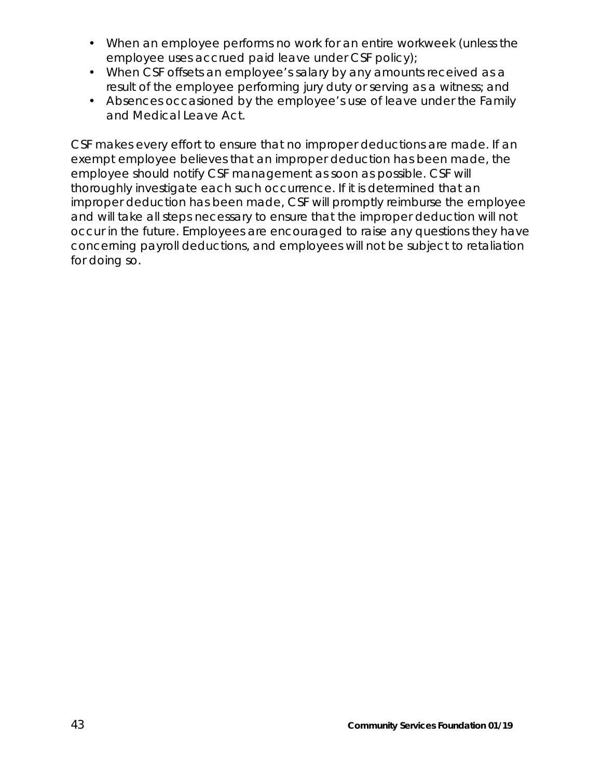- When an employee performs no work for an entire workweek (unless the employee uses accrued paid leave under CSF policy);
- When CSF offsets an employee's salary by any amounts received as a result of the employee performing jury duty or serving as a witness; and
- Absences occasioned by the employee's use of leave under the Family and Medical Leave Act.

CSF makes every effort to ensure that no improper deductions are made. If an exempt employee believes that an improper deduction has been made, the employee should notify CSF management as soon as possible. CSF will thoroughly investigate each such occurrence. If it is determined that an improper deduction has been made, CSF will promptly reimburse the employee and will take all steps necessary to ensure that the improper deduction will not occur in the future. Employees are encouraged to raise any questions they have concerning payroll deductions, and employees will not be subject to retaliation for doing so.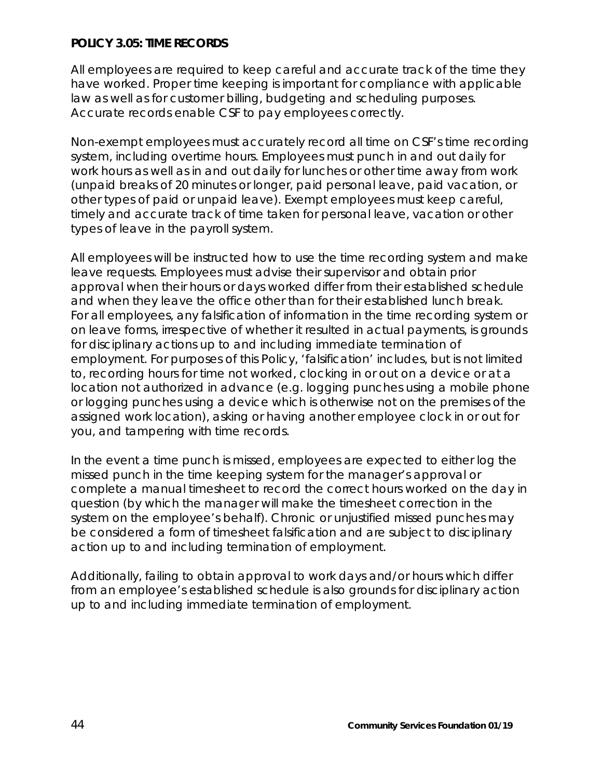### **POLICY 3.05: TIME RECORDS**

All employees are required to keep careful and accurate track of the time they have worked. Proper time keeping is important for compliance with applicable law as well as for customer billing, budgeting and scheduling purposes. Accurate records enable CSF to pay employees correctly.

Non-exempt employees must accurately record all time on CSF's time recording system, including overtime hours. Employees must punch in and out daily for work hours as well as in and out daily for lunches or other time away from work (unpaid breaks of 20 minutes or longer, paid personal leave, paid vacation, or other types of paid or unpaid leave). Exempt employees must keep careful, timely and accurate track of time taken for personal leave, vacation or other types of leave in the payroll system.

All employees will be instructed how to use the time recording system and make leave requests. Employees must advise their supervisor and obtain prior approval when their hours or days worked differ from their established schedule and when they leave the office other than for their established lunch break. For all employees, any falsification of information in the time recording system or on leave forms, irrespective of whether it resulted in actual payments, is grounds for disciplinary actions up to and including immediate termination of employment. For purposes of this Policy, 'falsification' includes, but is not limited to, recording hours for time not worked, clocking in or out on a device or at a location not authorized in advance (e.g. logging punches using a mobile phone or logging punches using a device which is otherwise not on the premises of the assigned work location), asking or having another employee clock in or out for you, and tampering with time records.

In the event a time punch is missed, employees are expected to either log the missed punch in the time keeping system for the manager's approval or complete a manual timesheet to record the correct hours worked on the day in question (by which the manager will make the timesheet correction in the system on the employee's behalf). Chronic or unjustified missed punches may be considered a form of timesheet falsification and are subject to disciplinary action up to and including termination of employment.

Additionally, failing to obtain approval to work days and/or hours which differ from an employee's established schedule is also grounds for disciplinary action up to and including immediate termination of employment.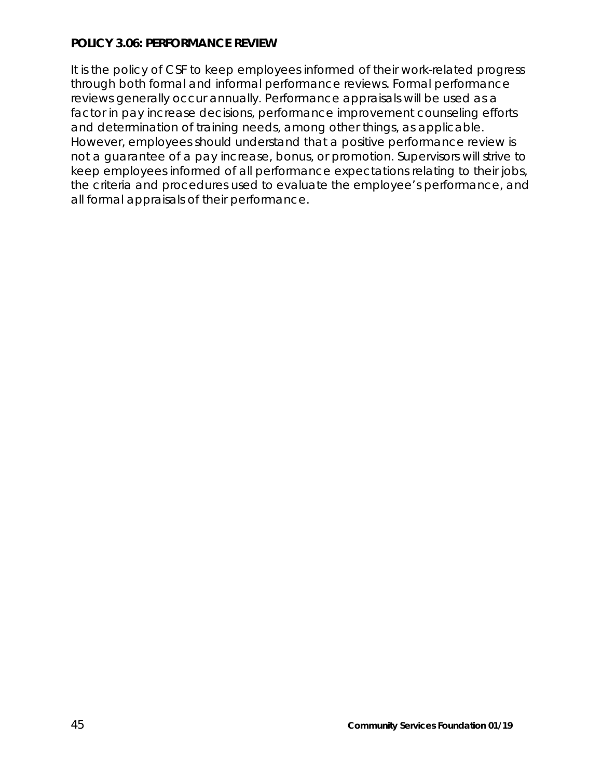### **POLICY 3.06: PERFORMANCE REVIEW**

It is the policy of CSF to keep employees informed of their work-related progress through both formal and informal performance reviews. Formal performance reviews generally occur annually. Performance appraisals will be used as a factor in pay increase decisions, performance improvement counseling efforts and determination of training needs, among other things, as applicable. However, employees should understand that a positive performance review is not a guarantee of a pay increase, bonus, or promotion. Supervisors will strive to keep employees informed of all performance expectations relating to their jobs, the criteria and procedures used to evaluate the employee's performance, and all formal appraisals of their performance.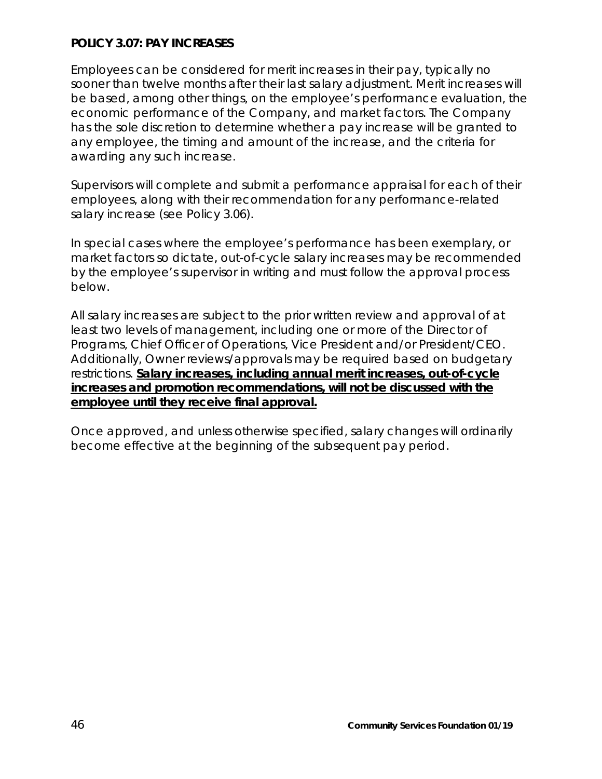#### **POLICY 3.07: PAY INCREASES**

Employees can be considered for merit increases in their pay, typically no sooner than twelve months after their last salary adjustment. Merit increases will be based, among other things, on the employee's performance evaluation, the economic performance of the Company, and market factors. The Company has the sole discretion to determine whether a pay increase will be granted to any employee, the timing and amount of the increase, and the criteria for awarding any such increase.

Supervisors will complete and submit a performance appraisal for each of their employees, along with their recommendation for any performance-related salary increase (see Policy 3.06).

In special cases where the employee's performance has been exemplary, or market factors so dictate, out-of-cycle salary increases may be recommended by the employee's supervisor in writing and must follow the approval process below.

All salary increases are subject to the prior written review and approval of at least two levels of management, including one or more of the Director of Programs, Chief Officer of Operations, Vice President and/or President/CEO. Additionally, Owner reviews/approvals may be required based on budgetary restrictions. **Salary increases, including annual merit increases, out-of-cycle increases and promotion recommendations, will not be discussed with the employee until they receive final approval.** 

Once approved, and unless otherwise specified, salary changes will ordinarily become effective at the beginning of the subsequent pay period.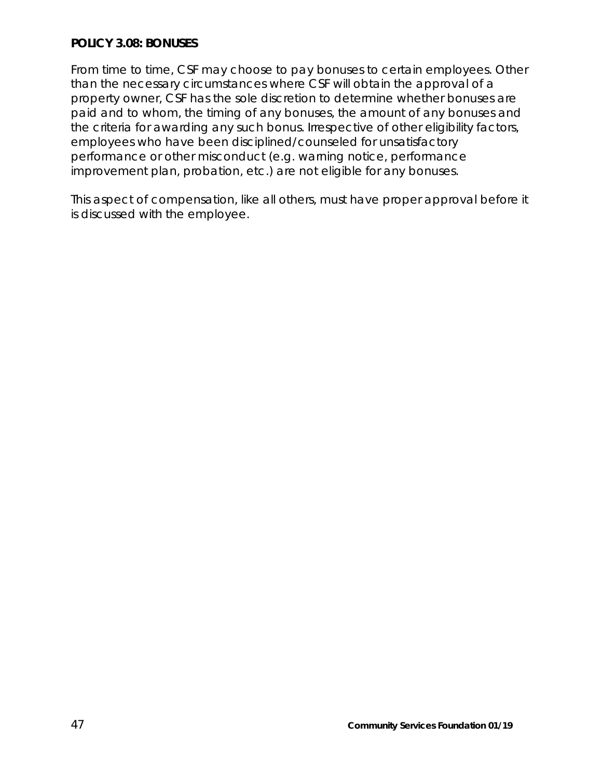#### **POLICY 3.08: BONUSES**

From time to time, CSF may choose to pay bonuses to certain employees. Other than the necessary circumstances where CSF will obtain the approval of a property owner, CSF has the sole discretion to determine whether bonuses are paid and to whom, the timing of any bonuses, the amount of any bonuses and the criteria for awarding any such bonus. Irrespective of other eligibility factors, employees who have been disciplined/counseled for unsatisfactory performance or other misconduct (e.g. warning notice, performance improvement plan, probation, etc.) are not eligible for any bonuses.

This aspect of compensation, like all others, must have proper approval before it is discussed with the employee.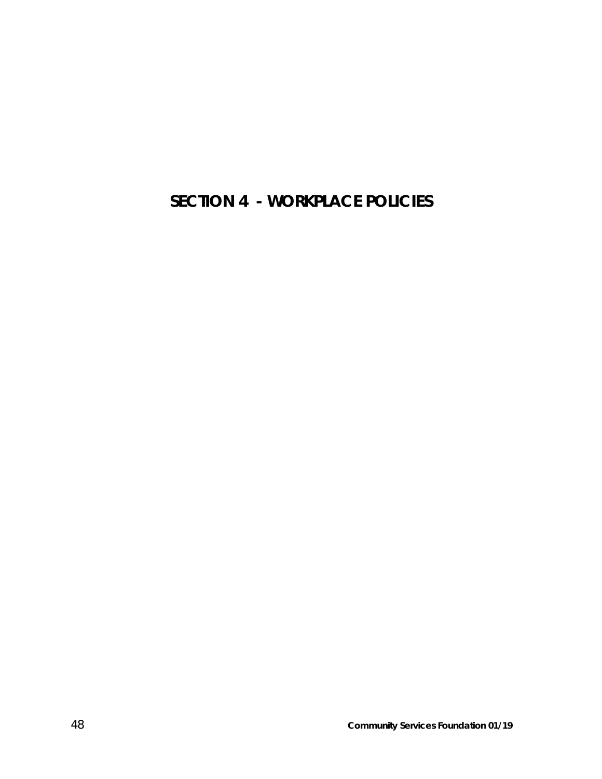**SECTION 4 - WORKPLACE POLICIES**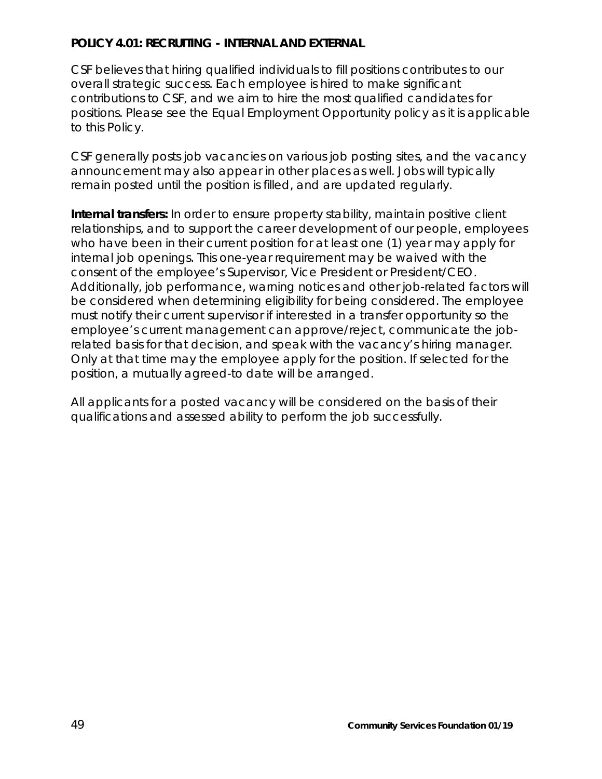## **POLICY 4.01: RECRUITING - INTERNAL AND EXTERNAL**

CSF believes that hiring qualified individuals to fill positions contributes to our overall strategic success. Each employee is hired to make significant contributions to CSF, and we aim to hire the most qualified candidates for positions. Please see the Equal Employment Opportunity policy as it is applicable to this Policy.

CSF generally posts job vacancies on various job posting sites, and the vacancy announcement may also appear in other places as well. Jobs will typically remain posted until the position is filled, and are updated regularly.

**Internal transfers:** In order to ensure property stability, maintain positive client relationships, and to support the career development of our people, employees who have been in their current position for at least one (1) year may apply for internal job openings. This one-year requirement may be waived with the consent of the employee's Supervisor, Vice President or President/CEO. Additionally, job performance, warning notices and other job-related factors will be considered when determining eligibility for being considered. The employee must notify their current supervisor if interested in a transfer opportunity so the employee's current management can approve/reject, communicate the jobrelated basis for that decision, and speak with the vacancy's hiring manager. Only at that time may the employee apply for the position. If selected for the position, a mutually agreed-to date will be arranged.

All applicants for a posted vacancy will be considered on the basis of their qualifications and assessed ability to perform the job successfully.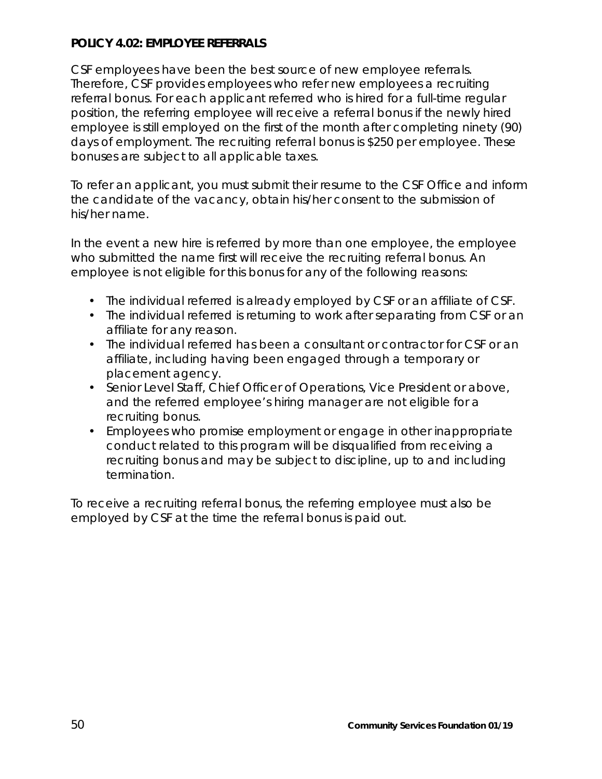### **POLICY 4.02: EMPLOYEE REFERRALS**

CSF employees have been the best source of new employee referrals. Therefore, CSF provides employees who refer new employees a recruiting referral bonus. For each applicant referred who is hired for a full-time regular position, the referring employee will receive a referral bonus if the newly hired employee is still employed on the first of the month after completing ninety (90) days of employment. The recruiting referral bonus is \$250 per employee. These bonuses are subject to all applicable taxes.

To refer an applicant, you must submit their resume to the CSF Office and inform the candidate of the vacancy, obtain his/her consent to the submission of his/her name.

In the event a new hire is referred by more than one employee, the employee who submitted the name first will receive the recruiting referral bonus. An employee is not eligible for this bonus for any of the following reasons:

- The individual referred is already employed by CSF or an affiliate of CSF.
- The individual referred is returning to work after separating from CSF or an affiliate for any reason.
- The individual referred has been a consultant or contractor for CSF or an affiliate, including having been engaged through a temporary or placement agency.
- Senior Level Staff, Chief Officer of Operations, Vice President or above, and the referred employee's hiring manager are not eligible for a recruiting bonus.
- Employees who promise employment or engage in other inappropriate conduct related to this program will be disqualified from receiving a recruiting bonus and may be subject to discipline, up to and including termination.

To receive a recruiting referral bonus, the referring employee must also be employed by CSF at the time the referral bonus is paid out.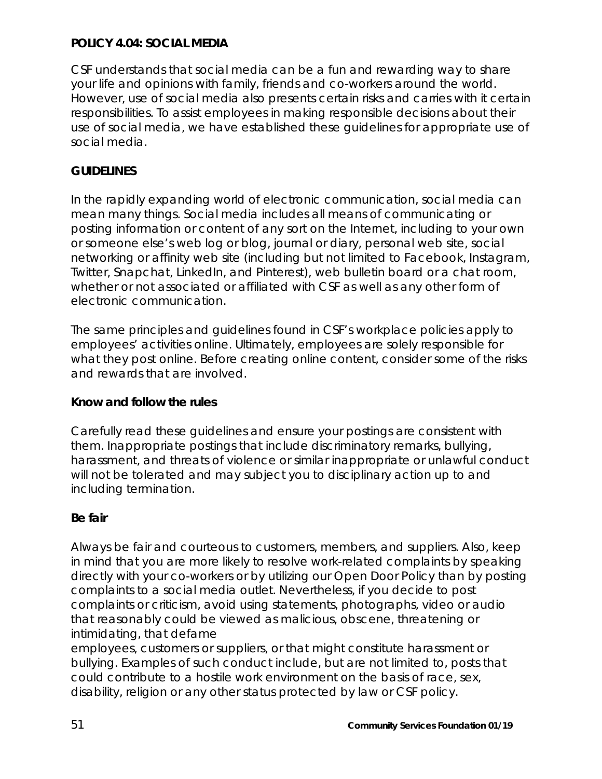## **POLICY 4.04: SOCIAL MEDIA**

CSF understands that social media can be a fun and rewarding way to share your life and opinions with family, friends and co-workers around the world. However, use of social media also presents certain risks and carries with it certain responsibilities. To assist employees in making responsible decisions about their use of social media, we have established these guidelines for appropriate use of social media.

# **GUIDELINES**

In the rapidly expanding world of electronic communication, *social media* can mean many things. *Social media* includes all means of communicating or posting information or content of any sort on the Internet, including to your own or someone else's web log or blog, journal or diary, personal web site, social networking or affinity web site (including but not limited to Facebook, Instagram, Twitter, Snapchat, LinkedIn, and Pinterest), web bulletin board or a chat room, whether or not associated or affiliated with CSF as well as any other form of electronic communication.

The same principles and guidelines found in CSF's workplace policies apply to employees' activities online. Ultimately, employees are solely responsible for what they post online. Before creating online content, consider some of the risks and rewards that are involved.

## **Know and follow the rules**

Carefully read these guidelines and ensure your postings are consistent with them. Inappropriate postings that include discriminatory remarks, bullying, harassment, and threats of violence or similar inappropriate or unlawful conduct will not be tolerated and may subject you to disciplinary action up to and including termination.

## **Be fair**

Always be fair and courteous to customers, members, and suppliers. Also, keep in mind that you are more likely to resolve work-related complaints by speaking directly with your co-workers or by utilizing our Open Door Policy than by posting complaints to a social media outlet. Nevertheless, if you decide to post complaints or criticism, avoid using statements, photographs, video or audio that reasonably could be viewed as malicious, obscene, threatening or intimidating, that defame

employees, customers or suppliers, or that might constitute harassment or bullying. Examples of such conduct include, but are not limited to, posts that could contribute to a hostile work environment on the basis of race, sex, disability, religion or any other status protected by law or CSF policy.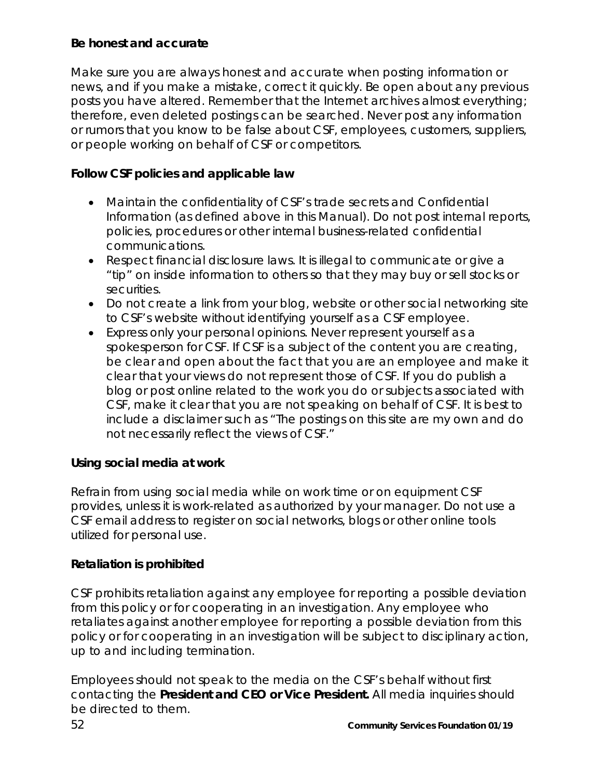### **Be honest and accurate**

Make sure you are always honest and accurate when posting information or news, and if you make a mistake, correct it quickly. Be open about any previous posts you have altered. Remember that the Internet archives almost everything; therefore, even deleted postings can be searched. Never post any information or rumors that you know to be false about CSF, employees, customers, suppliers, or people working on behalf of CSF or competitors.

### **Follow CSF policies and applicable law**

- Maintain the confidentiality of CSF's trade secrets and Confidential Information (as defined above in this Manual). Do not post internal reports, policies, procedures or other internal business-related confidential communications.
- Respect financial disclosure laws. It is illegal to communicate or give a "tip" on inside information to others so that they may buy or sell stocks or securities.
- Do not create a link from your blog, website or other social networking site to CSF's website without identifying yourself as a CSF employee.
- Express only your personal opinions. Never represent yourself as a spokesperson for CSF. If CSF is a subject of the content you are creating, be clear and open about the fact that you are an employee and make it clear that your views do not represent those of CSF. If you do publish a blog or post online related to the work you do or subjects associated with CSF, make it clear that you are not speaking on behalf of CSF. It is best to include a disclaimer such as "The postings on this site are my own and do not necessarily reflect the views of CSF."

#### **Using social media at work**

Refrain from using social media while on work time or on equipment CSF provides, unless it is work-related as authorized by your manager. Do not use a CSF email address to register on social networks, blogs or other online tools utilized for personal use.

## **Retaliation is prohibited**

CSF prohibits retaliation against any employee for reporting a possible deviation from this policy or for cooperating in an investigation. Any employee who retaliates against another employee for reporting a possible deviation from this policy or for cooperating in an investigation will be subject to disciplinary action, up to and including termination.

Employees should not speak to the media on the CSF's behalf without first contacting the **President and CEO or Vice President.** All media inquiries should be directed to them.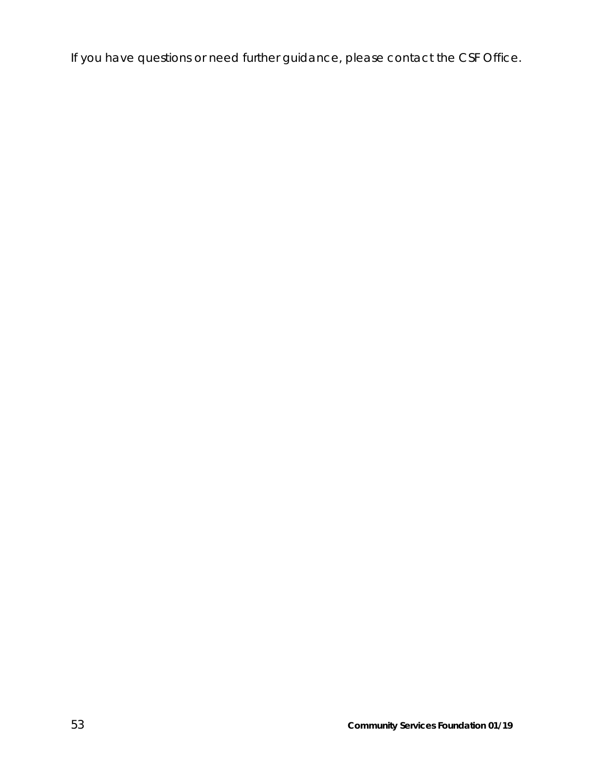If you have questions or need further guidance, please contact the CSF Office.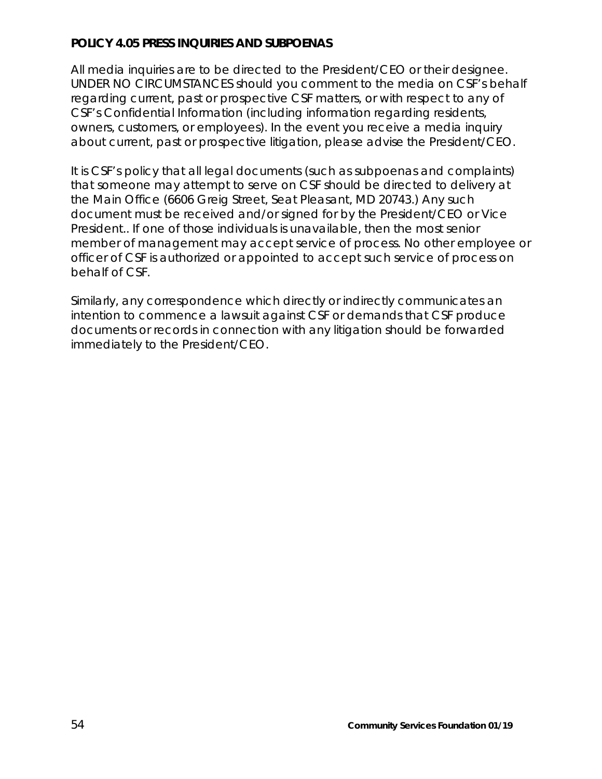### **POLICY 4.05 PRESS INQUIRIES AND SUBPOENAS**

All media inquiries are to be directed to the President/CEO or their designee. UNDER NO CIRCUMSTANCES should you comment to the media on CSF's behalf regarding current, past or prospective CSF matters, or with respect to any of CSF's Confidential Information (including information regarding residents, owners, customers, or employees). In the event you receive a media inquiry about current, past or prospective litigation, please advise the President/CEO.

It is CSF's policy that all legal documents (such as subpoenas and complaints) that someone may attempt to serve on CSF should be directed to delivery at the Main Office (6606 Greig Street, Seat Pleasant, MD 20743.) Any such document must be received and/or signed for by the President/CEO or Vice President.. If one of those individuals is unavailable, then the most senior member of management may accept service of process. No other employee or officer of CSF is authorized or appointed to accept such service of process on behalf of CSF.

Similarly, any correspondence which directly or indirectly communicates an intention to commence a lawsuit against CSF or demands that CSF produce documents or records in connection with any litigation should be forwarded immediately to the President/CEO.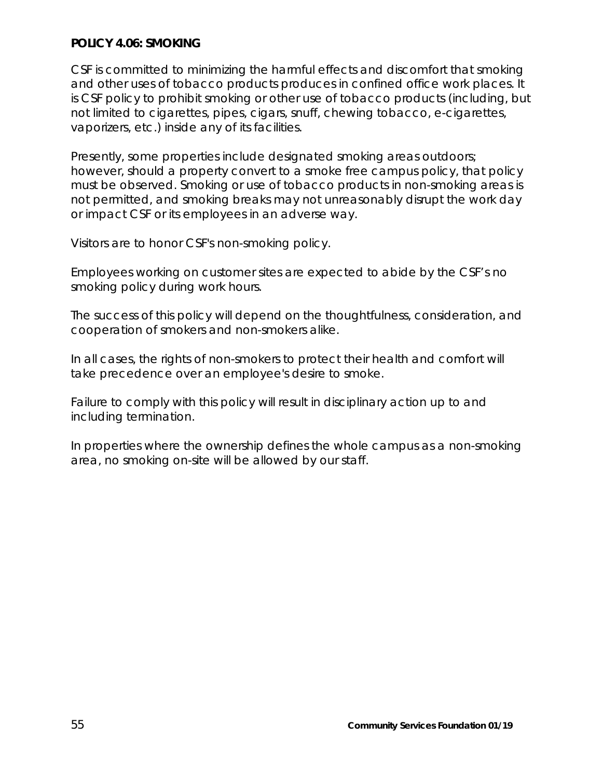#### **POLICY 4.06: SMOKING**

CSF is committed to minimizing the harmful effects and discomfort that smoking and other uses of tobacco products produces in confined office work places. It is CSF policy to prohibit smoking or other use of tobacco products (including, but not limited to cigarettes, pipes, cigars, snuff, chewing tobacco, e-cigarettes, vaporizers, etc.) inside any of its facilities.

Presently, some properties include designated smoking areas outdoors; however, should a property convert to a smoke free campus policy, that policy must be observed. Smoking or use of tobacco products in non-smoking areas is not permitted, and smoking breaks may not unreasonably disrupt the work day or impact CSF or its employees in an adverse way.

Visitors are to honor CSF's non-smoking policy.

Employees working on customer sites are expected to abide by the CSF's no smoking policy during work hours.

The success of this policy will depend on the thoughtfulness, consideration, and cooperation of smokers and non-smokers alike.

In all cases, the rights of non-smokers to protect their health and comfort will take precedence over an employee's desire to smoke.

Failure to comply with this policy will result in disciplinary action up to and including termination.

In properties where the ownership defines the whole campus as a non-smoking area, no smoking on-site will be allowed by our staff.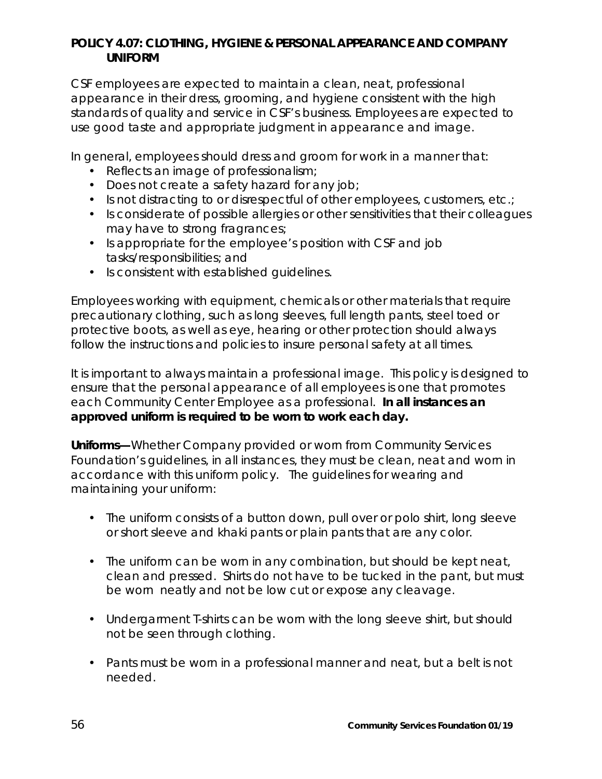### **POLICY 4.07: CLOTHING, HYGIENE & PERSONAL APPEARANCE AND COMPANY UNIFORM**

CSF employees are expected to maintain a clean, neat, professional appearance in their dress, grooming, and hygiene consistent with the high standards of quality and service in CSF's business. Employees are expected to use good taste and appropriate judgment in appearance and image.

In general, employees should dress and groom for work in a manner that:

- Reflects an image of professionalism;
- Does not create a safety hazard for any job;
- Is not distracting to or disrespectful of other employees, customers, etc.;
- Is considerate of possible allergies or other sensitivities that their colleagues may have to strong fragrances;
- Is appropriate for the employee's position with CSF and job tasks/responsibilities; and
- Is consistent with established guidelines.

Employees working with equipment, chemicals or other materials that require precautionary clothing, such as long sleeves, full length pants, steel toed or protective boots, as well as eye, hearing or other protection should always follow the instructions and policies to insure personal safety at all times.

It is important to always maintain a professional image. This policy is designed to ensure that the personal appearance of all employees is one that promotes each Community Center Employee as a professional. *In all instances an approved uniform is required to be worn to work each day.* 

*Uniforms—*Whether Company provided or worn from Community Services Foundation's guidelines, in all instances, they must be clean, neat and worn in accordance with this uniform policy. The guidelines for wearing and maintaining your uniform:

- The uniform consists of a button down, pull over or polo shirt, long sleeve or short sleeve and khaki pants or plain pants that are any color.
- The uniform can be worn in any combination, but should be kept neat, clean and pressed. Shirts do not have to be tucked in the pant, but must be worn neatly and not be low cut or expose any cleavage.
- Undergarment T-shirts can be worn with the long sleeve shirt, but should not be seen through clothing.
- Pants must be worn in a professional manner and neat, but a belt is not needed.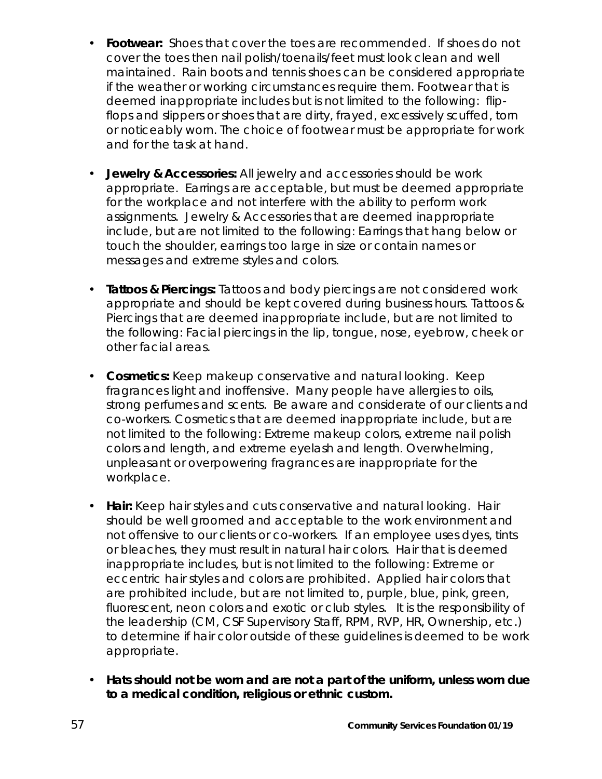- **Footwear:** Shoes that cover the toes are recommended. If shoes do not cover the toes then nail polish/toenails/feet must look clean and well maintained. Rain boots and tennis shoes can be considered appropriate if the weather or working circumstances require them. Footwear that is deemed inappropriate includes but is not limited to the following: flipflops and slippers or shoes that are dirty, frayed, excessively scuffed, torn or noticeably worn. The choice of footwear must be appropriate for work and for the task at hand.
- **Jewelry & Accessories:** All jewelry and accessories should be work appropriate. Earrings are acceptable, but must be deemed appropriate for the workplace and not interfere with the ability to perform work assignments. Jewelry & Accessories that are deemed inappropriate include, but are not limited to the following: Earrings that hang below or touch the shoulder, earrings too large in size or contain names or messages and extreme styles and colors.
- **Tattoos & Piercings:** Tattoos and body piercings are not considered work appropriate and should be kept covered during business hours. Tattoos & Piercings that are deemed inappropriate include, but are not limited to the following: Facial piercings in the lip, tongue, nose, eyebrow, cheek or other facial areas.
- **Cosmetics:** Keep makeup conservative and natural looking. Keep fragrances light and inoffensive. Many people have allergies to oils, strong perfumes and scents. Be aware and considerate of our clients and co-workers. Cosmetics that are deemed inappropriate include, but are not limited to the following: Extreme makeup colors, extreme nail polish colors and length, and extreme eyelash and length. Overwhelming, unpleasant or overpowering fragrances are inappropriate for the workplace.
- **Hair:** Keep hair styles and cuts conservative and natural looking. Hair should be well groomed and acceptable to the work environment and not offensive to our clients or co-workers. If an employee uses dyes, tints or bleaches, they must result in natural hair colors. Hair that is deemed inappropriate includes, but is not limited to the following: Extreme or eccentric hair styles and colors are prohibited. Applied hair colors that are prohibited include, but are not limited to, purple, blue, pink, green, fluorescent, neon colors and exotic or club styles. It is the responsibility of the leadership (CM, CSF Supervisory Staff, RPM, RVP, HR, Ownership, etc.) to determine if hair color outside of these guidelines is deemed to be work appropriate.
- *Hats should not be worn and are not a part of the uniform, unless worn due to a medical condition, religious or ethnic custom.*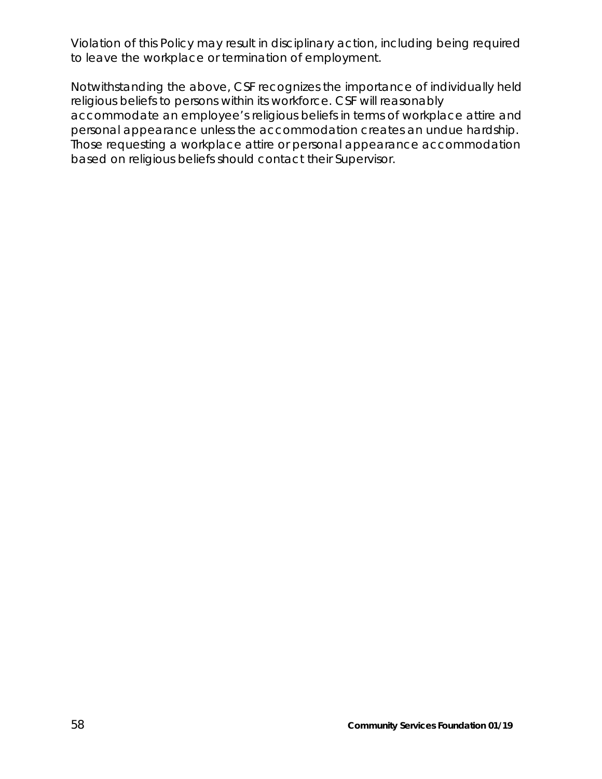Violation of this Policy may result in disciplinary action, including being required to leave the workplace or termination of employment.

Notwithstanding the above, CSF recognizes the importance of individually held religious beliefs to persons within its workforce. CSF will reasonably accommodate an employee's religious beliefs in terms of workplace attire and personal appearance unless the accommodation creates an undue hardship. Those requesting a workplace attire or personal appearance accommodation based on religious beliefs should contact their Supervisor.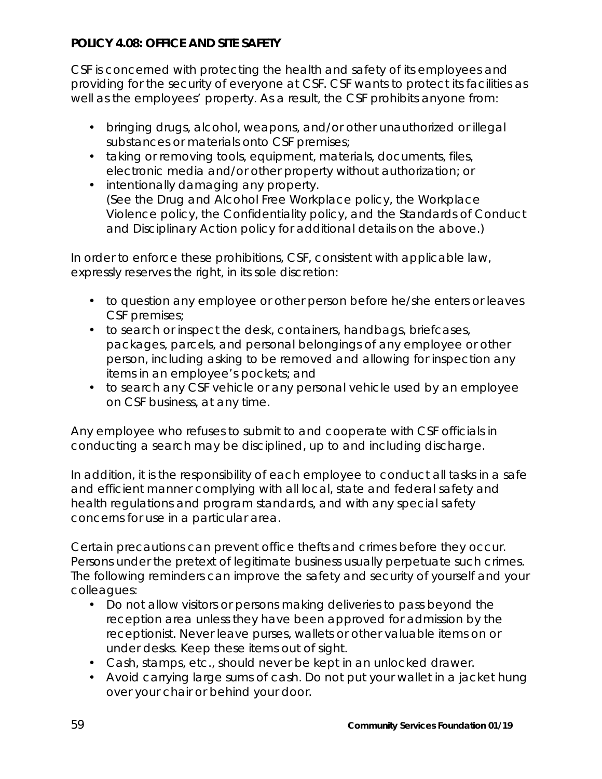# **POLICY 4.08: OFFICE AND SITE SAFETY**

CSF is concerned with protecting the health and safety of its employees and providing for the security of everyone at CSF. CSF wants to protect its facilities as well as the employees' property. As a result, the CSF prohibits anyone from:

- bringing drugs, alcohol, weapons, and/or other unauthorized or illegal substances or materials onto CSF premises;
- taking or removing tools, equipment, materials, documents, files, electronic media and/or other property without authorization; or
- intentionally damaging any property. (See the Drug and Alcohol Free Workplace policy, the Workplace Violence policy, the Confidentiality policy, and the Standards of Conduct and Disciplinary Action policy for additional details on the above.)

In order to enforce these prohibitions, CSF, consistent with applicable law, expressly reserves the right, in its sole discretion:

- to question any employee or other person before he/she enters or leaves CSF premises;
- to search or inspect the desk, containers, handbags, briefcases, packages, parcels, and personal belongings of any employee or other person, including asking to be removed and allowing for inspection any items in an employee's pockets; and
- to search any CSF vehicle or any personal vehicle used by an employee on CSF business, at any time.

Any employee who refuses to submit to and cooperate with CSF officials in conducting a search may be disciplined, up to and including discharge.

In addition, it is the responsibility of each employee to conduct all tasks in a safe and efficient manner complying with all local, state and federal safety and health regulations and program standards, and with any special safety concerns for use in a particular area.

Certain precautions can prevent office thefts and crimes before they occur. Persons under the pretext of legitimate business usually perpetuate such crimes. The following reminders can improve the safety and security of yourself and your colleagues:

- Do not allow visitors or persons making deliveries to pass beyond the reception area unless they have been approved for admission by the receptionist. Never leave purses, wallets or other valuable items on or under desks. Keep these items out of sight.
- Cash, stamps, etc., should never be kept in an unlocked drawer.
- Avoid carrying large sums of cash. Do not put your wallet in a jacket hung over your chair or behind your door.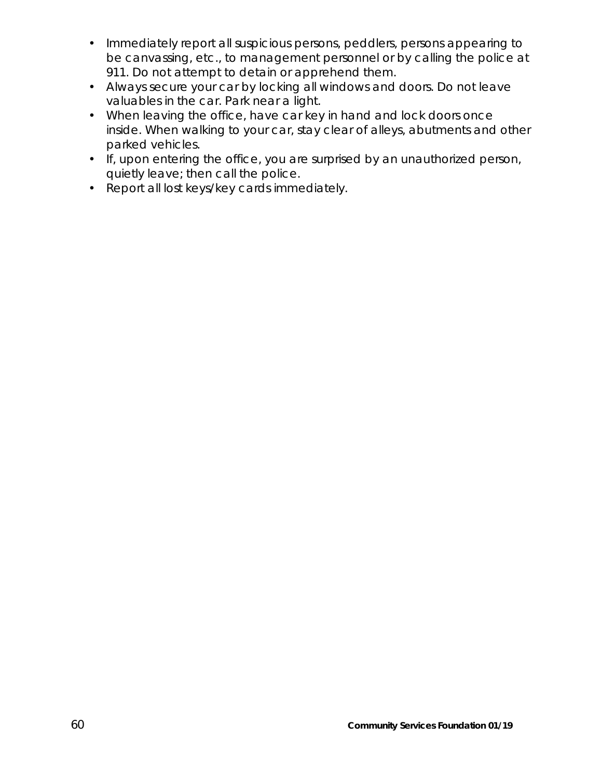- Immediately report all suspicious persons, peddlers, persons appearing to be canvassing, etc., to management personnel or by calling the police at 911. Do not attempt to detain or apprehend them.
- Always secure your car by locking all windows and doors. Do not leave valuables in the car. Park near a light.
- When leaving the office, have car key in hand and lock doors once inside. When walking to your car, stay clear of alleys, abutments and other parked vehicles.
- If, upon entering the office, you are surprised by an unauthorized person, quietly leave; then call the police.
- Report all lost keys/key cards immediately.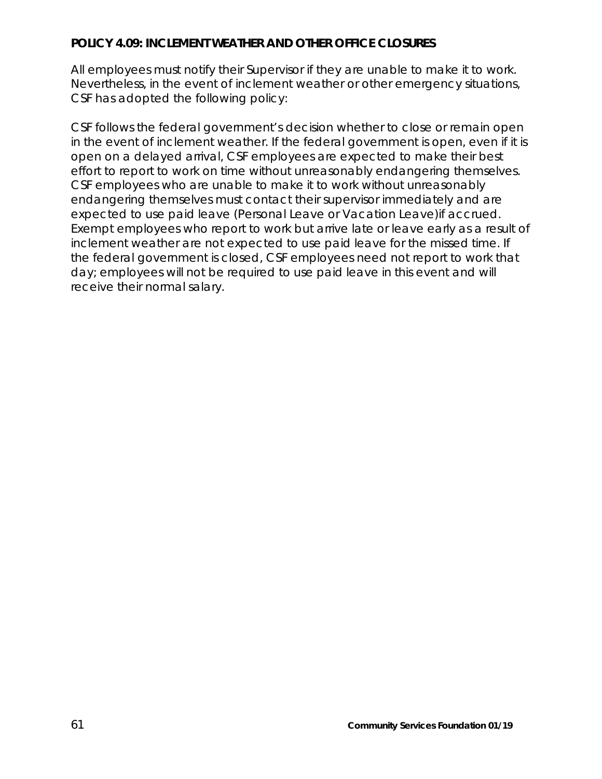### **POLICY 4.09: INCLEMENT WEATHER AND OTHER OFFICE CLOSURES**

All employees must notify their Supervisor if they are unable to make it to work. Nevertheless, in the event of inclement weather or other emergency situations, CSF has adopted the following policy:

CSF follows the federal government's decision whether to close or remain open in the event of inclement weather. If the federal government is open, even if it is open on a delayed arrival, CSF employees are expected to make their best effort to report to work on time without unreasonably endangering themselves. CSF employees who are unable to make it to work without unreasonably endangering themselves must contact their supervisor immediately and are expected to use paid leave (Personal Leave or Vacation Leave)if accrued. Exempt employees who report to work but arrive late or leave early as a result of inclement weather are not expected to use paid leave for the missed time. If the federal government is closed, CSF employees need not report to work that day; employees will not be required to use paid leave in this event and will receive their normal salary.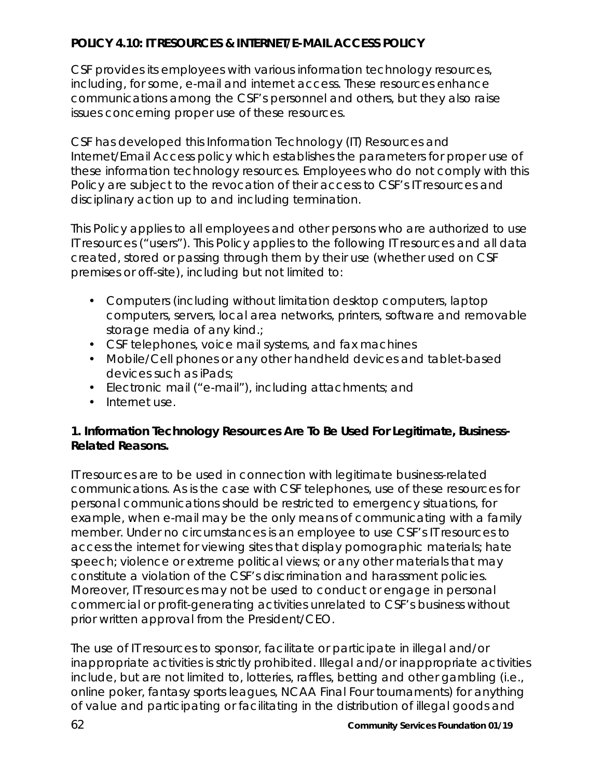# **POLICY 4.10: IT RESOURCES & INTERNET/E-MAIL ACCESS POLICY**

CSF provides its employees with various information technology resources, including, for some, e-mail and internet access. These resources enhance communications among the CSF's personnel and others, but they also raise issues concerning proper use of these resources.

CSF has developed this Information Technology (IT) Resources and Internet/Email Access policy which establishes the parameters for proper use of these information technology resources. Employees who do not comply with this Policy are subject to the revocation of their access to CSF's IT resources and disciplinary action up to and including termination.

This Policy applies to all employees and other persons who are authorized to use IT resources ("users"). This Policy applies to the following IT resources and all data created, stored or passing through them by their use (whether used on CSF premises or off-site), including but not limited to:

- Computers (including without limitation desktop computers, laptop computers, servers, local area networks, printers, software and removable storage media of any kind.;
- CSF telephones, voice mail systems, and fax machines
- Mobile/Cell phones or any other handheld devices and tablet-based devices such as iPads;
- Electronic mail ("e-mail"), including attachments; and
- Internet use.

### **1. Information Technology Resources Are To Be Used For Legitimate, Business-Related Reasons.**

IT resources are to be used in connection with legitimate business-related communications. As is the case with CSF telephones, use of these resources for personal communications should be restricted to emergency situations, for example, when e-mail may be the only means of communicating with a family member. Under no circumstances is an employee to use CSF's IT resources to access the internet for viewing sites that display pornographic materials; hate speech; violence or extreme political views; or any other materials that may constitute a violation of the CSF's discrimination and harassment policies. Moreover, IT resources may not be used to conduct or engage in personal commercial or profit-generating activities unrelated to CSF's business without prior written approval from the President/CEO.

The use of IT resources to sponsor, facilitate or participate in illegal and/or inappropriate activities is strictly prohibited. Illegal and/or inappropriate activities include, but are not limited to, lotteries, raffles, betting and other gambling (i.e., online poker, fantasy sports leagues, NCAA Final Four tournaments) for anything of value and participating or facilitating in the distribution of illegal goods and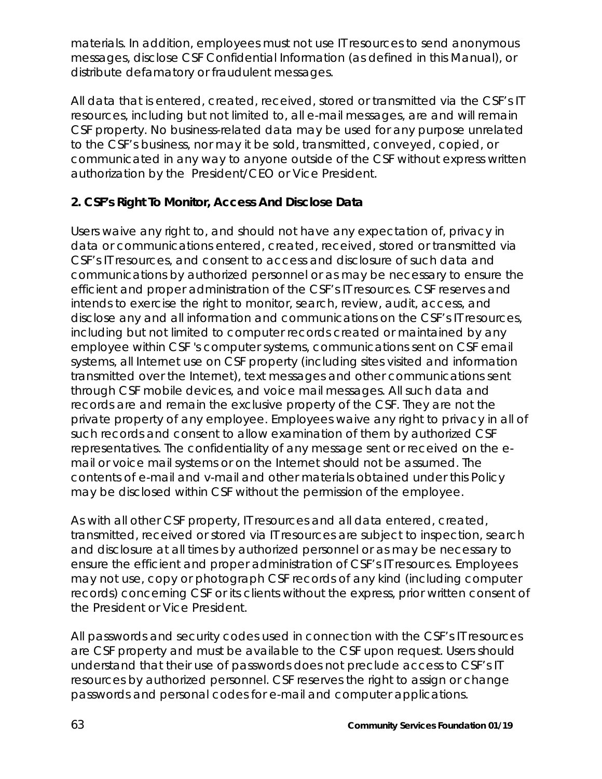materials. In addition, employees must not use IT resources to send anonymous messages, disclose CSF Confidential Information (as defined in this Manual), or distribute defamatory or fraudulent messages.

All data that is entered, created, received, stored or transmitted via the CSF's IT resources, including but not limited to, all e-mail messages, are and will remain CSF property. No business-related data may be used for any purpose unrelated to the CSF's business, nor may it be sold, transmitted, conveyed, copied, or communicated in any way to anyone outside of the CSF without express written authorization by the President/CEO or Vice President.

# **2. CSF's Right To Monitor, Access And Disclose Data**

Users waive any right to, and should not have any expectation of, privacy in data or communications entered, created, received, stored or transmitted via CSF's IT resources, and consent to access and disclosure of such data and communications by authorized personnel or as may be necessary to ensure the efficient and proper administration of the CSF's IT resources. CSF reserves and intends to exercise the right to monitor, search, review, audit, access, and disclose any and all information and communications on the CSF's IT resources, including but not limited to computer records created or maintained by any employee within CSF 's computer systems, communications sent on CSF email systems, all Internet use on CSF property (including sites visited and information transmitted over the Internet), text messages and other communications sent through CSF mobile devices, and voice mail messages. All such data and records are and remain the exclusive property of the CSF. They are not the private property of any employee. Employees waive any right to privacy in all of such records and consent to allow examination of them by authorized CSF representatives. The confidentiality of any message sent or received on the email or voice mail systems or on the Internet should not be assumed. The contents of e-mail and v-mail and other materials obtained under this Policy may be disclosed within CSF without the permission of the employee.

As with all other CSF property, IT resources and all data entered, created, transmitted, received or stored via IT resources are subject to inspection, search and disclosure at all times by authorized personnel or as may be necessary to ensure the efficient and proper administration of CSF's IT resources. Employees may not use, copy or photograph CSF records of any kind (including computer records) concerning CSF or its clients without the express, prior written consent of the President or Vice President.

All passwords and security codes used in connection with the CSF's IT resources are CSF property and must be available to the CSF upon request. Users should understand that their use of passwords does not preclude access to CSF's IT resources by authorized personnel. CSF reserves the right to assign or change passwords and personal codes for e-mail and computer applications.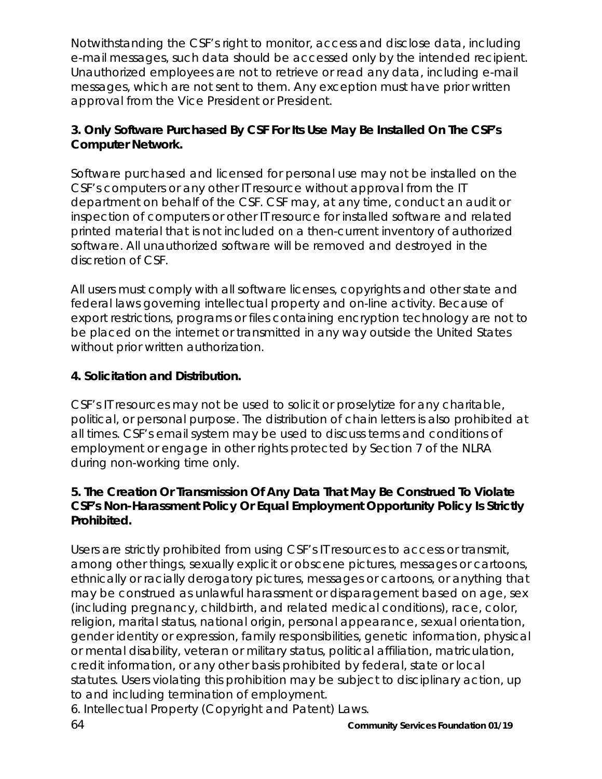Notwithstanding the CSF's right to monitor, access and disclose data, including e-mail messages, such data should be accessed only by the intended recipient. Unauthorized employees are not to retrieve or read any data, including e-mail messages, which are not sent to them. Any exception must have prior written approval from the Vice President or President.

# **3. Only Software Purchased By CSF For Its Use May Be Installed On The CSF's Computer Network.**

Software purchased and licensed for personal use may not be installed on the CSF's computers or any other IT resource without approval from the IT department on behalf of the CSF. CSF may, at any time, conduct an audit or inspection of computers or other IT resource for installed software and related printed material that is not included on a then-current inventory of authorized software. All unauthorized software will be removed and destroyed in the discretion of CSF.

All users must comply with all software licenses, copyrights and other state and federal laws governing intellectual property and on-line activity. Because of export restrictions, programs or files containing encryption technology are not to be placed on the internet or transmitted in any way outside the United States without prior written authorization.

# **4. Solicitation and Distribution.**

CSF's IT resources may not be used to solicit or proselytize for any charitable, political, or personal purpose. The distribution of chain letters is also prohibited at all times. CSF's email system may be used to discuss terms and conditions of employment or engage in other rights protected by Section 7 of the NLRA during non-working time only.

## **5. The Creation Or Transmission Of Any Data That May Be Construed To Violate CSF's Non-Harassment Policy Or Equal Employment Opportunity Policy Is Strictly Prohibited.**

Users are strictly prohibited from using CSF's IT resources to access or transmit, among other things, sexually explicit or obscene pictures, messages or cartoons, ethnically or racially derogatory pictures, messages or cartoons, or anything that may be construed as unlawful harassment or disparagement based on age, sex (including pregnancy, childbirth, and related medical conditions), race, color, religion, marital status, national origin, personal appearance, sexual orientation, gender identity or expression, family responsibilities, genetic information, physical or mental disability, veteran or military status, political affiliation, matriculation, credit information, or any other basis prohibited by federal, state or local statutes. Users violating this prohibition may be subject to disciplinary action, up to and including termination of employment.

6. Intellectual Property (Copyright and Patent) Laws.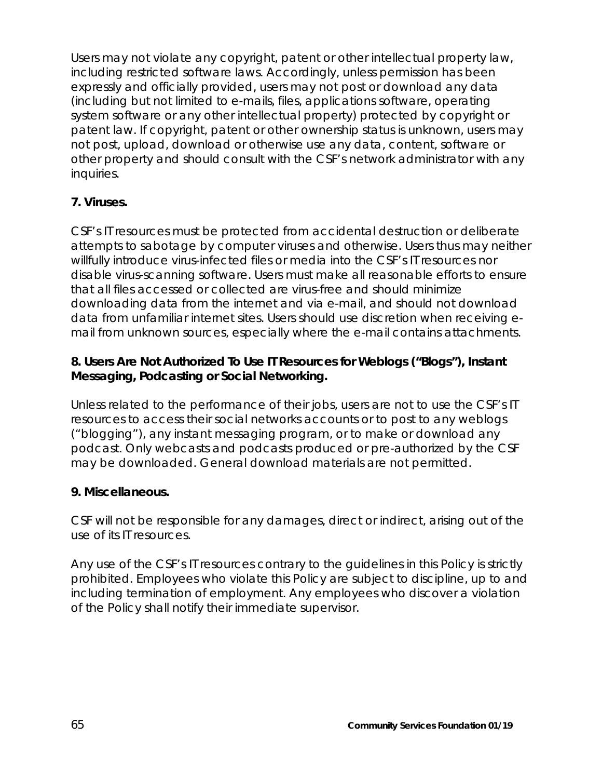Users may not violate any copyright, patent or other intellectual property law, including restricted software laws. Accordingly, unless permission has been expressly and officially provided, users may not post or download any data (including but not limited to e-mails, files, applications software, operating system software or any other intellectual property) protected by copyright or patent law. If copyright, patent or other ownership status is unknown, users may not post, upload, download or otherwise use any data, content, software or other property and should consult with the CSF's network administrator with any inquiries.

# **7. Viruses.**

CSF's IT resources must be protected from accidental destruction or deliberate attempts to sabotage by computer viruses and otherwise. Users thus may neither willfully introduce virus-infected files or media into the CSF's IT resources nor disable virus-scanning software. Users must make all reasonable efforts to ensure that all files accessed or collected are virus-free and should minimize downloading data from the internet and via e-mail, and should not download data from unfamiliar internet sites. Users should use discretion when receiving email from unknown sources, especially where the e-mail contains attachments.

## **8. Users Are Not Authorized To Use IT Resources for Weblogs ("Blogs"), Instant Messaging, Podcasting or Social Networking.**

Unless related to the performance of their jobs, users are not to use the CSF's IT resources to access their social networks accounts or to post to any weblogs ("blogging"), any instant messaging program, or to make or download any podcast. Only webcasts and podcasts produced or pre-authorized by the CSF may be downloaded. General download materials are not permitted.

## **9. Miscellaneous.**

CSF will not be responsible for any damages, direct or indirect, arising out of the use of its IT resources.

Any use of the CSF's IT resources contrary to the guidelines in this Policy is strictly prohibited. Employees who violate this Policy are subject to discipline, up to and including termination of employment. Any employees who discover a violation of the Policy shall notify their immediate supervisor.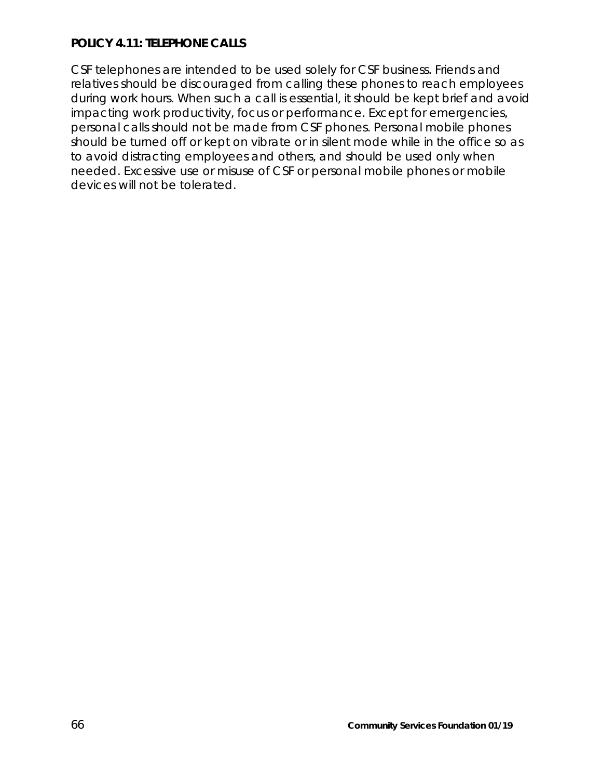## **POLICY 4.11: TELEPHONE CALLS**

CSF telephones are intended to be used solely for CSF business. Friends and relatives should be discouraged from calling these phones to reach employees during work hours. When such a call is essential, it should be kept brief and avoid impacting work productivity, focus or performance. Except for emergencies, personal calls should not be made from CSF phones. Personal mobile phones should be turned off or kept on vibrate or in silent mode while in the office so as to avoid distracting employees and others, and should be used only when needed. Excessive use or misuse of CSF or personal mobile phones or mobile devices will not be tolerated.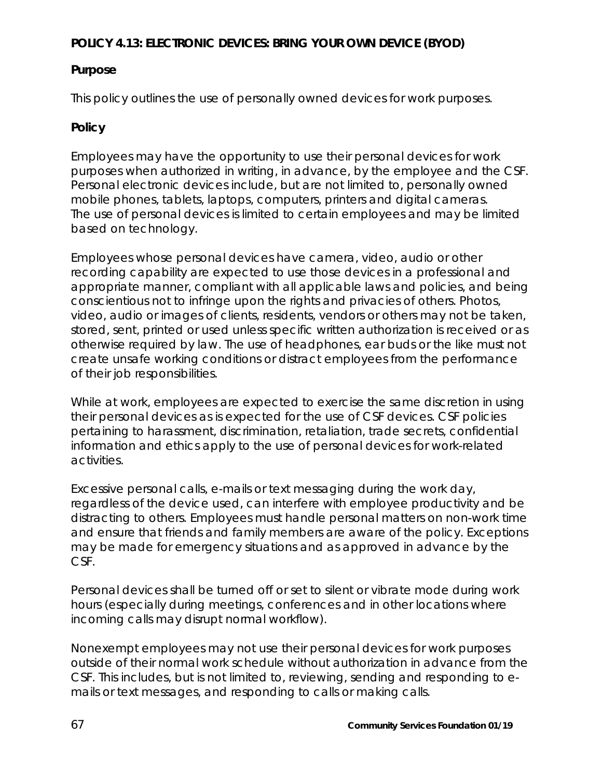### **POLICY 4.13: ELECTRONIC DEVICES: BRING YOUR OWN DEVICE (BYOD)**

#### **Purpose**

This policy outlines the use of personally owned devices for work purposes.

### **Policy**

Employees may have the opportunity to use their personal devices for work purposes when authorized in writing, in advance, by the employee and the CSF. Personal electronic devices include, but are not limited to, personally owned mobile phones, tablets, laptops, computers, printers and digital cameras. The use of personal devices is limited to certain employees and may be limited based on technology.

Employees whose personal devices have camera, video, audio or other recording capability are expected to use those devices in a professional and appropriate manner, compliant with all applicable laws and policies, and being conscientious not to infringe upon the rights and privacies of others. Photos, video, audio or images of clients, residents, vendors or others may not be taken, stored, sent, printed or used unless specific written authorization is received or as otherwise required by law. The use of headphones, ear buds or the like must not create unsafe working conditions or distract employees from the performance of their job responsibilities.

While at work, employees are expected to exercise the same discretion in using their personal devices as is expected for the use of CSF devices. CSF policies pertaining to harassment, discrimination, retaliation, trade secrets, confidential information and ethics apply to the use of personal devices for work-related activities.

Excessive personal calls, e-mails or text messaging during the work day, regardless of the device used, can interfere with employee productivity and be distracting to others. Employees must handle personal matters on non-work time and ensure that friends and family members are aware of the policy. Exceptions may be made for emergency situations and as approved in advance by the CSF.

Personal devices shall be turned off or set to silent or vibrate mode during work hours (especially during meetings, conferences and in other locations where incoming calls may disrupt normal workflow).

Nonexempt employees may not use their personal devices for work purposes outside of their normal work schedule without authorization in advance from the CSF. This includes, but is not limited to, reviewing, sending and responding to emails or text messages, and responding to calls or making calls.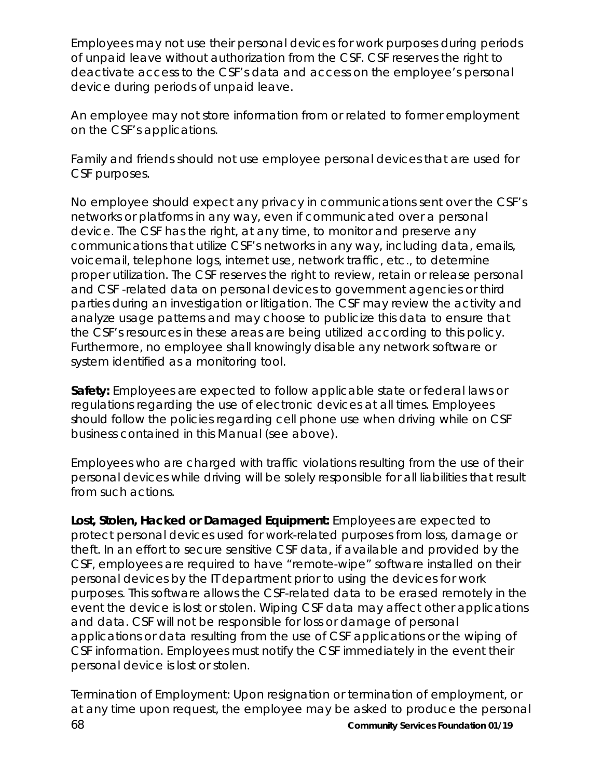Employees may not use their personal devices for work purposes during periods of unpaid leave without authorization from the CSF. CSF reserves the right to deactivate access to the CSF's data and access on the employee's personal device during periods of unpaid leave.

An employee may not store information from or related to former employment on the CSF's applications.

Family and friends should not use employee personal devices that are used for CSF purposes.

No employee should expect any privacy in communications sent over the CSF's networks or platforms in any way, even if communicated over a personal device. The CSF has the right, at any time, to monitor and preserve any communications that utilize CSF's networks in any way, including data, emails, voicemail, telephone logs, internet use, network traffic, etc., to determine proper utilization. The CSF reserves the right to review, retain or release personal and CSF -related data on personal devices to government agencies or third parties during an investigation or litigation. The CSF may review the activity and analyze usage patterns and may choose to publicize this data to ensure that the CSF's resources in these areas are being utilized according to this policy. Furthermore, no employee shall knowingly disable any network software or system identified as a monitoring tool.

**Safety:** Employees are expected to follow applicable state or federal laws or regulations regarding the use of electronic devices at all times. Employees should follow the policies regarding cell phone use when driving while on CSF business contained in this Manual (see above).

Employees who are charged with traffic violations resulting from the use of their personal devices while driving will be solely responsible for all liabilities that result from such actions.

**Lost, Stolen, Hacked or Damaged Equipment:** Employees are expected to protect personal devices used for work-related purposes from loss, damage or theft. In an effort to secure sensitive CSF data, if available and provided by the CSF, employees are required to have "remote-wipe" software installed on their personal devices by the IT department prior to using the devices for work purposes. This software allows the CSF-related data to be erased remotely in the event the device is lost or stolen. Wiping CSF data may affect other applications and data. CSF will not be responsible for loss or damage of personal applications or data resulting from the use of CSF applications or the wiping of CSF information. Employees must notify the CSF immediately in the event their personal device is lost or stolen.

68 **Community Services Foundation 01/19** Termination of Employment: Upon resignation or termination of employment, or at any time upon request, the employee may be asked to produce the personal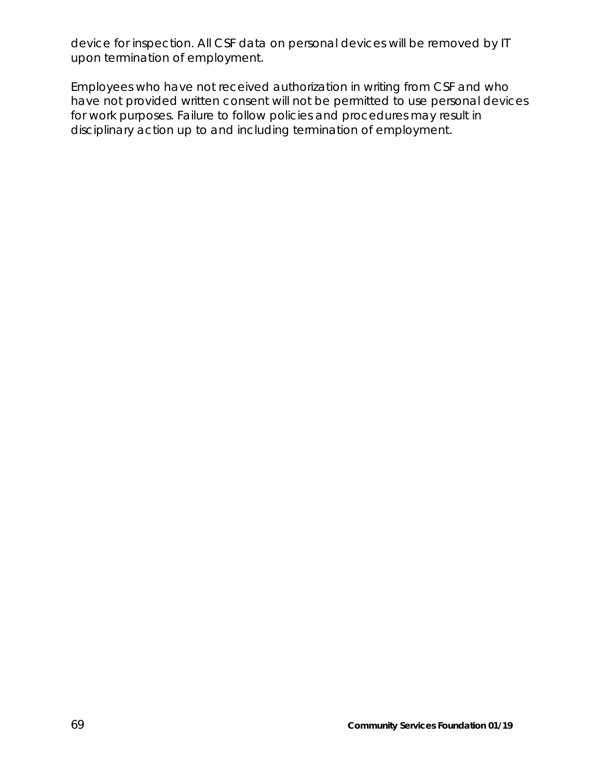device for inspection. All CSF data on personal devices will be removed by IT upon termination of employment.

Employees who have not received authorization in writing from CSF and who have not provided written consent will not be permitted to use personal devices for work purposes. Failure to follow policies and procedures may result in disciplinary action up to and including termination of employment.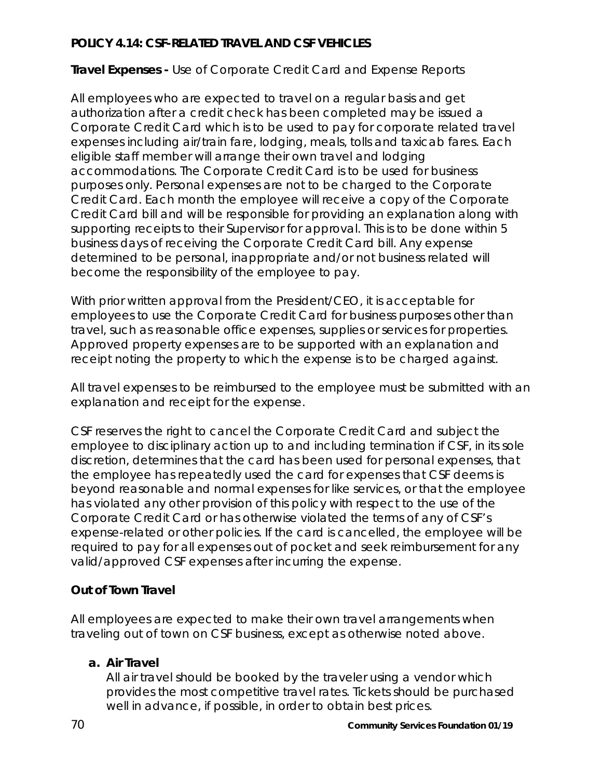## **POLICY 4.14: CSF-RELATED TRAVEL AND CSF VEHICLES**

# **Travel Expenses -** Use of Corporate Credit Card and Expense Reports

All employees who are expected to travel on a regular basis and get authorization after a credit check has been completed may be issued a Corporate Credit Card which is to be used to pay for corporate related travel expenses including air/train fare, lodging, meals, tolls and taxicab fares. Each eligible staff member will arrange their own travel and lodging accommodations. The Corporate Credit Card is to be used for business purposes only. Personal expenses are not to be charged to the Corporate Credit Card. Each month the employee will receive a copy of the Corporate Credit Card bill and will be responsible for providing an explanation along with supporting receipts to their Supervisor for approval. This is to be done within 5 business days of receiving the Corporate Credit Card bill. Any expense determined to be personal, inappropriate and/or not business related will become the responsibility of the employee to pay.

With prior written approval from the President/CEO, it is acceptable for employees to use the Corporate Credit Card for business purposes other than travel, such as reasonable office expenses, supplies or services for properties. Approved property expenses are to be supported with an explanation and receipt noting the property to which the expense is to be charged against.

All travel expenses to be reimbursed to the employee must be submitted with an explanation and receipt for the expense.

CSF reserves the right to cancel the Corporate Credit Card and subject the employee to disciplinary action up to and including termination if CSF, in its sole discretion, determines that the card has been used for personal expenses, that the employee has repeatedly used the card for expenses that CSF deems is beyond reasonable and normal expenses for like services, or that the employee has violated any other provision of this policy with respect to the use of the Corporate Credit Card or has otherwise violated the terms of any of CSF's expense-related or other policies. If the card is cancelled, the employee will be required to pay for all expenses out of pocket and seek reimbursement for any valid/approved CSF expenses after incurring the expense.

## **Out of Town Travel**

All employees are expected to make their own travel arrangements when traveling out of town on CSF business, except as otherwise noted above.

# **a. Air Travel**

All air travel should be booked by the traveler using a vendor which provides the most competitive travel rates. Tickets should be purchased well in advance, if possible, in order to obtain best prices.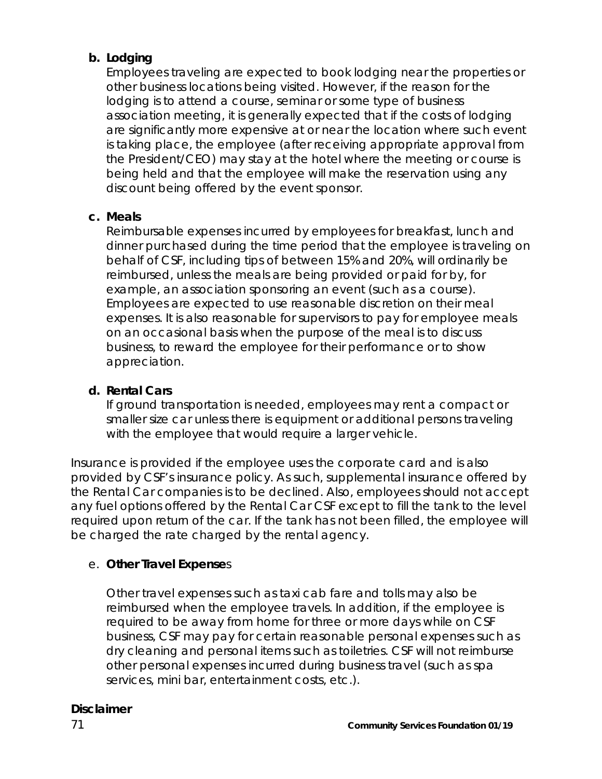# **b. Lodging**

Employees traveling are expected to book lodging near the properties or other business locations being visited. However, if the reason for the lodging is to attend a course, seminar or some type of business association meeting, it is generally expected that if the costs of lodging are significantly more expensive at or near the location where such event is taking place, the employee (after receiving appropriate approval from the President/CEO) may stay at the hotel where the meeting or course is being held and that the employee will make the reservation using any discount being offered by the event sponsor.

### **c. Meals**

Reimbursable expenses incurred by employees for breakfast, lunch and dinner purchased during the time period that the employee is traveling on behalf of CSF, including tips of between 15% and 20%, will ordinarily be reimbursed, unless the meals are being provided or paid for by, for example, an association sponsoring an event (such as a course). Employees are expected to use reasonable discretion on their meal expenses. It is also reasonable for supervisors to pay for employee meals on an occasional basis when the purpose of the meal is to discuss business, to reward the employee for their performance or to show appreciation.

### **d. Rental Cars**

If ground transportation is needed, employees may rent a compact or smaller size car unless there is equipment or additional persons traveling with the employee that would require a larger vehicle.

Insurance is provided if the employee uses the corporate card and is also provided by CSF's insurance policy. As such, supplemental insurance offered by the Rental Car companies is to be declined. Also, employees should not accept any fuel options offered by the Rental Car CSF except to fill the tank to the level required upon return of the car. If the tank has not been filled, the employee will be charged the rate charged by the rental agency.

## e. **Other Travel Expense**s

Other travel expenses such as taxi cab fare and tolls may also be reimbursed when the employee travels. In addition, if the employee is required to be away from home for three or more days while on CSF business, CSF may pay for certain reasonable personal expenses such as dry cleaning and personal items such as toiletries. CSF will not reimburse other personal expenses incurred during business travel (such as spa services, mini bar, entertainment costs, etc.).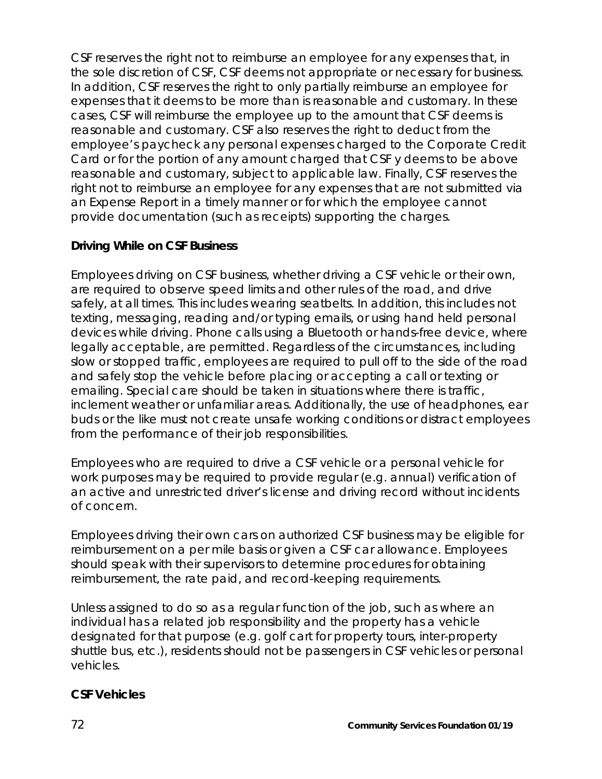CSF reserves the right not to reimburse an employee for any expenses that, in the sole discretion of CSF, CSF deems not appropriate or necessary for business. In addition, CSF reserves the right to only partially reimburse an employee for expenses that it deems to be more than is reasonable and customary. In these cases, CSF will reimburse the employee up to the amount that CSF deems is reasonable and customary. CSF also reserves the right to deduct from the employee's paycheck any personal expenses charged to the Corporate Credit Card or for the portion of any amount charged that CSF y deems to be above reasonable and customary, subject to applicable law. Finally, CSF reserves the right not to reimburse an employee for any expenses that are not submitted via an Expense Report in a timely manner or for which the employee cannot provide documentation (such as receipts) supporting the charges.

## **Driving While on CSF Business**

Employees driving on CSF business, whether driving a CSF vehicle or their own, are required to observe speed limits and other rules of the road, and drive safely, at all times. This includes wearing seatbelts. In addition, this includes not texting, messaging, reading and/or typing emails, or using hand held personal devices while driving. Phone calls using a Bluetooth or hands-free device, where legally acceptable, are permitted. Regardless of the circumstances, including slow or stopped traffic, employees are required to pull off to the side of the road and safely stop the vehicle before placing or accepting a call or texting or emailing. Special care should be taken in situations where there is traffic, inclement weather or unfamiliar areas. Additionally, the use of headphones, ear buds or the like must not create unsafe working conditions or distract employees from the performance of their job responsibilities.

Employees who are required to drive a CSF vehicle or a personal vehicle for work purposes may be required to provide regular (e.g. annual) verification of an active and unrestricted driver's license and driving record without incidents of concern.

Employees driving their own cars on authorized CSF business may be eligible for reimbursement on a per mile basis or given a CSF car allowance. Employees should speak with their supervisors to determine procedures for obtaining reimbursement, the rate paid, and record-keeping requirements.

Unless assigned to do so as a regular function of the job, such as where an individual has a related job responsibility and the property has a vehicle designated for that purpose (e.g. golf cart for property tours, inter-property shuttle bus, etc.), residents should not be passengers in CSF vehicles or personal vehicles.

## **CSF Vehicles**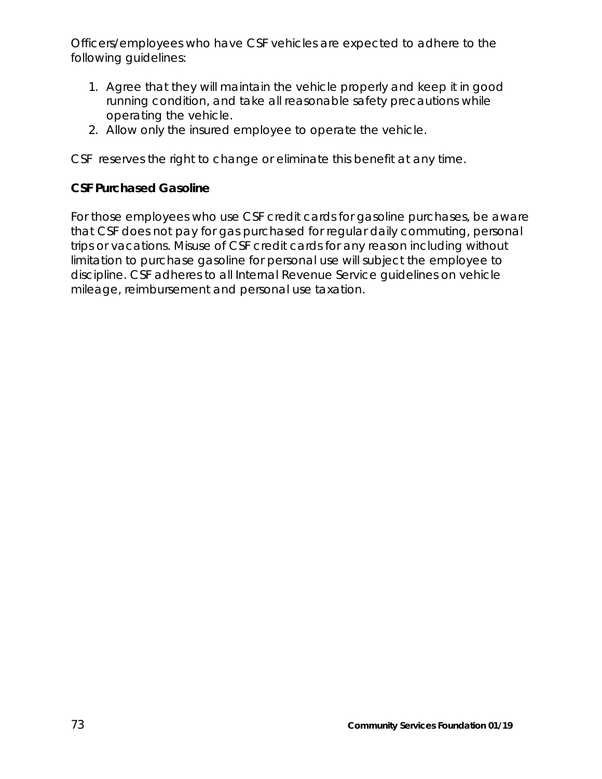Officers/employees who have CSF vehicles are expected to adhere to the following guidelines:

- 1. Agree that they will maintain the vehicle properly and keep it in good running condition, and take all reasonable safety precautions while operating the vehicle.
- 2. Allow only the insured employee to operate the vehicle.

CSF reserves the right to change or eliminate this benefit at any time.

### **CSF Purchased Gasoline**

For those employees who use CSF credit cards for gasoline purchases, be aware that CSF does not pay for gas purchased for regular daily commuting, personal trips or vacations. Misuse of CSF credit cards for any reason including without limitation to purchase gasoline for personal use will subject the employee to discipline. CSF adheres to all Internal Revenue Service guidelines on vehicle mileage, reimbursement and personal use taxation.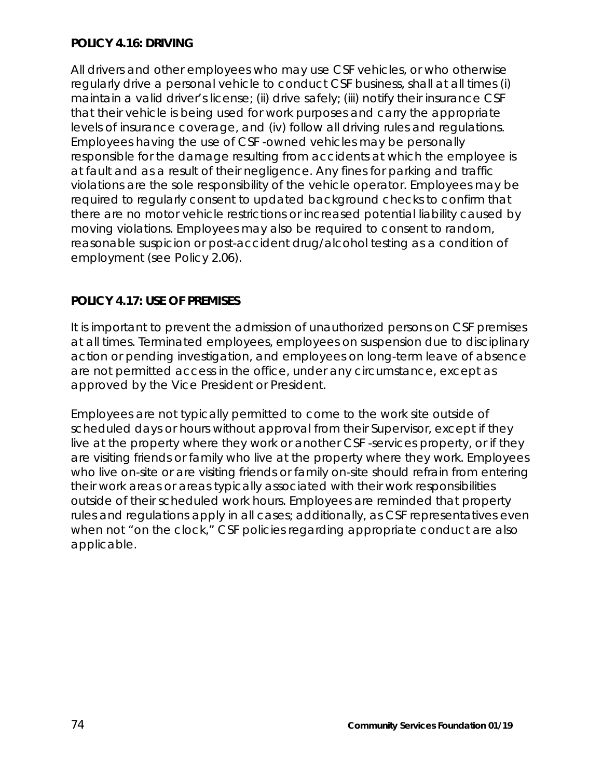#### **POLICY 4.16: DRIVING**

All drivers and other employees who may use CSF vehicles, or who otherwise regularly drive a personal vehicle to conduct CSF business, shall at all times (i) maintain a valid driver's license; (ii) drive safely; (iii) notify their insurance CSF that their vehicle is being used for work purposes and carry the appropriate levels of insurance coverage, and (iv) follow all driving rules and regulations. Employees having the use of CSF -owned vehicles may be personally responsible for the damage resulting from accidents at which the employee is at fault and as a result of their negligence. Any fines for parking and traffic violations are the sole responsibility of the vehicle operator. Employees may be required to regularly consent to updated background checks to confirm that there are no motor vehicle restrictions or increased potential liability caused by moving violations. Employees may also be required to consent to random, reasonable suspicion or post-accident drug/alcohol testing as a condition of employment (see Policy 2.06).

#### **POLICY 4.17: USE OF PREMISES**

It is important to prevent the admission of unauthorized persons on CSF premises at all times. Terminated employees, employees on suspension due to disciplinary action or pending investigation, and employees on long-term leave of absence are not permitted access in the office, under any circumstance, except as approved by the Vice President or President.

Employees are not typically permitted to come to the work site outside of scheduled days or hours without approval from their Supervisor, except if they live at the property where they work or another CSF -services property, or if they are visiting friends or family who live at the property where they work. Employees who live on-site or are visiting friends or family on-site should refrain from entering their work areas or areas typically associated with their work responsibilities outside of their scheduled work hours. Employees are reminded that property rules and regulations apply in all cases; additionally, as CSF representatives even when not "on the clock," CSF policies regarding appropriate conduct are also applicable.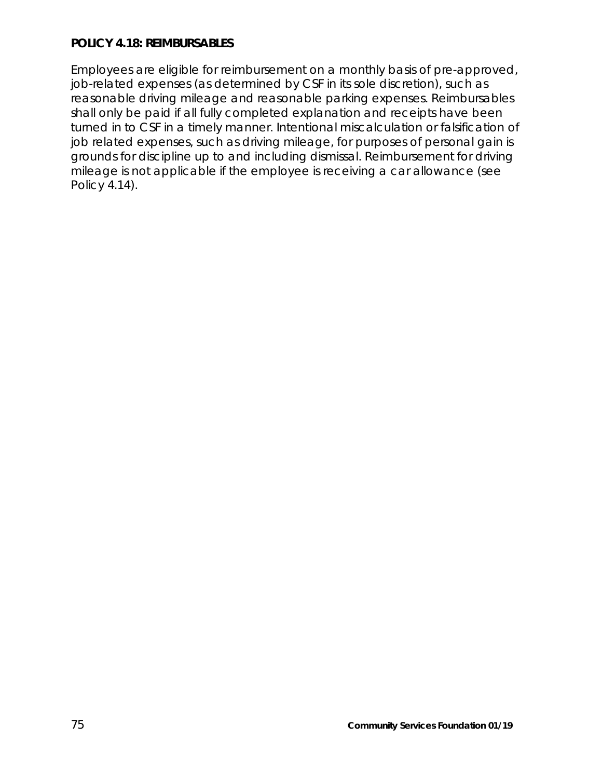#### **POLICY 4.18: REIMBURSABLES**

Employees are eligible for reimbursement on a monthly basis of pre-approved, job-related expenses (as determined by CSF in its sole discretion), such as reasonable driving mileage and reasonable parking expenses. Reimbursables shall only be paid if all fully completed explanation and receipts have been turned in to CSF in a timely manner. Intentional miscalculation or falsification of job related expenses, such as driving mileage, for purposes of personal gain is grounds for discipline up to and including dismissal. Reimbursement for driving mileage is not applicable if the employee is receiving a car allowance (see Policy 4.14).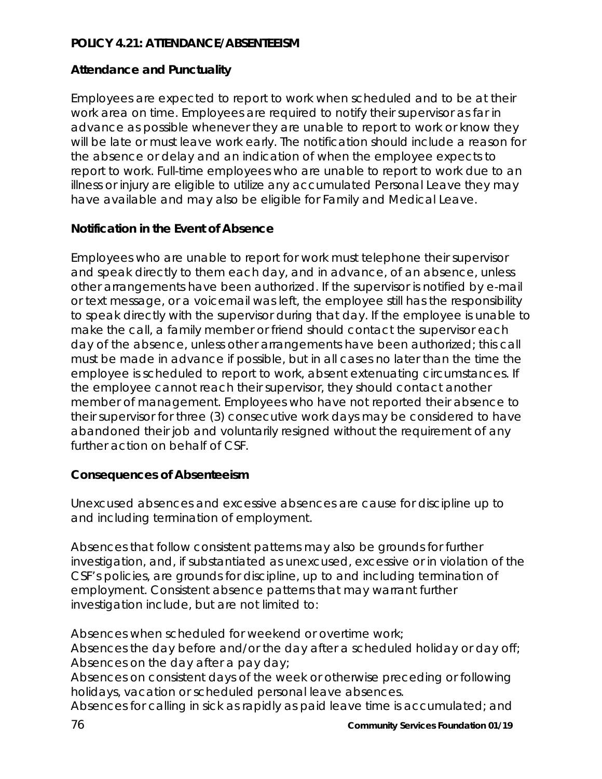## **POLICY 4.21: ATTENDANCE/ABSENTEEISM**

## **Attendance and Punctuality**

Employees are expected to report to work when scheduled and to be at their work area on time. Employees are required to notify their supervisor as far in advance as possible whenever they are unable to report to work or know they will be late or must leave work early. The notification should include a reason for the absence or delay and an indication of when the employee expects to report to work. Full-time employees who are unable to report to work due to an illness or injury are eligible to utilize any accumulated Personal Leave they may have available and may also be eligible for Family and Medical Leave.

## **Notification in the Event of Absence**

Employees who are unable to report for work must telephone their supervisor and speak directly to them each day, and in advance, of an absence, unless other arrangements have been authorized. If the supervisor is notified by e-mail or text message, or a voicemail was left, the employee still has the responsibility to speak directly with the supervisor during that day. If the employee is unable to make the call, a family member or friend should contact the supervisor each day of the absence, unless other arrangements have been authorized; this call must be made in advance if possible, but in all cases no later than the time the employee is scheduled to report to work, absent extenuating circumstances. If the employee cannot reach their supervisor, they should contact another member of management. Employees who have not reported their absence to their supervisor for three (3) consecutive work days may be considered to have abandoned their job and voluntarily resigned without the requirement of any further action on behalf of CSF.

## **Consequences of Absenteeism**

Unexcused absences and excessive absences are cause for discipline up to and including termination of employment.

Absences that follow consistent patterns may also be grounds for further investigation, and, if substantiated as unexcused, excessive or in violation of the CSF's policies, are grounds for discipline, up to and including termination of employment. Consistent absence patterns that may warrant further investigation include, but are not limited to:

Absences when scheduled for weekend or overtime work;

Absences the day before and/or the day after a scheduled holiday or day off; Absences on the day after a pay day;

Absences on consistent days of the week or otherwise preceding or following holidays, vacation or scheduled personal leave absences.

Absences for calling in sick as rapidly as paid leave time is accumulated; and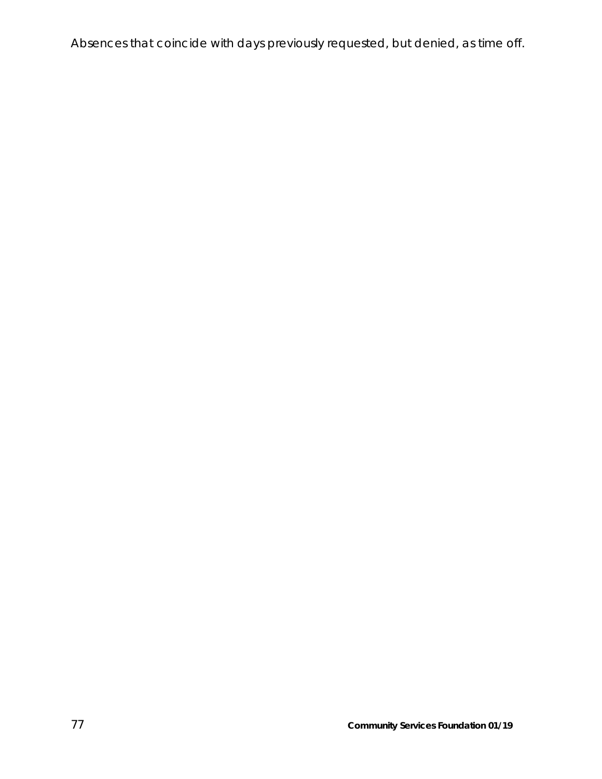Absences that coincide with days previously requested, but denied, as time off.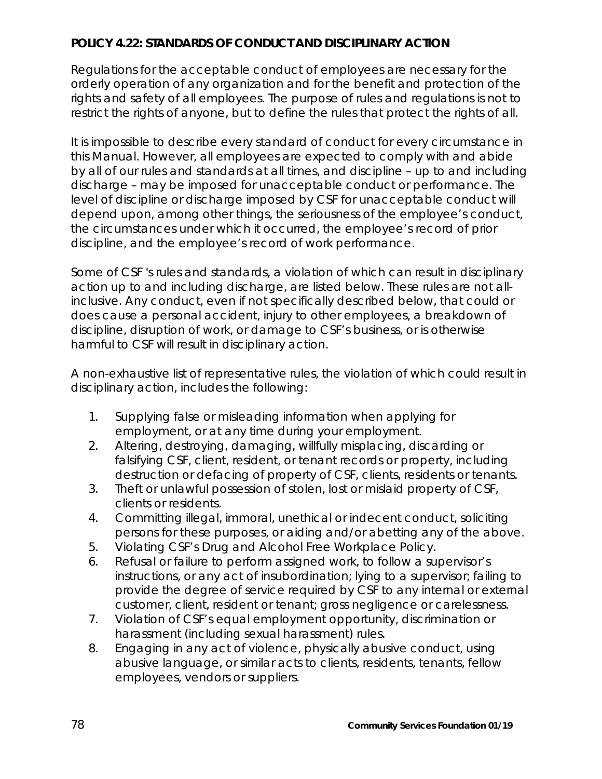## **POLICY 4.22: STANDARDS OF CONDUCT AND DISCIPLINARY ACTION**

Regulations for the acceptable conduct of employees are necessary for the orderly operation of any organization and for the benefit and protection of the rights and safety of all employees. The purpose of rules and regulations is not to restrict the rights of anyone, but to define the rules that protect the rights of all.

It is impossible to describe every standard of conduct for every circumstance in this Manual. However, all employees are expected to comply with and abide by all of our rules and standards at all times, and discipline – up to and including discharge – may be imposed for unacceptable conduct or performance. The level of discipline or discharge imposed by CSF for unacceptable conduct will depend upon, among other things, the seriousness of the employee's conduct, the circumstances under which it occurred, the employee's record of prior discipline, and the employee's record of work performance.

Some of CSF 's rules and standards, a violation of which can result in disciplinary action up to and including discharge, are listed below. These rules are not allinclusive. Any conduct, even if not specifically described below, that could or does cause a personal accident, injury to other employees, a breakdown of discipline, disruption of work, or damage to CSF's business, or is otherwise harmful to CSF will result in disciplinary action.

A non-exhaustive list of representative rules, the violation of which could result in disciplinary action, includes the following:

- 1. Supplying false or misleading information when applying for employment, or at any time during your employment.
- 2. Altering, destroying, damaging, willfully misplacing, discarding or falsifying CSF, client, resident, or tenant records or property, including destruction or defacing of property of CSF, clients, residents or tenants.
- 3. Theft or unlawful possession of stolen, lost or mislaid property of CSF, clients or residents.
- 4. Committing illegal, immoral, unethical or indecent conduct, soliciting persons for these purposes, or aiding and/or abetting any of the above.
- 5. Violating CSF's Drug and Alcohol Free Workplace Policy.
- 6. Refusal or failure to perform assigned work, to follow a supervisor's instructions, or any act of insubordination; lying to a supervisor; failing to provide the degree of service required by CSF to any internal or external customer, client, resident or tenant; gross negligence or carelessness.
- 7. Violation of CSF's equal employment opportunity, discrimination or harassment (including sexual harassment) rules.
- 8. Engaging in any act of violence, physically abusive conduct, using abusive language, or similar acts to clients, residents, tenants, fellow employees, vendors or suppliers.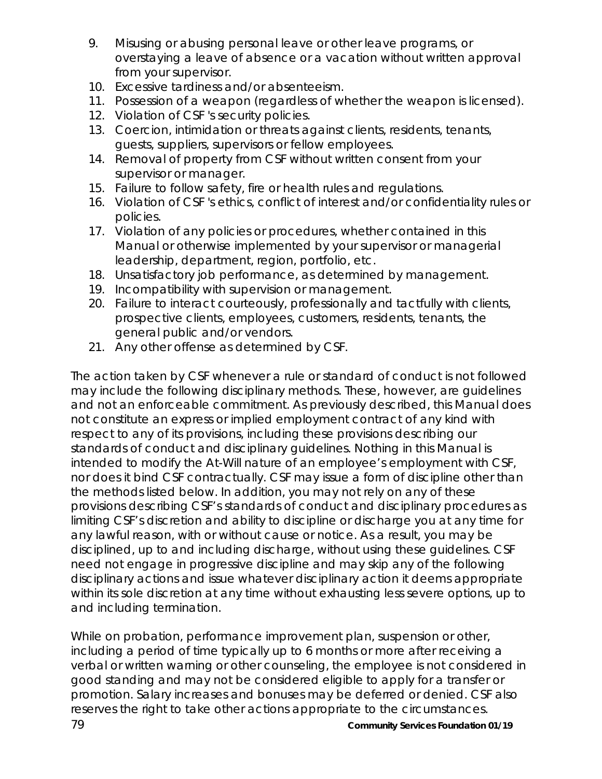- 9. Misusing or abusing personal leave or other leave programs, or overstaying a leave of absence or a vacation without written approval from your supervisor.
- 10. Excessive tardiness and/or absenteeism.
- 11. Possession of a weapon (regardless of whether the weapon is licensed).
- 12. Violation of CSF 's security policies.
- 13. Coercion, intimidation or threats against clients, residents, tenants, guests, suppliers, supervisors or fellow employees.
- 14. Removal of property from CSF without written consent from your supervisor or manager.
- 15. Failure to follow safety, fire or health rules and regulations.
- 16. Violation of CSF 's ethics, conflict of interest and/or confidentiality rules or policies.
- 17. Violation of any policies or procedures, whether contained in this Manual or otherwise implemented by your supervisor or managerial leadership, department, region, portfolio, etc.
- 18. Unsatisfactory job performance, as determined by management.
- 19. Incompatibility with supervision or management.
- 20. Failure to interact courteously, professionally and tactfully with clients, prospective clients, employees, customers, residents, tenants, the general public and/or vendors.
- 21. Any other offense as determined by CSF.

The action taken by CSF whenever a rule or standard of conduct is not followed may include the following disciplinary methods. These, however, are guidelines and not an enforceable commitment. As previously described, this Manual does not constitute an express or implied employment contract of any kind with respect to any of its provisions, including these provisions describing our standards of conduct and disciplinary guidelines. Nothing in this Manual is intended to modify the At-Will nature of an employee's employment with CSF, nor does it bind CSF contractually. CSF may issue a form of discipline other than the methods listed below. In addition, you may not rely on any of these provisions describing CSF's standards of conduct and disciplinary procedures as limiting CSF's discretion and ability to discipline or discharge you at any time for any lawful reason, with or without cause or notice. As a result, you may be disciplined, up to and including discharge, without using these guidelines. CSF need not engage in progressive discipline and may skip any of the following disciplinary actions and issue whatever disciplinary action it deems appropriate within its sole discretion at any time without exhausting less severe options, up to and including termination.

While on probation, performance improvement plan, suspension or other, including a period of time typically up to 6 months or more after receiving a verbal or written warning or other counseling, the employee is not considered in good standing and may not be considered eligible to apply for a transfer or promotion. Salary increases and bonuses may be deferred or denied. CSF also reserves the right to take other actions appropriate to the circumstances.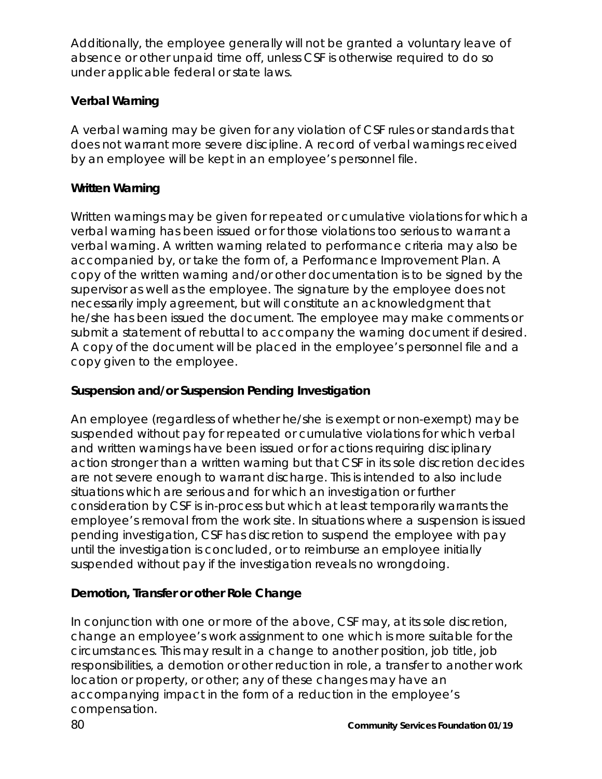Additionally, the employee generally will not be granted a voluntary leave of absence or other unpaid time off, unless CSF is otherwise required to do so under applicable federal or state laws.

## **Verbal Warning**

A verbal warning may be given for any violation of CSF rules or standards that does not warrant more severe discipline. A record of verbal warnings received by an employee will be kept in an employee's personnel file.

## **Written Warning**

Written warnings may be given for repeated or cumulative violations for which a verbal warning has been issued or for those violations too serious to warrant a verbal warning. A written warning related to performance criteria may also be accompanied by, or take the form of, a Performance Improvement Plan. A copy of the written warning and/or other documentation is to be signed by the supervisor as well as the employee. The signature by the employee does not necessarily imply agreement, but will constitute an acknowledgment that he/she has been issued the document. The employee may make comments or submit a statement of rebuttal to accompany the warning document if desired. A copy of the document will be placed in the employee's personnel file and a copy given to the employee.

#### **Suspension and/or Suspension Pending Investigation**

An employee (regardless of whether he/she is exempt or non-exempt) may be suspended without pay for repeated or cumulative violations for which verbal and written warnings have been issued or for actions requiring disciplinary action stronger than a written warning but that CSF in its sole discretion decides are not severe enough to warrant discharge. This is intended to also include situations which are serious and for which an investigation or further consideration by CSF is in-process but which at least temporarily warrants the employee's removal from the work site. In situations where a suspension is issued pending investigation, CSF has discretion to suspend the employee with pay until the investigation is concluded, or to reimburse an employee initially suspended without pay if the investigation reveals no wrongdoing.

#### **Demotion, Transfer or other Role Change**

In conjunction with one or more of the above, CSF may, at its sole discretion, change an employee's work assignment to one which is more suitable for the circumstances. This may result in a change to another position, job title, job responsibilities, a demotion or other reduction in role, a transfer to another work location or property, or other; any of these changes may have an accompanying impact in the form of a reduction in the employee's compensation.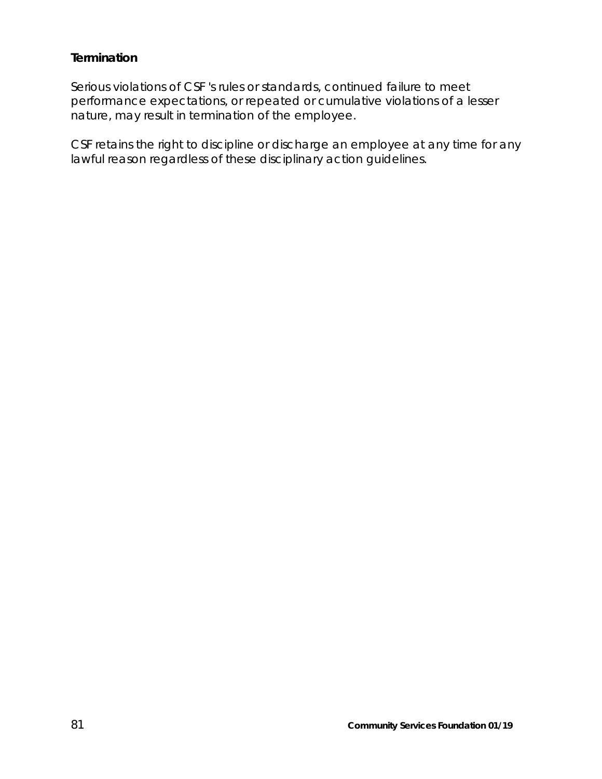#### **Termination**

Serious violations of CSF 's rules or standards, continued failure to meet performance expectations, or repeated or cumulative violations of a lesser nature, may result in termination of the employee.

CSF retains the right to discipline or discharge an employee at any time for any lawful reason regardless of these disciplinary action guidelines.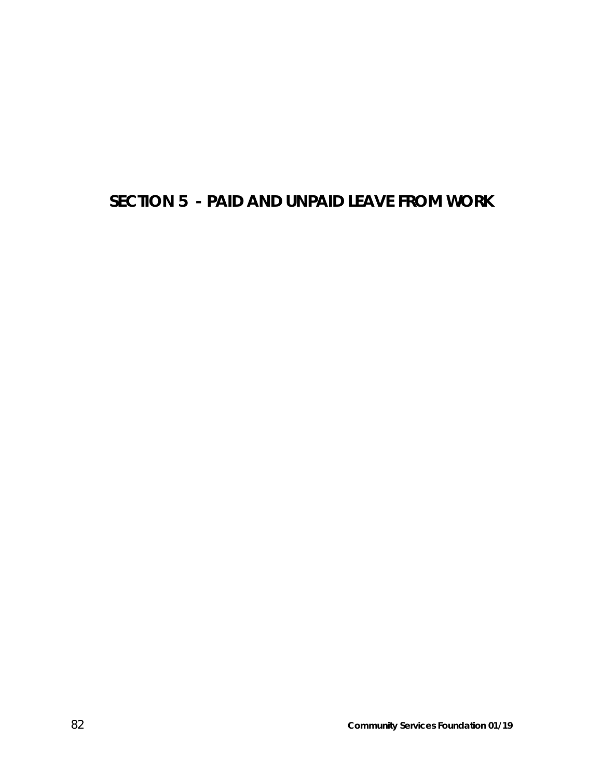# **SECTION 5 - PAID AND UNPAID LEAVE FROM WORK**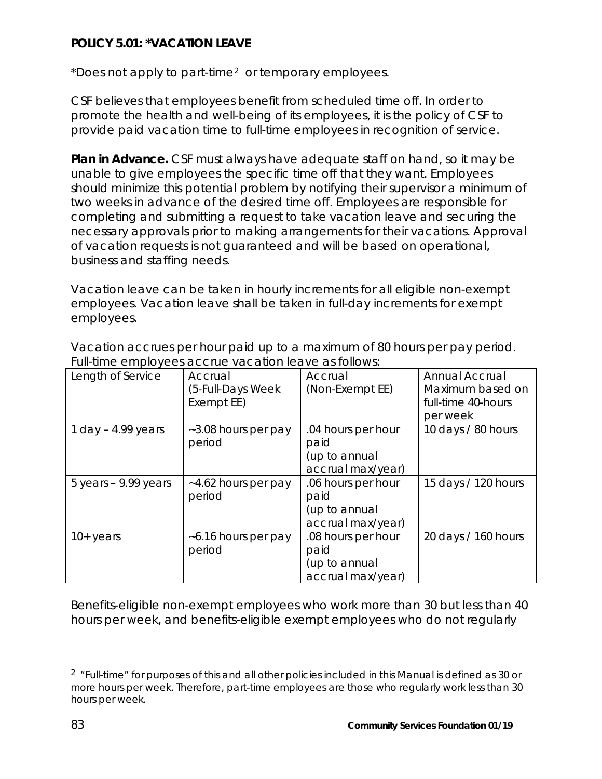## **POLICY 5.01: \*VACATION LEAVE**

\*Does not apply to part-time[2](#page-82-0) or temporary employees.

CSF believes that employees benefit from scheduled time off. In order to promote the health and well-being of its employees, it is the policy of CSF to provide paid vacation time to full-time employees in recognition of service.

**Plan in Advance.** CSF must always have adequate staff on hand, so it may be unable to give employees the specific time off that they want. Employees should minimize this potential problem by notifying their supervisor a minimum of two weeks in advance of the desired time off. Employees are responsible for completing and submitting a request to take vacation leave and securing the necessary approvals prior to making arrangements for their vacations. Approval of vacation requests is not guaranteed and will be based on operational, business and staffing needs.

Vacation leave can be taken in hourly increments for all eligible non-exempt employees. Vacation leave shall be taken in full-day increments for exempt employees.

| Length of Service      | Accrual<br>(5-Full-Days Week<br>Exempt EE) | Accrual<br>(Non-Exempt EE) | <b>Annual Accrual</b><br>Maximum based on<br>full-time 40-hours |
|------------------------|--------------------------------------------|----------------------------|-----------------------------------------------------------------|
|                        |                                            |                            | per week                                                        |
| 1 day $-$ 4.99 years   | ~3.08 hours per pay                        | .04 hours per hour         | 10 days / 80 hours                                              |
|                        | period                                     | paid                       |                                                                 |
|                        |                                            | (up to annual              |                                                                 |
|                        |                                            | accrual max/year)          |                                                                 |
| $5$ years - 9.99 years | ~4.62 hours per pay                        | .06 hours per hour         | 15 days / 120 hours                                             |
|                        | period                                     | paid                       |                                                                 |
|                        |                                            | (up to annual              |                                                                 |
|                        |                                            | accrual max/year)          |                                                                 |
| $10+$ years            | ~6.16 hours per pay                        | .08 hours per hour         | 20 days / 160 hours                                             |
|                        | period                                     | paid                       |                                                                 |
|                        |                                            | (up to annual              |                                                                 |
|                        |                                            | accrual max/year)          |                                                                 |

Vacation accrues per hour paid up to a maximum of 80 hours per pay period. Full-time employees accrue vacation leave as follows:

Benefits-eligible non-exempt employees who work more than 30 but less than 40 hours per week, and benefits-eligible exempt employees who do not regularly

 $\overline{a}$ 

<span id="page-82-0"></span> $2$  "Full-time" for purposes of this and all other policies included in this Manual is defined as 30 or more hours per week. Therefore, part-time employees are those who regularly work less than 30 hours per week.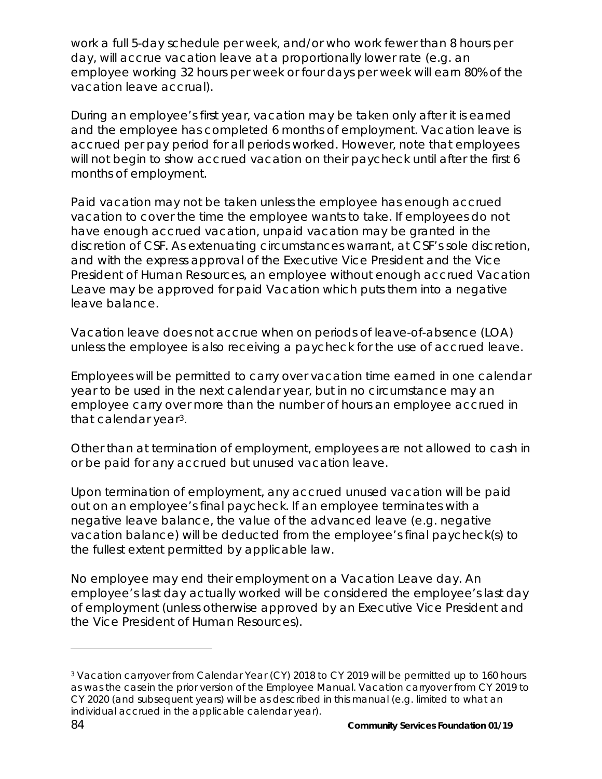work a full 5-day schedule per week, and/or who work fewer than 8 hours per day, will accrue vacation leave at a proportionally lower rate (e.g. an employee working 32 hours per week or four days per week will earn 80% of the vacation leave accrual).

During an employee's first year, vacation may be taken only after it is earned and the employee has completed 6 months of employment. Vacation leave is accrued per pay period for all periods worked. However, note that employees will not begin to show accrued vacation on their paycheck until after the first 6 months of employment.

Paid vacation may not be taken unless the employee has enough accrued vacation to cover the time the employee wants to take. If employees do not have enough accrued vacation, unpaid vacation may be granted in the discretion of CSF. As extenuating circumstances warrant, at CSF's sole discretion, and with the express approval of the Executive Vice President and the Vice President of Human Resources, an employee without enough accrued Vacation Leave may be approved for paid Vacation which puts them into a negative leave balance.

Vacation leave does not accrue when on periods of leave-of-absence (LOA) unless the employee is also receiving a paycheck for the use of accrued leave.

Employees will be permitted to carry over vacation time earned in one calendar year to be used in the next calendar year, but in no circumstance may an employee carry over more than the number of hours an employee accrued in that calendar year[3.](#page-83-0)

Other than at termination of employment, employees are not allowed to cash in or be paid for any accrued but unused vacation leave.

Upon termination of employment, any accrued unused vacation will be paid out on an employee's final paycheck. If an employee terminates with a negative leave balance, the value of the advanced leave (e.g. negative vacation balance) will be deducted from the employee's final paycheck(s) to the fullest extent permitted by applicable law.

No employee may end their employment on a Vacation Leave day. An employee's last day actually worked will be considered the employee's last day of employment (unless otherwise approved by an Executive Vice President and the Vice President of Human Resources).

 $\overline{a}$ 

<span id="page-83-0"></span><sup>3</sup> Vacation carryover from Calendar Year (CY) 2018 to CY 2019 will be permitted up to 160 hours as was the casein the prior version of the Employee Manual. Vacation carryover from CY 2019 to CY 2020 (and subsequent years) will be as described in this manual (e.g. limited to what an individual accrued in the applicable calendar year).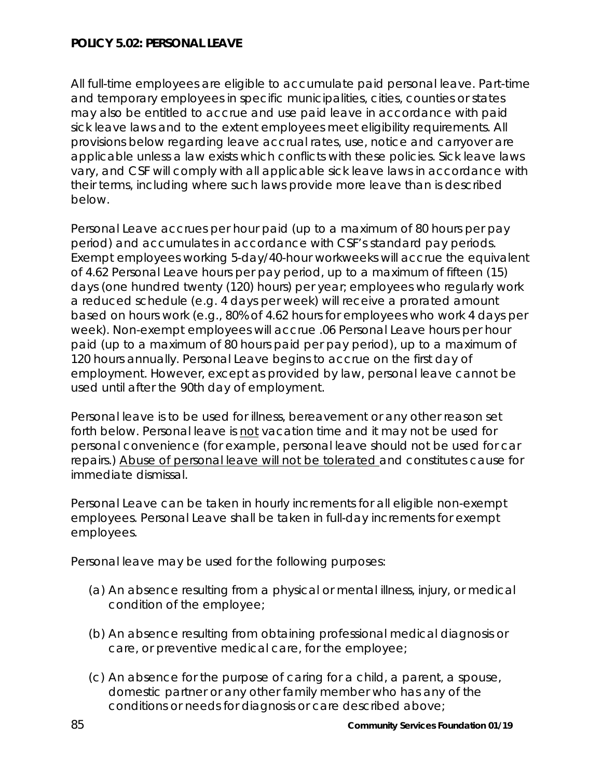#### **POLICY 5.02: PERSONAL LEAVE**

All full-time employees are eligible to accumulate paid personal leave. Part-time and temporary employees in specific municipalities, cities, counties or states may also be entitled to accrue and use paid leave in accordance with paid sick leave laws and to the extent employees meet eligibility requirements. All provisions below regarding leave accrual rates, use, notice and carryover are applicable unless a law exists which conflicts with these policies. Sick leave laws vary, and CSF will comply with all applicable sick leave laws in accordance with their terms, including where such laws provide more leave than is described below.

Personal Leave accrues per hour paid (up to a maximum of 80 hours per pay period) and accumulates in accordance with CSF's standard pay periods. Exempt employees working 5-day/40-hour workweeks will accrue the equivalent of 4.62 Personal Leave hours per pay period, up to a maximum of fifteen (15) days (one hundred twenty (120) hours) per year; employees who regularly work a reduced schedule (e.g. 4 days per week) will receive a prorated amount based on hours work (e.g., 80% of 4.62 hours for employees who work 4 days per week). Non-exempt employees will accrue .06 Personal Leave hours per hour paid (up to a maximum of 80 hours paid per pay period), up to a maximum of 120 hours annually. Personal Leave begins to accrue on the first day of employment. However, except as provided by law, personal leave cannot be used until after the 90th day of employment.

Personal leave is to be used for illness, bereavement or any other reason set forth below. Personal leave is not vacation time and it may not be used for personal convenience (for example, personal leave should not be used for car repairs.) Abuse of personal leave will not be tolerated and constitutes cause for immediate dismissal.

Personal Leave can be taken in hourly increments for all eligible non-exempt employees. Personal Leave shall be taken in full-day increments for exempt employees.

Personal leave may be used for the following purposes:

- (a) An absence resulting from a physical or mental illness, injury, or medical condition of the employee;
- (b) An absence resulting from obtaining professional medical diagnosis or care, or preventive medical care, for the employee;
- (c) An absence for the purpose of caring for a child, a parent, a spouse, domestic partner or any other family member who has any of the conditions or needs for diagnosis or care described above;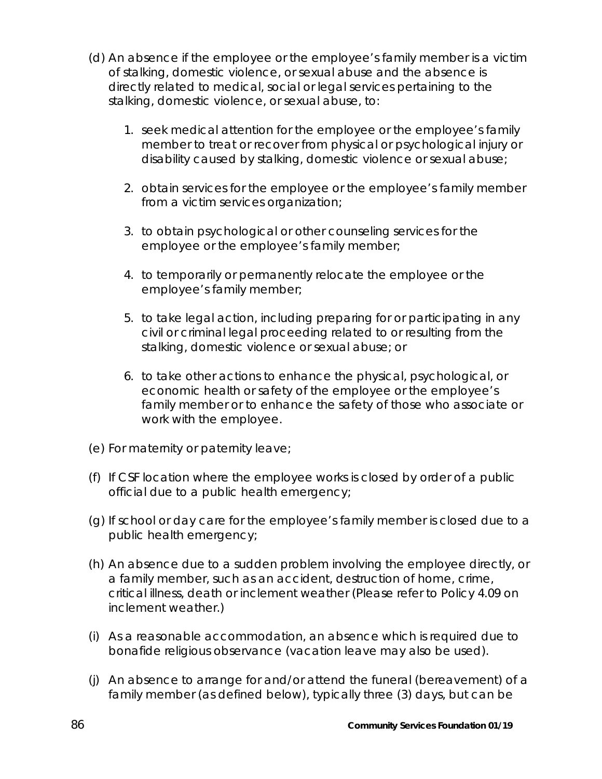- (d) An absence if the employee or the employee's family member is a victim of stalking, domestic violence, or sexual abuse and the absence is directly related to medical, social or legal services pertaining to the stalking, domestic violence, or sexual abuse, to:
	- 1. seek medical attention for the employee or the employee's family member to treat or recover from physical or psychological injury or disability caused by stalking, domestic violence or sexual abuse;
	- 2. obtain services for the employee or the employee's family member from a victim services organization;
	- 3. to obtain psychological or other counseling services for the employee or the employee's family member;
	- 4. to temporarily or permanently relocate the employee or the employee's family member;
	- 5. to take legal action, including preparing for or participating in any civil or criminal legal proceeding related to or resulting from the stalking, domestic violence or sexual abuse; or
	- 6. to take other actions to enhance the physical, psychological, or economic health or safety of the employee or the employee's family member or to enhance the safety of those who associate or work with the employee.
- (e) For maternity or paternity leave;
- (f) If CSF location where the employee works is closed by order of a public official due to a public health emergency;
- (g) If school or day care for the employee's family member is closed due to a public health emergency;
- (h) An absence due to a sudden problem involving the employee directly, or a family member, such as an accident, destruction of home, crime, critical illness, death or inclement weather (Please refer to Policy 4.09 on inclement weather.)
- (i) As a reasonable accommodation, an absence which is required due to bonafide religious observance (vacation leave may also be used).
- (j) An absence to arrange for and/or attend the funeral (bereavement) of a family member (as defined below), typically three (3) days, but can be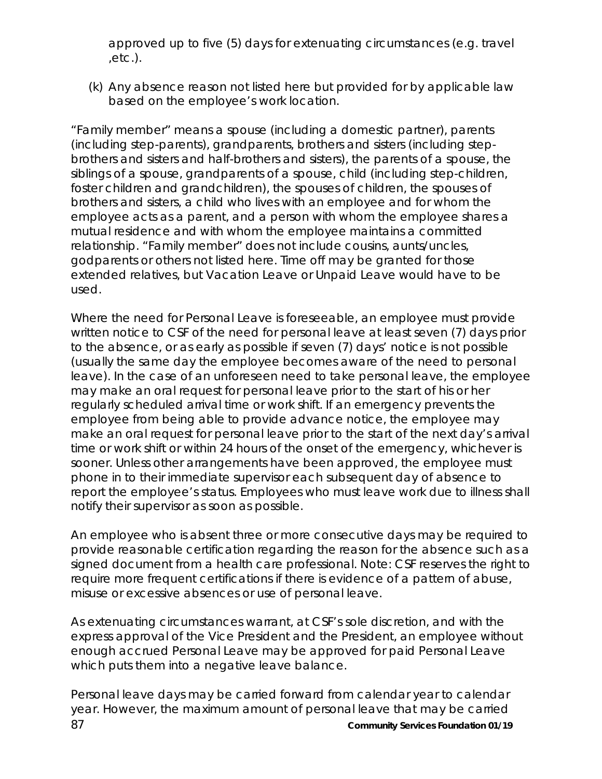approved up to five (5) days for extenuating circumstances (e.g. travel ,etc.).

(k) Any absence reason not listed here but provided for by applicable law based on the employee's work location.

"Family member" means a spouse (including a domestic partner), parents (including step-parents), grandparents, brothers and sisters (including stepbrothers and sisters and half-brothers and sisters), the parents of a spouse, the siblings of a spouse, grandparents of a spouse, child (including step-children, foster children and grandchildren), the spouses of children, the spouses of brothers and sisters, a child who lives with an employee and for whom the employee acts as a parent, and a person with whom the employee shares a mutual residence and with whom the employee maintains a committed relationship. "Family member" does not include cousins, aunts/uncles, godparents or others not listed here. Time off may be granted for those extended relatives, but Vacation Leave or Unpaid Leave would have to be used.

Where the need for Personal Leave is foreseeable, an employee must provide written notice to CSF of the need for personal leave at least seven (7) days prior to the absence, or as early as possible if seven (7) days' notice is not possible (usually the same day the employee becomes aware of the need to personal leave). In the case of an unforeseen need to take personal leave, the employee may make an oral request for personal leave prior to the start of his or her regularly scheduled arrival time or work shift. If an emergency prevents the employee from being able to provide advance notice, the employee may make an oral request for personal leave prior to the start of the next day's arrival time or work shift or within 24 hours of the onset of the emergency, whichever is sooner. Unless other arrangements have been approved, the employee must phone in to their immediate supervisor each subsequent day of absence to report the employee's status. Employees who must leave work due to illness shall notify their supervisor as soon as possible.

An employee who is absent three or more consecutive days may be required to provide reasonable certification regarding the reason for the absence such as a signed document from a health care professional. Note: CSF reserves the right to require more frequent certifications if there is evidence of a pattern of abuse, misuse or excessive absences or use of personal leave.

As extenuating circumstances warrant, at CSF's sole discretion, and with the express approval of the Vice President and the President, an employee without enough accrued Personal Leave may be approved for paid Personal Leave which puts them into a negative leave balance.

87 **Community Services Foundation 01/19** Personal leave days may be carried forward from calendar year to calendar year. However, the maximum amount of personal leave that may be carried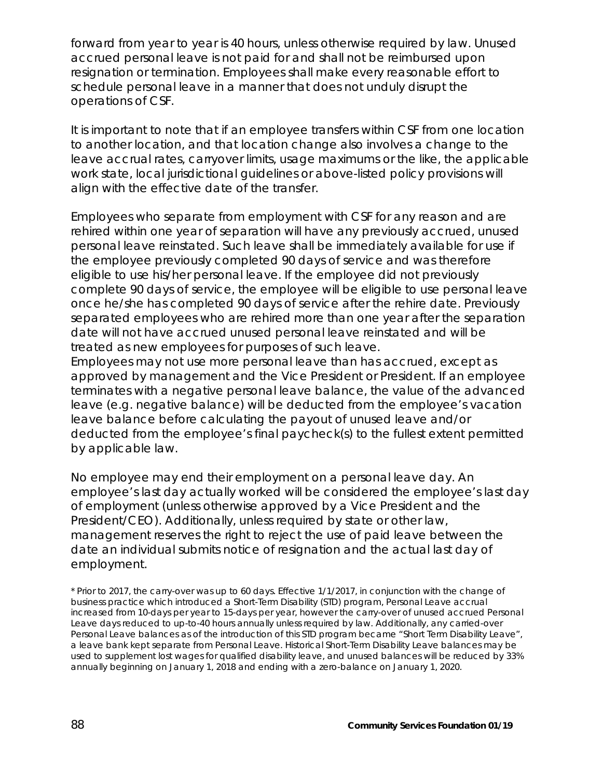forward from year to year is 40 hours, unless otherwise required by law. Unused accrued personal leave is not paid for and shall not be reimbursed upon resignation or termination. Employees shall make every reasonable effort to schedule personal leave in a manner that does not unduly disrupt the operations of CSF.

It is important to note that if an employee transfers within CSF from one location to another location, and that location change also involves a change to the leave accrual rates, carryover limits, usage maximums or the like, the applicable work state, local jurisdictional guidelines or above-listed policy provisions will align with the effective date of the transfer.

Employees who separate from employment with CSF for any reason and are rehired within one year of separation will have any previously accrued, unused personal leave reinstated. Such leave shall be immediately available for use if the employee previously completed 90 days of service and was therefore eligible to use his/her personal leave. If the employee did not previously complete 90 days of service, the employee will be eligible to use personal leave once he/she has completed 90 days of service after the rehire date. Previously separated employees who are rehired more than one year after the separation date will not have accrued unused personal leave reinstated and will be treated as new employees for purposes of such leave.

Employees may not use more personal leave than has accrued, except as approved by management and the Vice President or President. If an employee terminates with a negative personal leave balance, the value of the advanced leave (e.g. negative balance) will be deducted from the employee's vacation leave balance before calculating the payout of unused leave and/or deducted from the employee's final paycheck(s) to the fullest extent permitted by applicable law.

No employee may end their employment on a personal leave day. An employee's last day actually worked will be considered the employee's last day of employment (unless otherwise approved by a Vice President and the President/CEO). Additionally, unless required by state or other law, management reserves the right to reject the use of paid leave between the date an individual submits notice of resignation and the actual last day of employment.

\* Prior to 2017, the carry-over was up to 60 days. Effective 1/1/2017, in conjunction with the change of business practice which introduced a Short-Term Disability (STD) program, Personal Leave accrual increased from 10-days per year to 15-days per year, however the carry-over of unused accrued Personal Leave days reduced to up-to-40 hours annually unless required by law. Additionally, any carried-over Personal Leave balances as of the introduction of this STD program became "Short Term Disability Leave", a leave bank kept separate from Personal Leave. Historical Short-Term Disability Leave balances may be used to supplement lost wages for qualified disability leave, and unused balances will be reduced by 33% annually beginning on January 1, 2018 and ending with a zero-balance on January 1, 2020.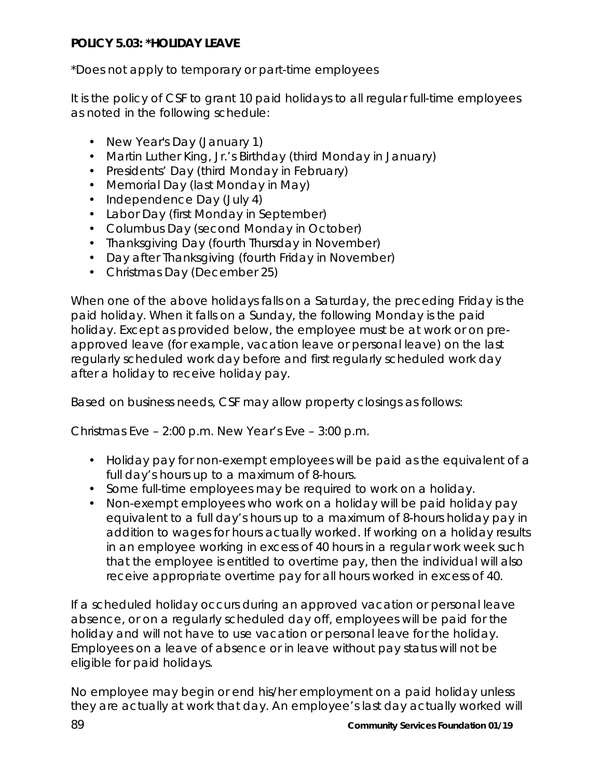## **POLICY 5.03: \*HOLIDAY LEAVE**

\*Does not apply to temporary or part-time employees

It is the policy of CSF to grant 10 paid holidays to all regular full-time employees as noted in the following schedule:

- New Year's Day (January 1)
- Martin Luther King, Jr.'s Birthday (third Monday in January)
- Presidents' Day (third Monday in February)
- Memorial Day (last Monday in May)
- Independence Day (July 4)
- Labor Day (first Monday in September)
- Columbus Day (second Monday in October)
- Thanksgiving Day (fourth Thursday in November)
- Day after Thanksgiving (fourth Friday in November)
- Christmas Day (December 25)

When one of the above holidays falls on a Saturday, the preceding Friday is the paid holiday. When it falls on a Sunday, the following Monday is the paid holiday. Except as provided below, the employee must be at work or on preapproved leave (for example, vacation leave or personal leave) on the last regularly scheduled work day before and first regularly scheduled work day after a holiday to receive holiday pay.

Based on business needs, CSF may allow property closings as follows:

Christmas Eve – 2:00 p.m. New Year's Eve – 3:00 p.m.

- Holiday pay for non-exempt employees will be paid as the equivalent of a full day's hours up to a maximum of 8-hours.
- Some full-time employees may be required to work on a holiday.
- Non-exempt employees who work on a holiday will be paid holiday pay equivalent to a full day's hours up to a maximum of 8-hours holiday pay in addition to wages for hours actually worked. If working on a holiday results in an employee working in excess of 40 hours in a regular work week such that the employee is entitled to overtime pay, then the individual will also receive appropriate overtime pay for all hours worked in excess of 40.

If a scheduled holiday occurs during an approved vacation or personal leave absence, or on a regularly scheduled day off, employees will be paid for the holiday and will not have to use vacation or personal leave for the holiday. Employees on a leave of absence or in leave without pay status will not be eligible for paid holidays.

No employee may begin or end his/her employment on a paid holiday unless they are actually at work that day. An employee's last day actually worked will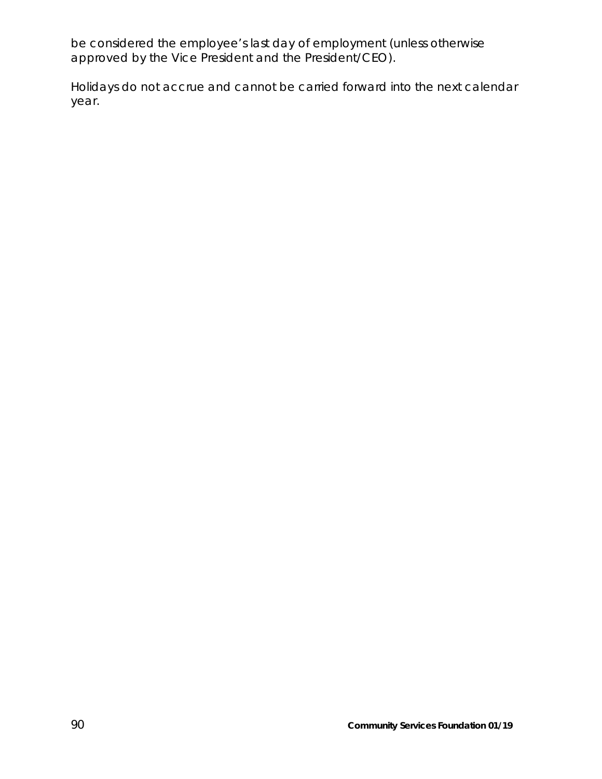be considered the employee's last day of employment (unless otherwise approved by the Vice President and the President/CEO).

Holidays do not accrue and cannot be carried forward into the next calendar year.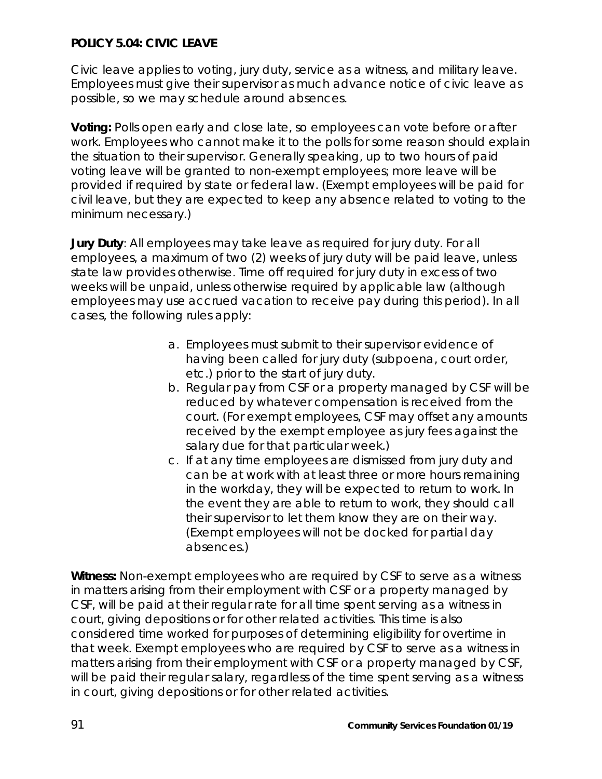## **POLICY 5.04: CIVIC LEAVE**

Civic leave applies to voting, jury duty, service as a witness, and military leave. Employees must give their supervisor as much advance notice of civic leave as possible, so we may schedule around absences.

**Voting:** Polls open early and close late, so employees can vote before or after work. Employees who cannot make it to the polls for some reason should explain the situation to their supervisor. Generally speaking, up to two hours of paid voting leave will be granted to non-exempt employees; more leave will be provided if required by state or federal law. (Exempt employees will be paid for civil leave, but they are expected to keep any absence related to voting to the minimum necessary.)

**Jury Duty**: All employees may take leave as required for jury duty. For all employees, a maximum of two (2) weeks of jury duty will be paid leave, unless state law provides otherwise. Time off required for jury duty in excess of two weeks will be unpaid, unless otherwise required by applicable law (although employees may use accrued vacation to receive pay during this period). In all cases, the following rules apply:

- a. Employees must submit to their supervisor evidence of having been called for jury duty (subpoena, court order, etc.) prior to the start of jury duty.
- b. Regular pay from CSF or a property managed by CSF will be reduced by whatever compensation is received from the court. (For exempt employees, CSF may offset any amounts received by the exempt employee as jury fees against the salary due for that particular week.)
- c. If at any time employees are dismissed from jury duty and can be at work with at least three or more hours remaining in the workday, they will be expected to return to work. In the event they are able to return to work, they should call their supervisor to let them know they are on their way. (Exempt employees will not be docked for partial day absences.)

**Witness:** Non-exempt employees who are required by CSF to serve as a witness in matters arising from their employment with CSF or a property managed by CSF, will be paid at their regular rate for all time spent serving as a witness in court, giving depositions or for other related activities. This time is also considered time worked for purposes of determining eligibility for overtime in that week. Exempt employees who are required by CSF to serve as a witness in matters arising from their employment with CSF or a property managed by CSF, will be paid their regular salary, regardless of the time spent serving as a witness in court, giving depositions or for other related activities.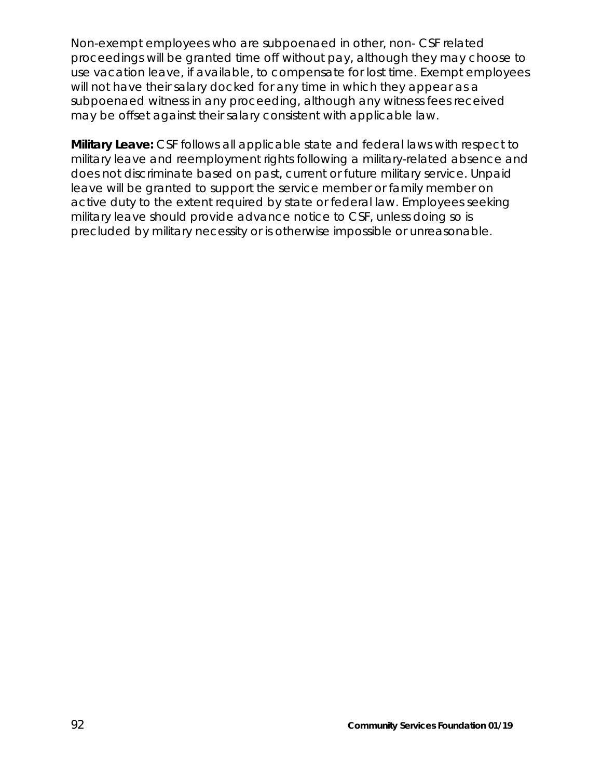Non-exempt employees who are subpoenaed in other, non- CSF related proceedings will be granted time off without pay, although they may choose to use vacation leave, if available, to compensate for lost time. Exempt employees will not have their salary docked for any time in which they appear as a subpoenaed witness in any proceeding, although any witness fees received may be offset against their salary consistent with applicable law.

**Military Leave:** CSF follows all applicable state and federal laws with respect to military leave and reemployment rights following a military-related absence and does not discriminate based on past, current or future military service. Unpaid leave will be granted to support the service member or family member on active duty to the extent required by state or federal law. Employees seeking military leave should provide advance notice to CSF, unless doing so is precluded by military necessity or is otherwise impossible or unreasonable.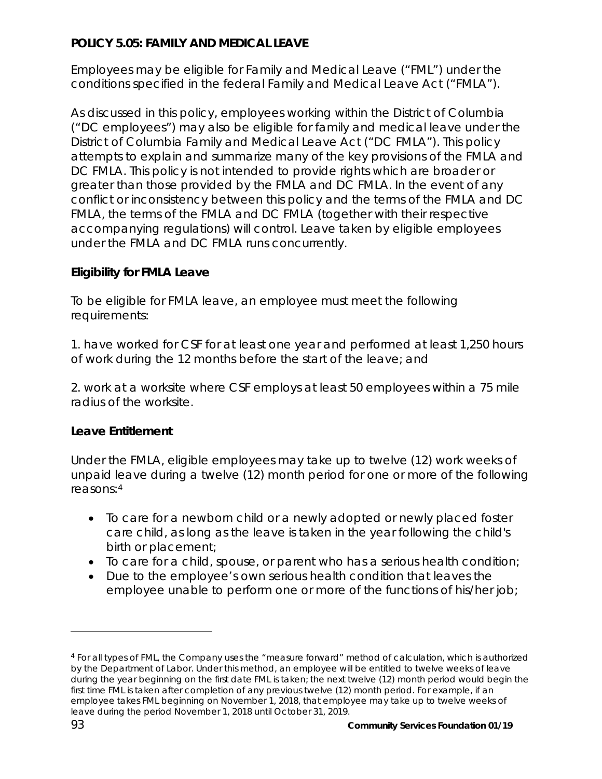## **POLICY 5.05: FAMILY AND MEDICAL LEAVE**

Employees may be eligible for Family and Medical Leave ("FML") under the conditions specified in the federal Family and Medical Leave Act ("FMLA").

As discussed in this policy, employees working within the District of Columbia ("DC employees") may also be eligible for family and medical leave under the District of Columbia Family and Medical Leave Act ("DC FMLA"). This policy attempts to explain and summarize many of the key provisions of the FMLA and DC FMLA. This policy is not intended to provide rights which are broader or greater than those provided by the FMLA and DC FMLA. In the event of any conflict or inconsistency between this policy and the terms of the FMLA and DC FMLA, the terms of the FMLA and DC FMLA (together with their respective accompanying regulations) will control. Leave taken by eligible employees under the FMLA and DC FMLA runs concurrently.

## **Eligibility for FMLA Leave**

To be eligible for FMLA leave, an employee must meet the following requirements:

1. have worked for CSF for at least one year and performed at least 1,250 hours of work during the 12 months before the start of the leave; and

2. work at a worksite where CSF employs at least 50 employees within a 75 mile radius of the worksite.

## **Leave Entitlement**

Under the FMLA, eligible employees may take up to twelve (12) work weeks of unpaid leave during a twelve (12) month period for one or more of the following reasons:[4](#page-92-0)

- To care for a newborn child or a newly adopted or newly placed foster care child, as long as the leave is taken in the year following the child's birth or placement;
- To care for a child, spouse, or parent who has a serious health condition;
- Due to the employee's own serious health condition that leaves the employee unable to perform one or more of the functions of his/her job;

 $\overline{a}$ 

<span id="page-92-0"></span><sup>4</sup> For all types of FML, the Company uses the "measure forward" method of calculation, which is authorized by the Department of Labor. Under this method, an employee will be entitled to twelve weeks of leave during the year beginning on the first date FML is taken; the next twelve (12) month period would begin the first time FML is taken after completion of any previous twelve (12) month period. For example, if an employee takes FML beginning on November 1, 2018, that employee may take up to twelve weeks of leave during the period November 1, 2018 until October 31, 2019.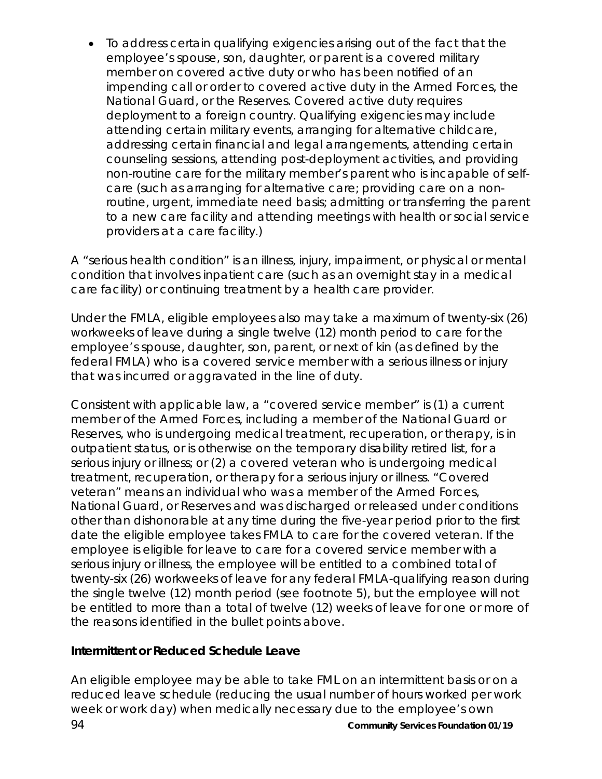• To address certain qualifying exigencies arising out of the fact that the employee's spouse, son, daughter, or parent is a covered military member on covered active duty or who has been notified of an impending call or order to covered active duty in the Armed Forces, the National Guard, or the Reserves. Covered active duty requires deployment to a foreign country. Qualifying exigencies may include attending certain military events, arranging for alternative childcare, addressing certain financial and legal arrangements, attending certain counseling sessions, attending post-deployment activities, and providing non-routine care for the military member's parent who is incapable of selfcare (such as arranging for alternative care; providing care on a nonroutine, urgent, immediate need basis; admitting or transferring the parent to a new care facility and attending meetings with health or social service providers at a care facility.)

A "serious health condition" is an illness, injury, impairment, or physical or mental condition that involves inpatient care (such as an overnight stay in a medical care facility) or continuing treatment by a health care provider.

Under the FMLA, eligible employees also may take a maximum of twenty-six (26) workweeks of leave during a single twelve (12) month period to care for the employee's spouse, daughter, son, parent, or next of kin (as defined by the federal FMLA) who is a covered service member with a serious illness or injury that was incurred or aggravated in the line of duty.

Consistent with applicable law, a "covered service member" is (1) a current member of the Armed Forces, including a member of the National Guard or Reserves, who is undergoing medical treatment, recuperation, or therapy, is in outpatient status, or is otherwise on the temporary disability retired list, for a serious injury or illness; or (2) a covered veteran who is undergoing medical treatment, recuperation, or therapy for a serious injury or illness. "Covered veteran" means an individual who was a member of the Armed Forces, National Guard, or Reserves and was discharged or released under conditions other than dishonorable at any time during the five-year period prior to the first date the eligible employee takes FMLA to care for the covered veteran. If the employee is eligible for leave to care for a covered service member with a serious injury or illness, the employee will be entitled to a combined total of twenty-six (26) workweeks of leave for any federal FMLA-qualifying reason during the single twelve (12) month period (see footnote 5), but the employee will not be entitled to more than a total of twelve (12) weeks of leave for one or more of the reasons identified in the bullet points above.

#### **Intermittent or Reduced Schedule Leave**

94 **Community Services Foundation 01/19** An eligible employee may be able to take FML on an intermittent basis or on a reduced leave schedule (reducing the usual number of hours worked per work week or work day) when medically necessary due to the employee's own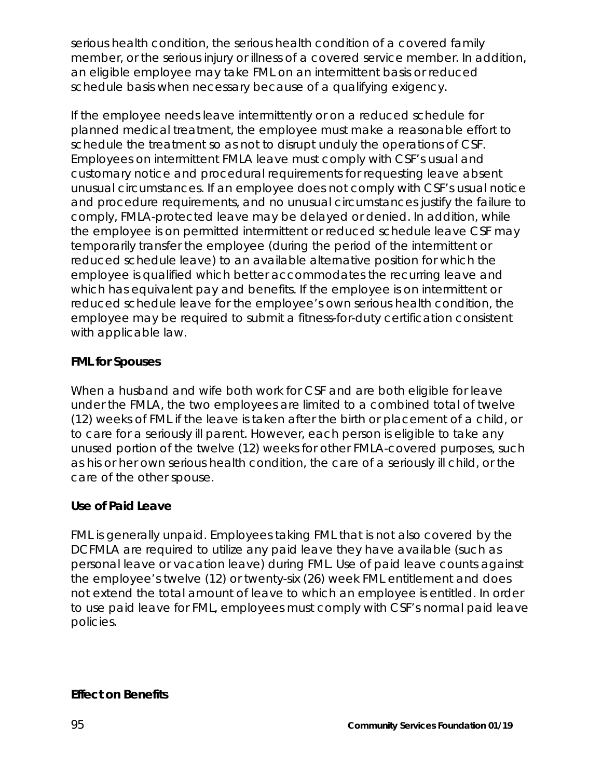serious health condition, the serious health condition of a covered family member, or the serious injury or illness of a covered service member. In addition, an eligible employee may take FML on an intermittent basis or reduced schedule basis when necessary because of a qualifying exigency.

If the employee needs leave intermittently or on a reduced schedule for planned medical treatment, the employee must make a reasonable effort to schedule the treatment so as not to disrupt unduly the operations of CSF. Employees on intermittent FMLA leave must comply with CSF's usual and customary notice and procedural requirements for requesting leave absent unusual circumstances. If an employee does not comply with CSF's usual notice and procedure requirements, and no unusual circumstances justify the failure to comply, FMLA-protected leave may be delayed or denied. In addition, while the employee is on permitted intermittent or reduced schedule leave CSF may temporarily transfer the employee (during the period of the intermittent or reduced schedule leave) to an available alternative position for which the employee is qualified which better accommodates the recurring leave and which has equivalent pay and benefits. If the employee is on intermittent or reduced schedule leave for the employee's own serious health condition, the employee may be required to submit a fitness-for-duty certification consistent with applicable law.

## **FML for Spouses**

When a husband and wife both work for CSF and are both eligible for leave under the FMLA, the two employees are limited to a combined total of twelve (12) weeks of FML if the leave is taken after the birth or placement of a child, or to care for a seriously ill parent. However, each person is eligible to take any unused portion of the twelve (12) weeks for other FMLA-covered purposes, such as his or her own serious health condition, the care of a seriously ill child, or the care of the other spouse.

#### **Use of Paid Leave**

FML is generally unpaid. Employees taking FML that is not also covered by the DCFMLA are required to utilize any paid leave they have available (such as personal leave or vacation leave) during FML. Use of paid leave counts against the employee's twelve (12) or twenty-six (26) week FML entitlement and does not extend the total amount of leave to which an employee is entitled. In order to use paid leave for FML, employees must comply with CSF's normal paid leave policies.

## **Effect on Benefits**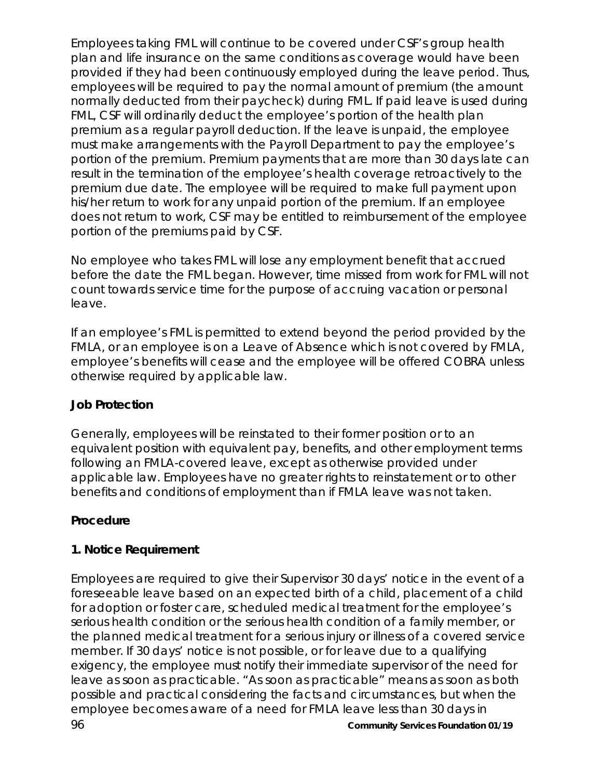Employees taking FML will continue to be covered under CSF's group health plan and life insurance on the same conditions as coverage would have been provided if they had been continuously employed during the leave period. Thus, employees will be required to pay the normal amount of premium (the amount normally deducted from their paycheck) during FML. If paid leave is used during FML, CSF will ordinarily deduct the employee's portion of the health plan premium as a regular payroll deduction. If the leave is unpaid, the employee must make arrangements with the Payroll Department to pay the employee's portion of the premium. Premium payments that are more than 30 days late can result in the termination of the employee's health coverage retroactively to the premium due date. The employee will be required to make full payment upon his/her return to work for any unpaid portion of the premium. If an employee does not return to work, CSF may be entitled to reimbursement of the employee portion of the premiums paid by CSF.

No employee who takes FML will lose any employment benefit that accrued before the date the FML began. However, time missed from work for FML will not count towards service time for the purpose of accruing vacation or personal leave.

If an employee's FML is permitted to extend beyond the period provided by the FMLA, or an employee is on a Leave of Absence which is not covered by FMLA, employee's benefits will cease and the employee will be offered COBRA unless otherwise required by applicable law.

#### **Job Protection**

Generally, employees will be reinstated to their former position or to an equivalent position with equivalent pay, benefits, and other employment terms following an FMLA-covered leave, except as otherwise provided under applicable law. Employees have no greater rights to reinstatement or to other benefits and conditions of employment than if FMLA leave was not taken.

## **Procedure**

## **1. Notice Requirement**

96 **Community Services Foundation 01/19** Employees are required to give their Supervisor 30 days' notice in the event of a foreseeable leave based on an expected birth of a child, placement of a child for adoption or foster care, scheduled medical treatment for the employee's serious health condition or the serious health condition of a family member, or the planned medical treatment for a serious injury or illness of a covered service member. If 30 days' notice is not possible, or for leave due to a qualifying exigency, the employee must notify their immediate supervisor of the need for leave as soon as practicable. "As soon as practicable" means as soon as both possible and practical considering the facts and circumstances, but when the employee becomes aware of a need for FMLA leave less than 30 days in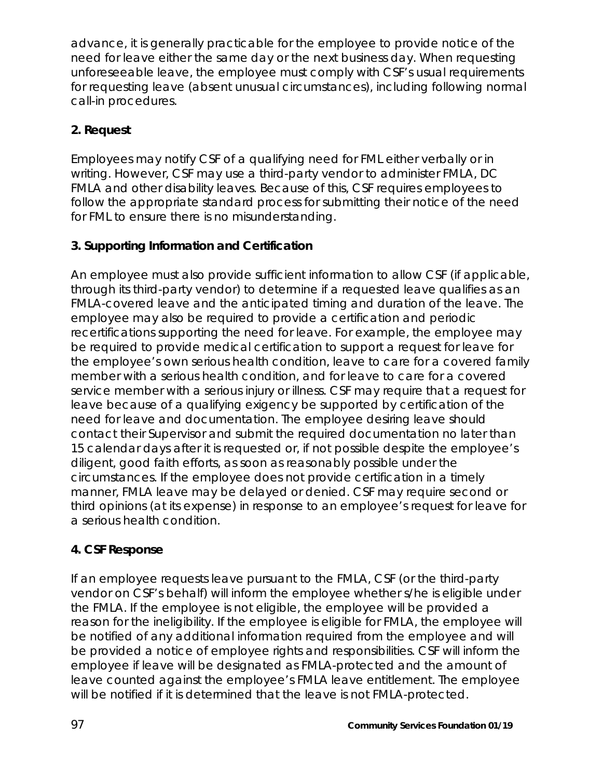advance, it is generally practicable for the employee to provide notice of the need for leave either the same day or the next business day. When requesting unforeseeable leave, the employee must comply with CSF's usual requirements for requesting leave (absent unusual circumstances), including following normal call-in procedures.

# **2. Request**

Employees may notify CSF of a qualifying need for FML either verbally or in writing. However, CSF may use a third-party vendor to administer FMLA, DC FMLA and other disability leaves. Because of this, CSF requires employees to follow the appropriate standard process for submitting their notice of the need for FML to ensure there is no misunderstanding.

# **3. Supporting Information and Certification**

An employee must also provide sufficient information to allow CSF (if applicable, through its third-party vendor) to determine if a requested leave qualifies as an FMLA-covered leave and the anticipated timing and duration of the leave. The employee may also be required to provide a certification and periodic recertifications supporting the need for leave. For example, the employee may be required to provide medical certification to support a request for leave for the employee's own serious health condition, leave to care for a covered family member with a serious health condition, and for leave to care for a covered service member with a serious injury or illness. CSF may require that a request for leave because of a qualifying exigency be supported by certification of the need for leave and documentation. The employee desiring leave should contact their Supervisor and submit the required documentation no later than 15 calendar days after it is requested or, if not possible despite the employee's diligent, good faith efforts, as soon as reasonably possible under the circumstances. If the employee does not provide certification in a timely manner, FMLA leave may be delayed or denied. CSF may require second or third opinions (at its expense) in response to an employee's request for leave for a serious health condition.

# **4. CSF Response**

If an employee requests leave pursuant to the FMLA, CSF (or the third-party vendor on CSF's behalf) will inform the employee whether s/he is eligible under the FMLA. If the employee is not eligible, the employee will be provided a reason for the ineligibility. If the employee is eligible for FMLA, the employee will be notified of any additional information required from the employee and will be provided a notice of employee rights and responsibilities. CSF will inform the employee if leave will be designated as FMLA-protected and the amount of leave counted against the employee's FMLA leave entitlement. The employee will be notified if it is determined that the leave is not FMLA-protected.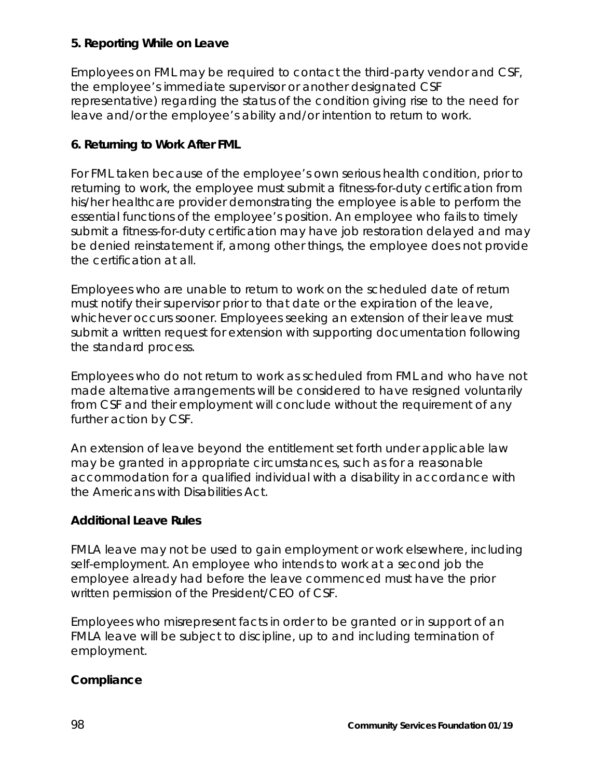### **5. Reporting While on Leave**

Employees on FML may be required to contact the third-party vendor and CSF, the employee's immediate supervisor or another designated CSF representative) regarding the status of the condition giving rise to the need for leave and/or the employee's ability and/or intention to return to work.

## **6. Returning to Work After FML**

For FML taken because of the employee's own serious health condition, prior to returning to work, the employee must submit a fitness-for-duty certification from his/her healthcare provider demonstrating the employee is able to perform the essential functions of the employee's position. An employee who fails to timely submit a fitness-for-duty certification may have job restoration delayed and may be denied reinstatement if, among other things, the employee does not provide the certification at all.

Employees who are unable to return to work on the scheduled date of return must notify their supervisor prior to that date or the expiration of the leave, whichever occurs sooner. Employees seeking an extension of their leave must submit a written request for extension with supporting documentation following the standard process.

Employees who do not return to work as scheduled from FML and who have not made alternative arrangements will be considered to have resigned voluntarily from CSF and their employment will conclude without the requirement of any further action by CSF.

An extension of leave beyond the entitlement set forth under applicable law may be granted in appropriate circumstances, such as for a reasonable accommodation for a qualified individual with a disability in accordance with the Americans with Disabilities Act.

#### **Additional Leave Rules**

FMLA leave may not be used to gain employment or work elsewhere, including self-employment. An employee who intends to work at a second job the employee already had before the leave commenced must have the prior written permission of the President/CEO of CSF.

Employees who misrepresent facts in order to be granted or in support of an FMLA leave will be subject to discipline, up to and including termination of employment.

#### **Compliance**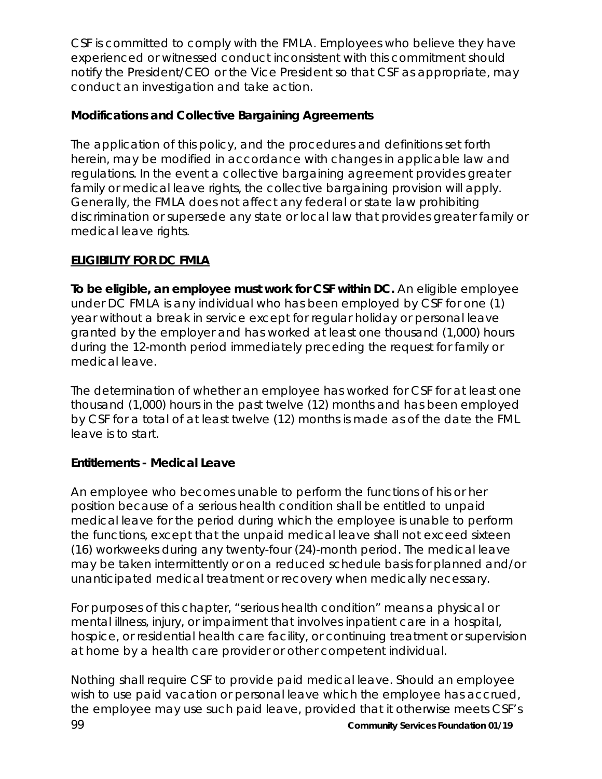CSF is committed to comply with the FMLA. Employees who believe they have experienced or witnessed conduct inconsistent with this commitment should notify the President/CEO or the Vice President so that CSF as appropriate, may conduct an investigation and take action.

## **Modifications and Collective Bargaining Agreements**

The application of this policy, and the procedures and definitions set forth herein, may be modified in accordance with changes in applicable law and regulations. In the event a collective bargaining agreement provides greater family or medical leave rights, the collective bargaining provision will apply. Generally, the FMLA does not affect any federal or state law prohibiting discrimination or supersede any state or local law that provides greater family or medical leave rights.

## **ELIGIBILITY FOR DC FMLA**

**To be eligible, an employee must work for CSF within DC.** An eligible employee under DC FMLA is any individual who has been employed by CSF for one (1) year without a break in service except for regular holiday or personal leave granted by the employer and has worked at least one thousand (1,000) hours during the 12-month period immediately preceding the request for family or medical leave.

The determination of whether an employee has worked for CSF for at least one thousand (1,000) hours in the past twelve (12) months and has been employed by CSF for a total of at least twelve (12) months is made as of the date the FML leave is to start.

## **Entitlements - Medical Leave**

An employee who becomes unable to perform the functions of his or her position because of a serious health condition shall be entitled to unpaid medical leave for the period during which the employee is unable to perform the functions, except that the unpaid medical leave shall not exceed sixteen (16) workweeks during any twenty-four (24)-month period. The medical leave may be taken intermittently or on a reduced schedule basis for planned and/or unanticipated medical treatment or recovery when medically necessary.

For purposes of this chapter, "serious health condition" means a physical or mental illness, injury, or impairment that involves inpatient care in a hospital, hospice, or residential health care facility, or continuing treatment or supervision at home by a health care provider or other competent individual.

99 **Community Services Foundation 01/19** Nothing shall require CSF to provide paid medical leave. Should an employee wish to use paid vacation or personal leave which the employee has accrued, the employee may use such paid leave, provided that it otherwise meets CSF's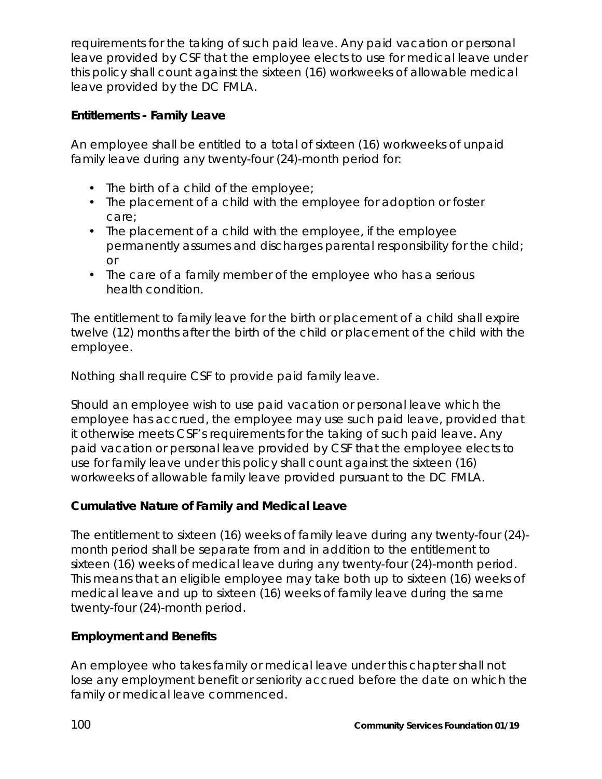requirements for the taking of such paid leave. Any paid vacation or personal leave provided by CSF that the employee elects to use for medical leave under this policy shall count against the sixteen (16) workweeks of allowable medical leave provided by the DC FMLA.

## **Entitlements - Family Leave**

An employee shall be entitled to a total of sixteen (16) workweeks of unpaid family leave during any twenty-four (24)-month period for:

- The birth of a child of the employee;
- The placement of a child with the employee for adoption or foster care;
- The placement of a child with the employee, if the employee permanently assumes and discharges parental responsibility for the child; or
- The care of a family member of the employee who has a serious health condition.

The entitlement to family leave for the birth or placement of a child shall expire twelve (12) months after the birth of the child or placement of the child with the employee.

Nothing shall require CSF to provide paid family leave.

Should an employee wish to use paid vacation or personal leave which the employee has accrued, the employee may use such paid leave, provided that it otherwise meets CSF's requirements for the taking of such paid leave. Any paid vacation or personal leave provided by CSF that the employee elects to use for family leave under this policy shall count against the sixteen (16) workweeks of allowable family leave provided pursuant to the DC FMLA.

## **Cumulative Nature of Family and Medical Leave**

The entitlement to sixteen (16) weeks of family leave during any twenty-four (24) month period shall be separate from and in addition to the entitlement to sixteen (16) weeks of medical leave during any twenty-four (24)-month period. This means that an eligible employee may take both up to sixteen (16) weeks of medical leave and up to sixteen (16) weeks of family leave during the same twenty-four (24)-month period.

## **Employment and Benefits**

An employee who takes family or medical leave under this chapter shall not lose any employment benefit or seniority accrued before the date on which the family or medical leave commenced.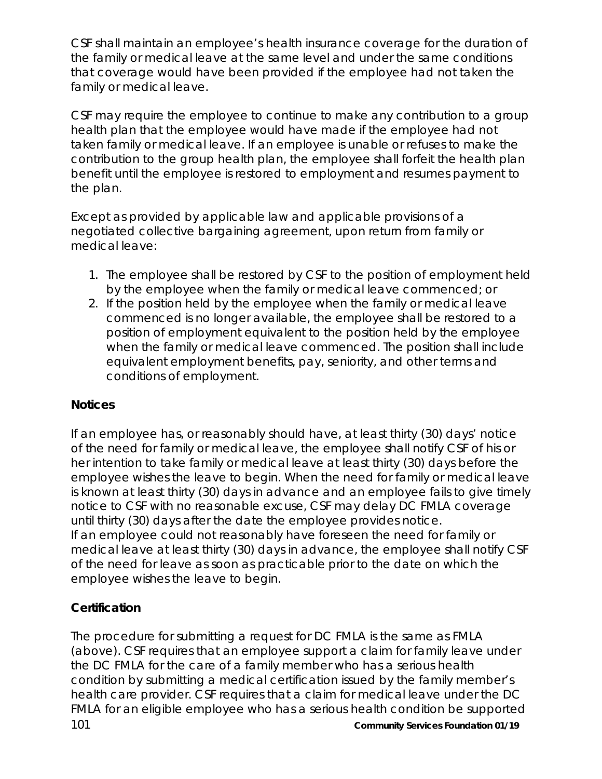CSF shall maintain an employee's health insurance coverage for the duration of the family or medical leave at the same level and under the same conditions that coverage would have been provided if the employee had not taken the family or medical leave.

CSF may require the employee to continue to make any contribution to a group health plan that the employee would have made if the employee had not taken family or medical leave. If an employee is unable or refuses to make the contribution to the group health plan, the employee shall forfeit the health plan benefit until the employee is restored to employment and resumes payment to the plan.

Except as provided by applicable law and applicable provisions of a negotiated collective bargaining agreement, upon return from family or medical leave:

- 1. The employee shall be restored by CSF to the position of employment held by the employee when the family or medical leave commenced; or
- 2. If the position held by the employee when the family or medical leave commenced is no longer available, the employee shall be restored to a position of employment equivalent to the position held by the employee when the family or medical leave commenced. The position shall include equivalent employment benefits, pay, seniority, and other terms and conditions of employment.

## **Notices**

If an employee has, or reasonably should have, at least thirty (30) days' notice of the need for family or medical leave, the employee shall notify CSF of his or her intention to take family or medical leave at least thirty (30) days before the employee wishes the leave to begin. When the need for family or medical leave is known at least thirty (30) days in advance and an employee fails to give timely notice to CSF with no reasonable excuse, CSF may delay DC FMLA coverage until thirty (30) days after the date the employee provides notice. If an employee could not reasonably have foreseen the need for family or medical leave at least thirty (30) days in advance, the employee shall notify CSF of the need for leave as soon as practicable prior to the date on which the employee wishes the leave to begin.

## **Certification**

101 **Community Services Foundation 01/19** The procedure for submitting a request for DC FMLA is the same as FMLA (above). CSF requires that an employee support a claim for family leave under the DC FMLA for the care of a family member who has a serious health condition by submitting a medical certification issued by the family member's health care provider. CSF requires that a claim for medical leave under the DC FMLA for an eligible employee who has a serious health condition be supported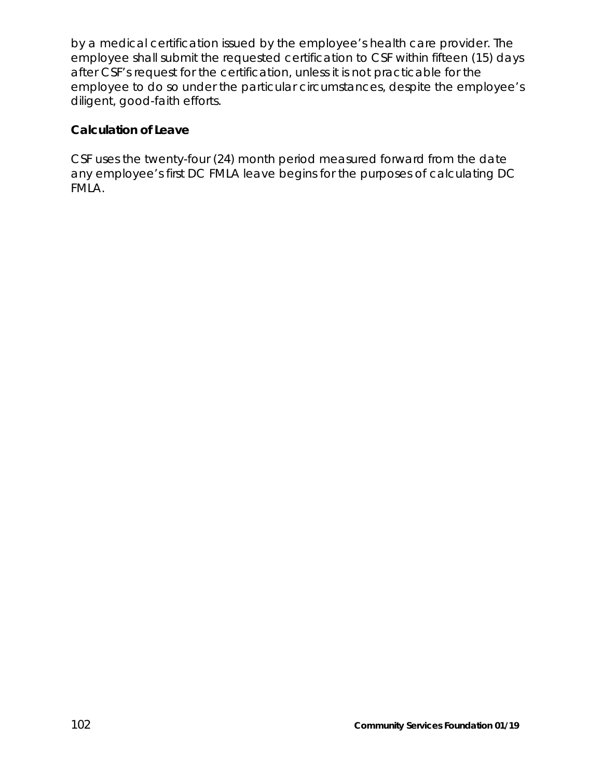by a medical certification issued by the employee's health care provider. The employee shall submit the requested certification to CSF within fifteen (15) days after CSF's request for the certification, unless it is not practicable for the employee to do so under the particular circumstances, despite the employee's diligent, good-faith efforts.

#### **Calculation of Leave**

CSF uses the twenty-four (24) month period measured forward from the date any employee's first DC FMLA leave begins for the purposes of calculating DC FMLA.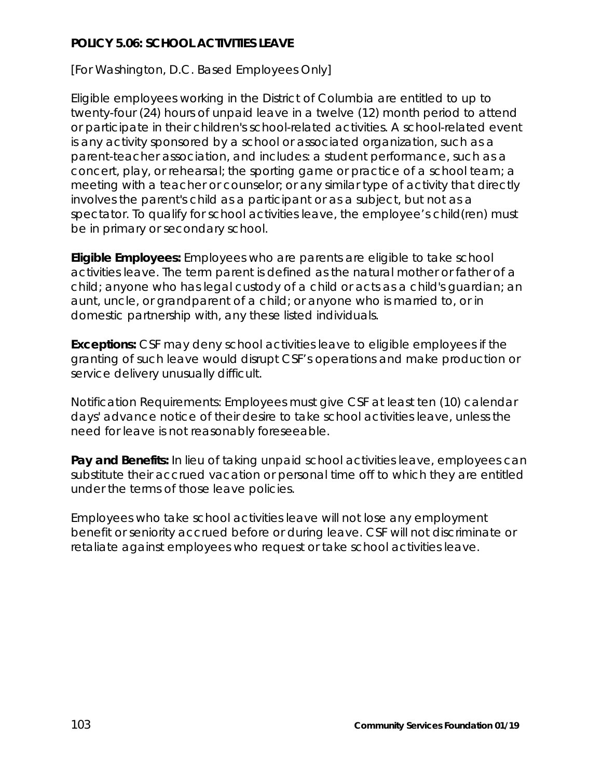## **POLICY 5.06: SCHOOL ACTIVITIES LEAVE**

[For Washington, D.C. Based Employees Only]

Eligible employees working in the District of Columbia are entitled to up to twenty-four (24) hours of unpaid leave in a twelve (12) month period to attend or participate in their children's school-related activities. A school-related event is any activity sponsored by a school or associated organization, such as a parent-teacher association, and includes: a student performance, such as a concert, play, or rehearsal; the sporting game or practice of a school team; a meeting with a teacher or counselor; or any similar type of activity that directly involves the parent's child as a participant or as a subject, but not as a spectator. To qualify for school activities leave, the employee's child(ren) must be in primary or secondary school.

**Eligible Employees:** Employees who are parents are eligible to take school activities leave. The term parent is defined as the natural mother or father of a child; anyone who has legal custody of a child or acts as a child's guardian; an aunt, uncle, or grandparent of a child; or anyone who is married to, or in domestic partnership with, any these listed individuals.

**Exceptions:** CSF may deny school activities leave to eligible employees if the granting of such leave would disrupt CSF's operations and make production or service delivery unusually difficult.

Notification Requirements: Employees must give CSF at least ten (10) calendar days' advance notice of their desire to take school activities leave, unless the need for leave is not reasonably foreseeable.

**Pay and Benefits:** In lieu of taking unpaid school activities leave, employees can substitute their accrued vacation or personal time off to which they are entitled under the terms of those leave policies.

Employees who take school activities leave will not lose any employment benefit or seniority accrued before or during leave. CSF will not discriminate or retaliate against employees who request or take school activities leave.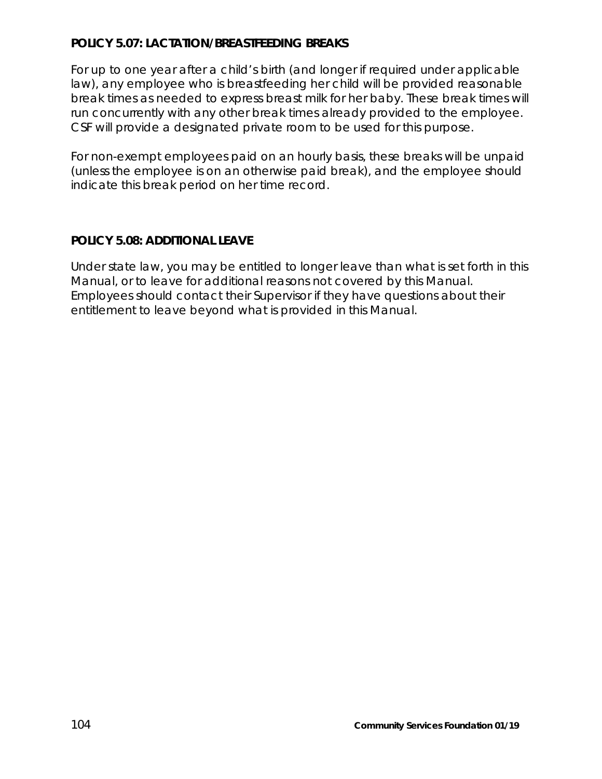## **POLICY 5.07: LACTATION/BREASTFEEDING BREAKS**

For up to one year after a child's birth (and longer if required under applicable law), any employee who is breastfeeding her child will be provided reasonable break times as needed to express breast milk for her baby. These break times will run concurrently with any other break times already provided to the employee. CSF will provide a designated private room to be used for this purpose.

For non-exempt employees paid on an hourly basis, these breaks will be unpaid (unless the employee is on an otherwise paid break), and the employee should indicate this break period on her time record.

## **POLICY 5.08: ADDITIONAL LEAVE**

Under state law, you may be entitled to longer leave than what is set forth in this Manual, or to leave for additional reasons not covered by this Manual. Employees should contact their Supervisor if they have questions about their entitlement to leave beyond what is provided in this Manual.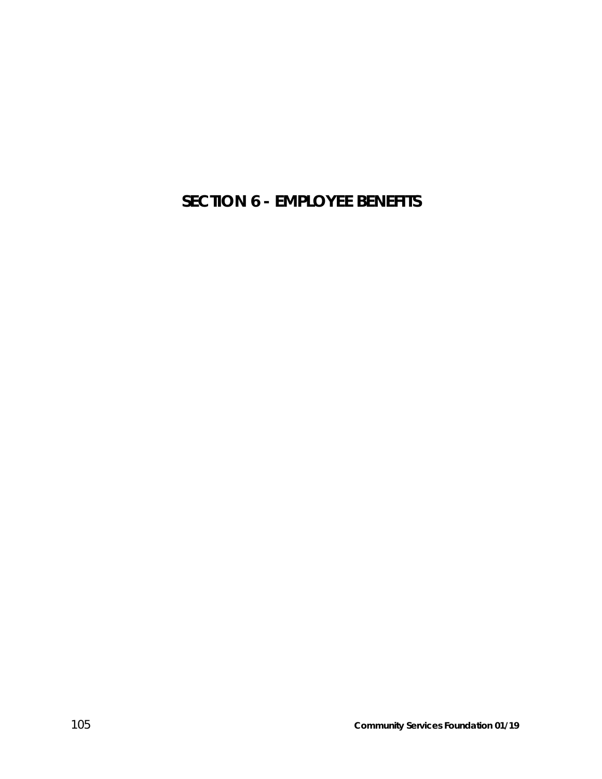**SECTION 6 - EMPLOYEE BENEFITS**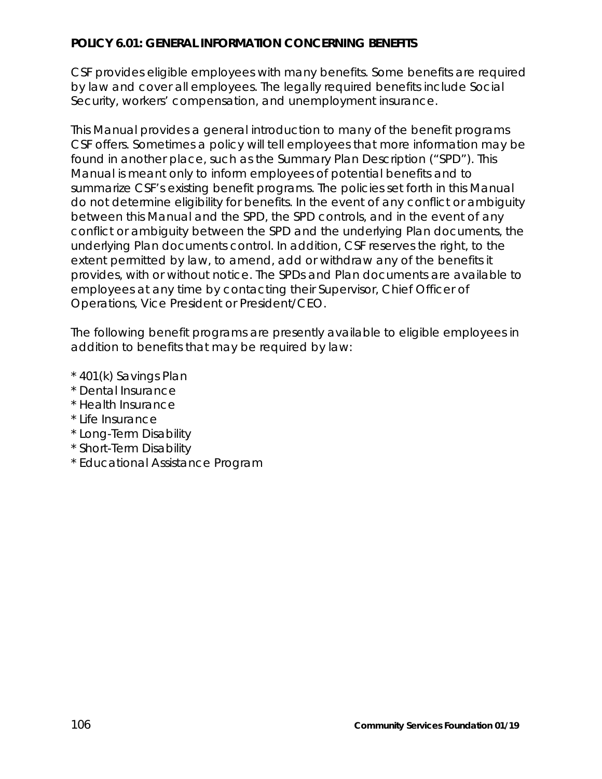## **POLICY 6.01: GENERAL INFORMATION CONCERNING BENEFITS**

CSF provides eligible employees with many benefits. Some benefits are required by law and cover all employees. The legally required benefits include Social Security, workers' compensation, and unemployment insurance.

This Manual provides a general introduction to many of the benefit programs CSF offers. Sometimes a policy will tell employees that more information may be found in another place, such as the Summary Plan Description ("SPD"). This Manual is meant only to inform employees of potential benefits and to summarize CSF's existing benefit programs. The policies set forth in this Manual do not determine eligibility for benefits. In the event of any conflict or ambiguity between this Manual and the SPD, the SPD controls, and in the event of any conflict or ambiguity between the SPD and the underlying Plan documents, the underlying Plan documents control. In addition, CSF reserves the right, to the extent permitted by law, to amend, add or withdraw any of the benefits it provides, with or without notice. The SPDs and Plan documents are available to employees at any time by contacting their Supervisor, Chief Officer of Operations, Vice President or President/CEO.

The following benefit programs are presently available to eligible employees in addition to benefits that may be required by law:

- \* 401(k) Savings Plan
- \* Dental Insurance
- \* Health Insurance
- \* Life Insurance
- \* Long-Term Disability
- \* Short-Term Disability
- \* Educational Assistance Program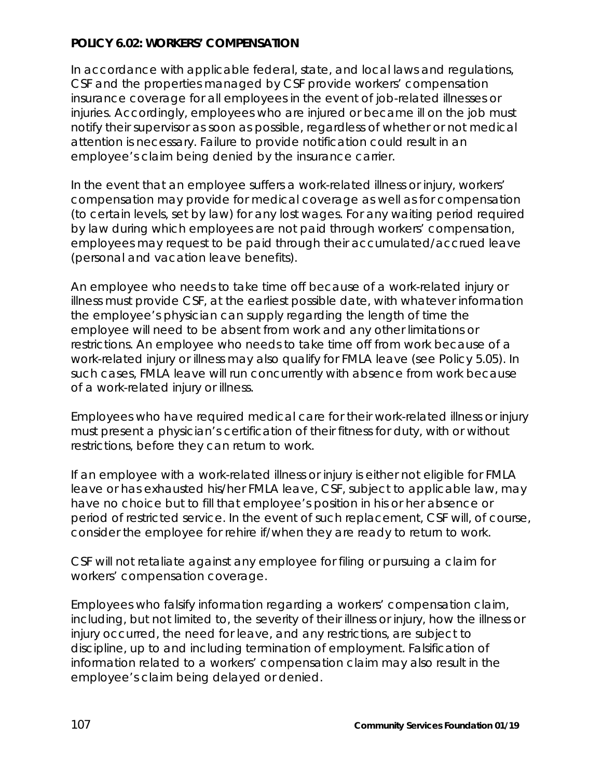## **POLICY 6.02: WORKERS' COMPENSATION**

In accordance with applicable federal, state, and local laws and regulations, CSF and the properties managed by CSF provide workers' compensation insurance coverage for all employees in the event of job-related illnesses or injuries. Accordingly, employees who are injured or became ill on the job must notify their supervisor as soon as possible, regardless of whether or not medical attention is necessary. Failure to provide notification could result in an employee's claim being denied by the insurance carrier.

In the event that an employee suffers a work-related illness or injury, workers' compensation may provide for medical coverage as well as for compensation (to certain levels, set by law) for any lost wages. For any waiting period required by law during which employees are not paid through workers' compensation, employees may request to be paid through their accumulated/accrued leave (personal and vacation leave benefits).

An employee who needs to take time off because of a work-related injury or illness must provide CSF, at the earliest possible date, with whatever information the employee's physician can supply regarding the length of time the employee will need to be absent from work and any other limitations or restrictions. An employee who needs to take time off from work because of a work-related injury or illness may also qualify for FMLA leave (see Policy 5.05). In such cases, FMLA leave will run concurrently with absence from work because of a work-related injury or illness.

Employees who have required medical care for their work-related illness or injury must present a physician's certification of their fitness for duty, with or without restrictions, before they can return to work.

If an employee with a work-related illness or injury is either not eligible for FMLA leave or has exhausted his/her FMLA leave, CSF, subject to applicable law, may have no choice but to fill that employee's position in his or her absence or period of restricted service. In the event of such replacement, CSF will, of course, consider the employee for rehire if/when they are ready to return to work.

CSF will not retaliate against any employee for filing or pursuing a claim for workers' compensation coverage.

Employees who falsify information regarding a workers' compensation claim, including, but not limited to, the severity of their illness or injury, how the illness or injury occurred, the need for leave, and any restrictions, are subject to discipline, up to and including termination of employment. Falsification of information related to a workers' compensation claim may also result in the employee's claim being delayed or denied.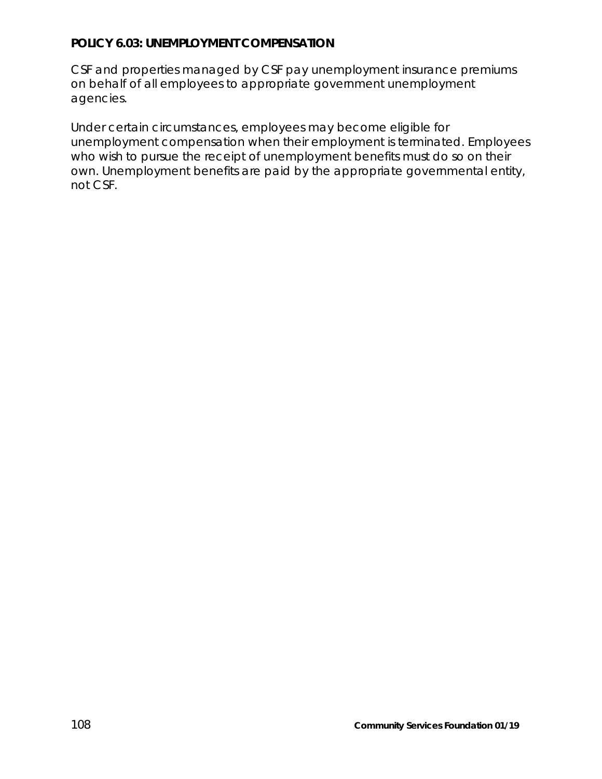## **POLICY 6.03: UNEMPLOYMENT COMPENSATION**

CSF and properties managed by CSF pay unemployment insurance premiums on behalf of all employees to appropriate government unemployment agencies.

Under certain circumstances, employees may become eligible for unemployment compensation when their employment is terminated. Employees who wish to pursue the receipt of unemployment benefits must do so on their own. Unemployment benefits are paid by the appropriate governmental entity, not CSF.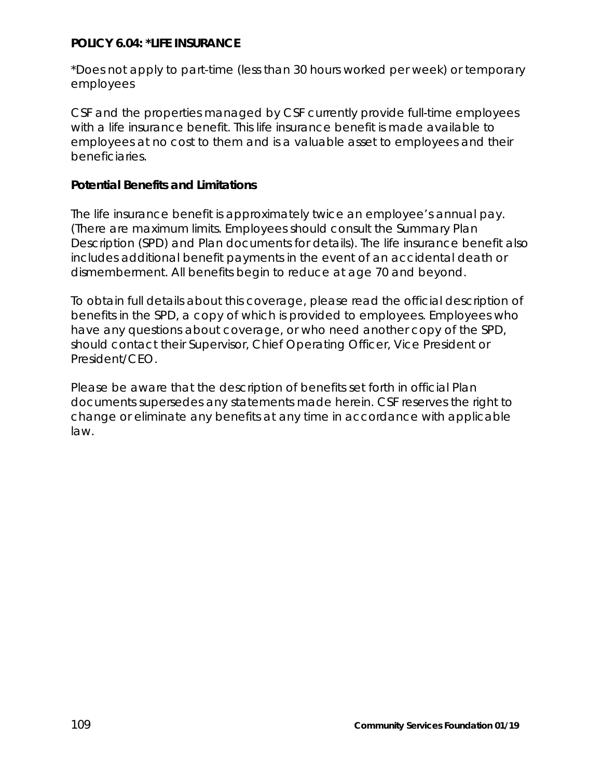### **POLICY 6.04: \*LIFE INSURANCE**

\*Does not apply to part-time (less than 30 hours worked per week) or temporary employees

CSF and the properties managed by CSF currently provide full-time employees with a life insurance benefit. This life insurance benefit is made available to employees at no cost to them and is a valuable asset to employees and their beneficiaries.

#### **Potential Benefits and Limitations**

The life insurance benefit is approximately twice an employee's annual pay. (There are maximum limits. Employees should consult the Summary Plan Description (SPD) and Plan documents for details). The life insurance benefit also includes additional benefit payments in the event of an accidental death or dismemberment. All benefits begin to reduce at age 70 and beyond.

To obtain full details about this coverage, please read the official description of benefits in the SPD, a copy of which is provided to employees. Employees who have any questions about coverage, or who need another copy of the SPD, should contact their Supervisor, Chief Operating Officer, Vice President or President/CEO.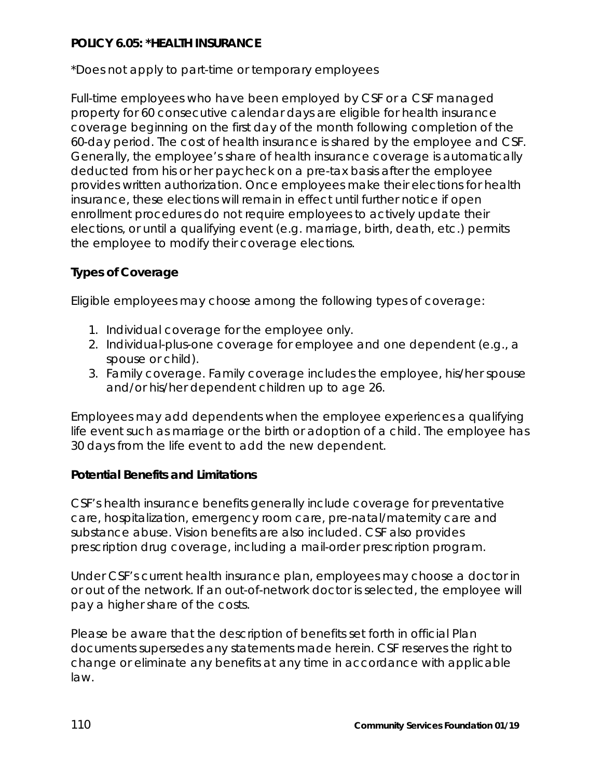## **POLICY 6.05: \*HEALTH INSURANCE**

\*Does not apply to part-time or temporary employees

Full-time employees who have been employed by CSF or a CSF managed property for 60 consecutive calendar days are eligible for health insurance coverage beginning on the first day of the month following completion of the 60-day period. The cost of health insurance is shared by the employee and CSF. Generally, the employee's share of health insurance coverage is automatically deducted from his or her paycheck on a pre-tax basis after the employee provides written authorization. Once employees make their elections for health insurance, these elections will remain in effect until further notice if open enrollment procedures do not require employees to actively update their elections, or until a qualifying event (e.g. marriage, birth, death, etc.) permits the employee to modify their coverage elections.

## **Types of Coverage**

Eligible employees may choose among the following types of coverage:

- 1. Individual coverage for the employee only.
- 2. Individual-plus-one coverage for employee and one dependent (e.g., a spouse or child).
- 3. Family coverage. Family coverage includes the employee, his/her spouse and/or his/her dependent children up to age 26.

Employees may add dependents when the employee experiences a qualifying life event such as marriage or the birth or adoption of a child. The employee has 30 days from the life event to add the new dependent.

### **Potential Benefits and Limitations**

CSF's health insurance benefits generally include coverage for preventative care, hospitalization, emergency room care, pre-natal/maternity care and substance abuse. Vision benefits are also included. CSF also provides prescription drug coverage, including a mail-order prescription program.

Under CSF's current health insurance plan, employees may choose a doctor in or out of the network. If an out-of-network doctor is selected, the employee will pay a higher share of the costs.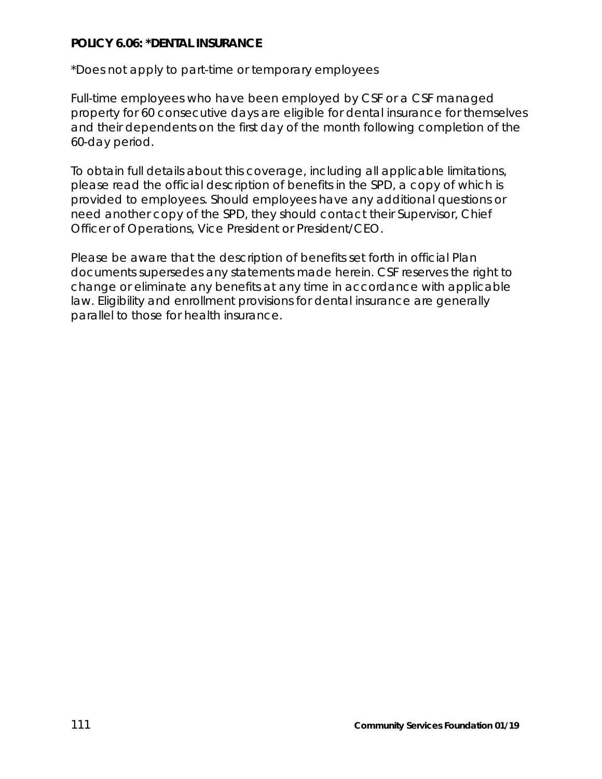### **POLICY 6.06: \*DENTAL INSURANCE**

\*Does not apply to part-time or temporary employees

Full-time employees who have been employed by CSF or a CSF managed property for 60 consecutive days are eligible for dental insurance for themselves and their dependents on the first day of the month following completion of the 60-day period.

To obtain full details about this coverage, including all applicable limitations, please read the official description of benefits in the SPD, a copy of which is provided to employees. Should employees have any additional questions or need another copy of the SPD, they should contact their Supervisor, Chief Officer of Operations, Vice President or President/CEO.

Please be aware that the description of benefits set forth in official Plan documents supersedes any statements made herein. CSF reserves the right to change or eliminate any benefits at any time in accordance with applicable law. Eligibility and enrollment provisions for dental insurance are generally parallel to those for health insurance.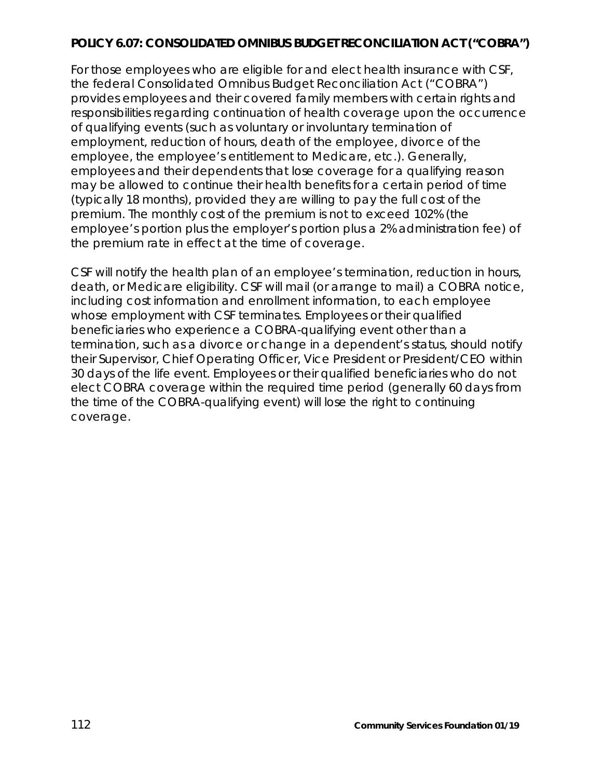## **POLICY 6.07: CONSOLIDATED OMNIBUS BUDGET RECONCILIATION ACT ("COBRA")**

For those employees who are eligible for and elect health insurance with CSF, the federal Consolidated Omnibus Budget Reconciliation Act ("COBRA") provides employees and their covered family members with certain rights and responsibilities regarding continuation of health coverage upon the occurrence of qualifying events (such as voluntary or involuntary termination of employment, reduction of hours, death of the employee, divorce of the employee, the employee's entitlement to Medicare, etc.). Generally, employees and their dependents that lose coverage for a qualifying reason may be allowed to continue their health benefits for a certain period of time (typically 18 months), provided they are willing to pay the full cost of the premium. The monthly cost of the premium is not to exceed 102% (the employee's portion plus the employer's portion plus a 2% administration fee) of the premium rate in effect at the time of coverage.

CSF will notify the health plan of an employee's termination, reduction in hours, death, or Medicare eligibility. CSF will mail (or arrange to mail) a COBRA notice, including cost information and enrollment information, to each employee whose employment with CSF terminates. Employees or their qualified beneficiaries who experience a COBRA-qualifying event other than a termination, such as a divorce or change in a dependent's status, should notify their Supervisor, Chief Operating Officer, Vice President or President/CEO within 30 days of the life event. Employees or their qualified beneficiaries who do not elect COBRA coverage within the required time period (generally 60 days from the time of the COBRA-qualifying event) will lose the right to continuing coverage.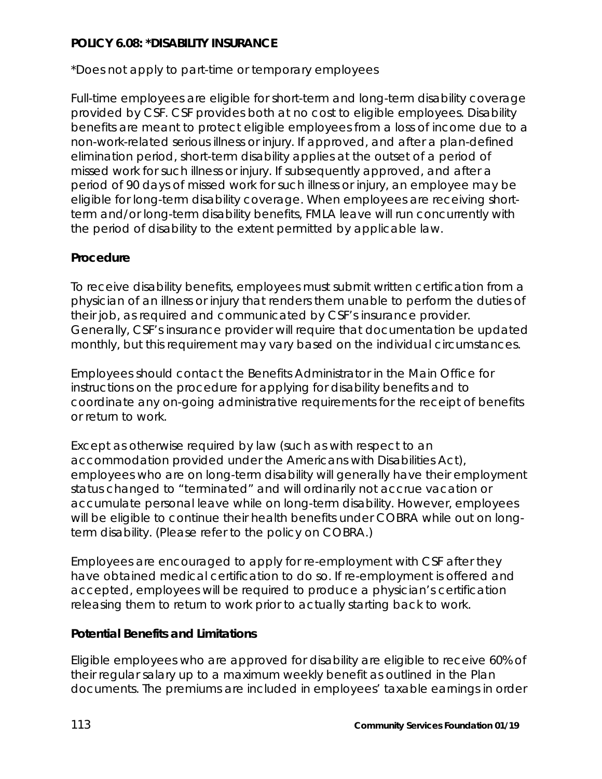## **POLICY 6.08: \*DISABILITY INSURANCE**

\*Does not apply to part-time or temporary employees

Full-time employees are eligible for short-term and long-term disability coverage provided by CSF. CSF provides both at no cost to eligible employees. Disability benefits are meant to protect eligible employees from a loss of income due to a non-work-related serious illness or injury. If approved, and after a plan-defined elimination period, short-term disability applies at the outset of a period of missed work for such illness or injury. If subsequently approved, and after a period of 90 days of missed work for such illness or injury, an employee may be eligible for long-term disability coverage. When employees are receiving shortterm and/or long-term disability benefits, FMLA leave will run concurrently with the period of disability to the extent permitted by applicable law.

## **Procedure**

To receive disability benefits, employees must submit written certification from a physician of an illness or injury that renders them unable to perform the duties of their job, as required and communicated by CSF's insurance provider. Generally, CSF's insurance provider will require that documentation be updated monthly, but this requirement may vary based on the individual circumstances.

Employees should contact the Benefits Administrator in the Main Office for instructions on the procedure for applying for disability benefits and to coordinate any on-going administrative requirements for the receipt of benefits or return to work.

Except as otherwise required by law (such as with respect to an accommodation provided under the Americans with Disabilities Act), employees who are on long-term disability will generally have their employment status changed to "terminated" and will ordinarily not accrue vacation or accumulate personal leave while on long-term disability. However, employees will be eligible to continue their health benefits under COBRA while out on longterm disability. (Please refer to the policy on COBRA.)

Employees are encouraged to apply for re-employment with CSF after they have obtained medical certification to do so. If re-employment is offered and accepted, employees will be required to produce a physician's certification releasing them to return to work prior to actually starting back to work.

### **Potential Benefits and Limitations**

Eligible employees who are approved for disability are eligible to receive 60% of their regular salary up to a maximum weekly benefit as outlined in the Plan documents. The premiums are included in employees' taxable earnings in order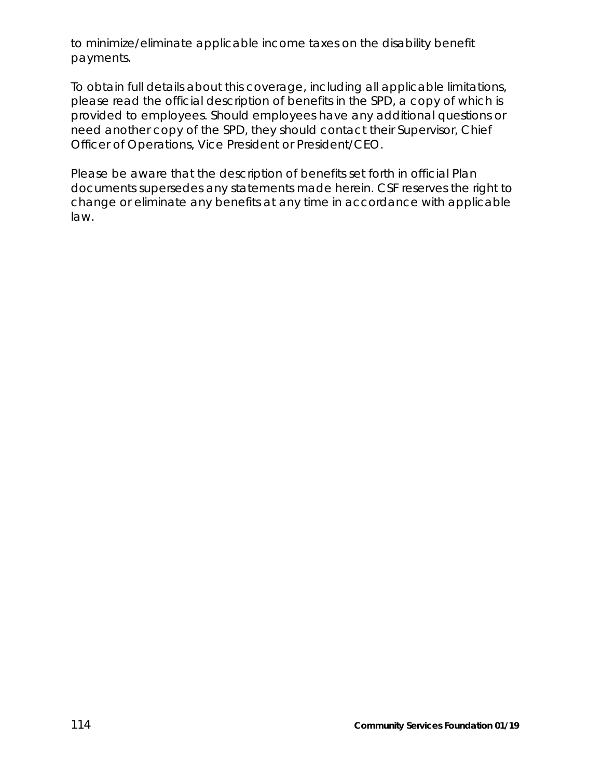to minimize/eliminate applicable income taxes on the disability benefit payments.

To obtain full details about this coverage, including all applicable limitations, please read the official description of benefits in the SPD, a copy of which is provided to employees. Should employees have any additional questions or need another copy of the SPD, they should contact their Supervisor, Chief Officer of Operations, Vice President or President/CEO.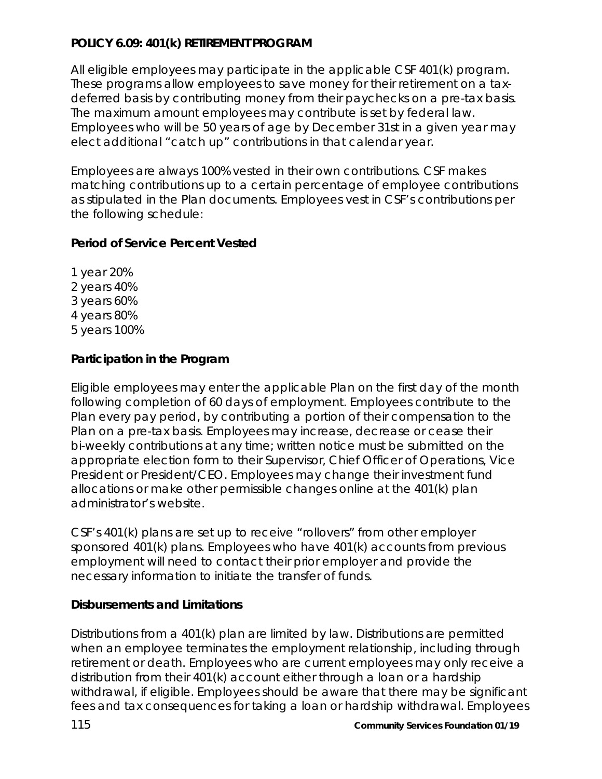# **POLICY 6.09: 401(k) RETIREMENT PROGRAM**

All eligible employees may participate in the applicable CSF 401(k) program. These programs allow employees to save money for their retirement on a taxdeferred basis by contributing money from their paychecks on a pre-tax basis. The maximum amount employees may contribute is set by federal law. Employees who will be 50 years of age by December 31st in a given year may elect additional "catch up" contributions in that calendar year.

Employees are always 100% vested in their own contributions. CSF makes matching contributions up to a certain percentage of employee contributions as stipulated in the Plan documents. Employees vest in CSF's contributions per the following schedule:

## **Period of Service Percent Vested**

1 year 20% 2 years 40% 3 years 60% 4 years 80% 5 years 100%

## **Participation in the Program**

Eligible employees may enter the applicable Plan on the first day of the month following completion of 60 days of employment. Employees contribute to the Plan every pay period, by contributing a portion of their compensation to the Plan on a pre-tax basis. Employees may increase, decrease or cease their bi-weekly contributions at any time; written notice must be submitted on the appropriate election form to their Supervisor, Chief Officer of Operations, Vice President or President/CEO. Employees may change their investment fund allocations or make other permissible changes online at the 401(k) plan administrator's website.

CSF's 401(k) plans are set up to receive "rollovers" from other employer sponsored 401(k) plans. Employees who have 401(k) accounts from previous employment will need to contact their prior employer and provide the necessary information to initiate the transfer of funds.

### **Disbursements and Limitations**

Distributions from a 401(k) plan are limited by law. Distributions are permitted when an employee terminates the employment relationship, including through retirement or death. Employees who are current employees may only receive a distribution from their 401(k) account either through a loan or a hardship withdrawal, if eligible. Employees should be aware that there may be significant fees and tax consequences for taking a loan or hardship withdrawal. Employees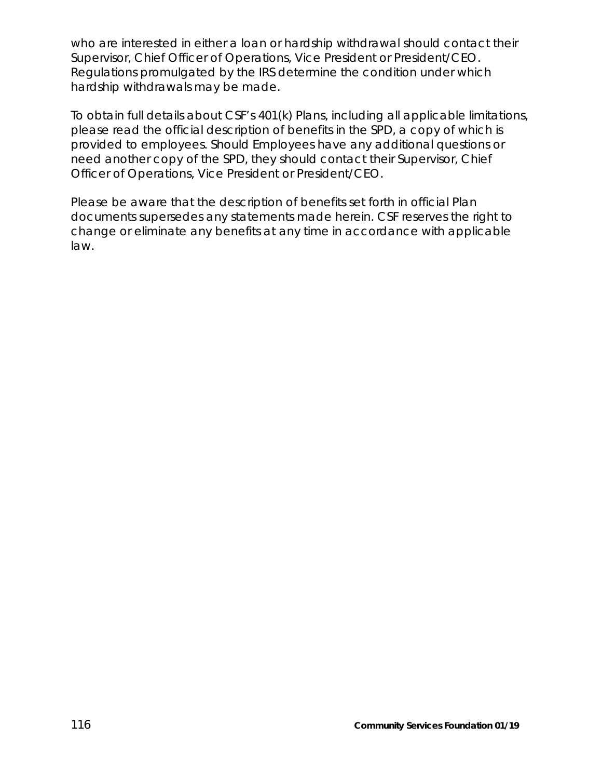who are interested in either a loan or hardship withdrawal should contact their Supervisor, Chief Officer of Operations, Vice President or President/CEO. Regulations promulgated by the IRS determine the condition under which hardship withdrawals may be made.

To obtain full details about CSF's 401(k) Plans, including all applicable limitations, please read the official description of benefits in the SPD, a copy of which is provided to employees. Should Employees have any additional questions or need another copy of the SPD, they should contact their Supervisor, Chief Officer of Operations, Vice President or President/CEO.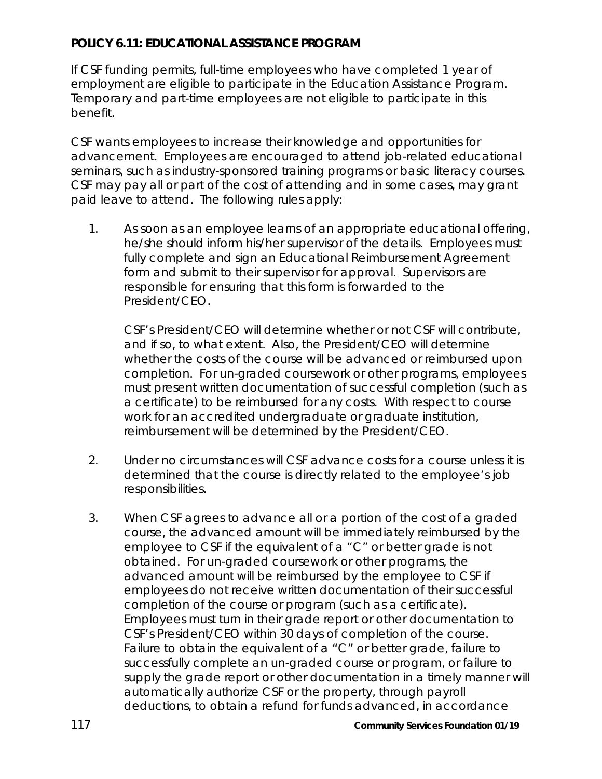## **POLICY 6.11: EDUCATIONAL ASSISTANCE PROGRAM**

If CSF funding permits, full-time employees who have completed 1 year of employment are eligible to participate in the Education Assistance Program. Temporary and part-time employees are not eligible to participate in this benefit.

CSF wants employees to increase their knowledge and opportunities for advancement. Employees are encouraged to attend job-related educational seminars, such as industry-sponsored training programs or basic literacy courses. CSF may pay all or part of the cost of attending and in some cases, may grant paid leave to attend. The following rules apply:

1. As soon as an employee learns of an appropriate educational offering, he/she should inform his/her supervisor of the details. Employees must fully complete and sign an Educational Reimbursement Agreement form and submit to their supervisor for approval. Supervisors are responsible for ensuring that this form is forwarded to the President/CEO.

CSF's President/CEO will determine whether or not CSF will contribute, and if so, to what extent. Also, the President/CEO will determine whether the costs of the course will be advanced or reimbursed upon completion. For un-graded coursework or other programs, employees must present written documentation of successful completion (such as a certificate) to be reimbursed for any costs. With respect to course work for an accredited undergraduate or graduate institution, reimbursement will be determined by the President/CEO.

- 2. Under no circumstances will CSF advance costs for a course unless it is determined that the course is directly related to the employee's job responsibilities.
- 3. When CSF agrees to advance all or a portion of the cost of a graded course, the advanced amount will be immediately reimbursed by the employee to CSF if the equivalent of a "C" or better grade is not obtained. For un-graded coursework or other programs, the advanced amount will be reimbursed by the employee to CSF if employees do not receive written documentation of their successful completion of the course or program (such as a certificate). Employees must turn in their grade report or other documentation to CSF's President/CEO within 30 days of completion of the course. Failure to obtain the equivalent of a "C" or better grade, failure to successfully complete an un-graded course or program, or failure to supply the grade report or other documentation in a timely manner will automatically authorize CSF or the property, through payroll deductions, to obtain a refund for funds advanced, in accordance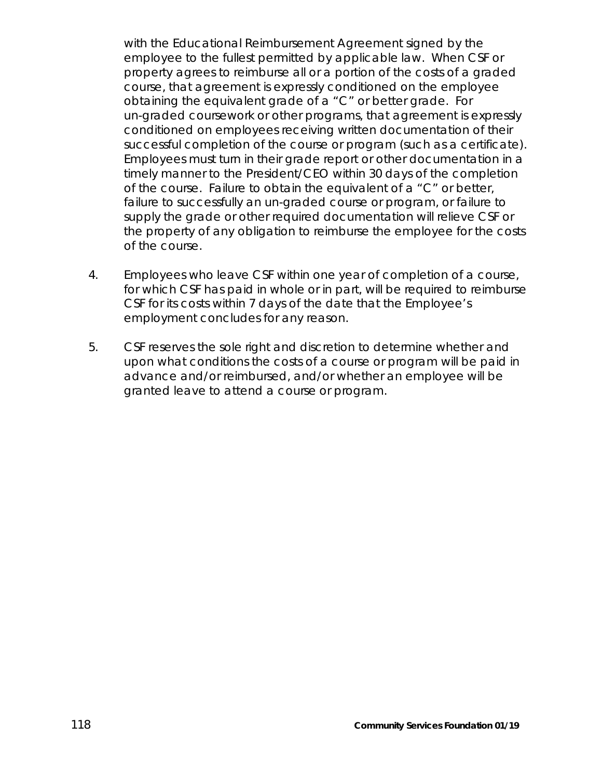with the Educational Reimbursement Agreement signed by the employee to the fullest permitted by applicable law. When CSF or property agrees to reimburse all or a portion of the costs of a graded course, that agreement is expressly conditioned on the employee obtaining the equivalent grade of a "C" or better grade. For un-graded coursework or other programs, that agreement is expressly conditioned on employees receiving written documentation of their successful completion of the course or program (such as a certificate). Employees must turn in their grade report or other documentation in a timely manner to the President/CEO within 30 days of the completion of the course. Failure to obtain the equivalent of a "C" or better, failure to successfully an un-graded course or program, or failure to supply the grade or other required documentation will relieve CSF or the property of any obligation to reimburse the employee for the costs of the course.

- 4. Employees who leave CSF within one year of completion of a course, for which CSF has paid in whole or in part, will be required to reimburse CSF for its costs within 7 days of the date that the Employee's employment concludes for any reason.
- 5. CSF reserves the sole right and discretion to determine whether and upon what conditions the costs of a course or program will be paid in advance and/or reimbursed, and/or whether an employee will be granted leave to attend a course or program.